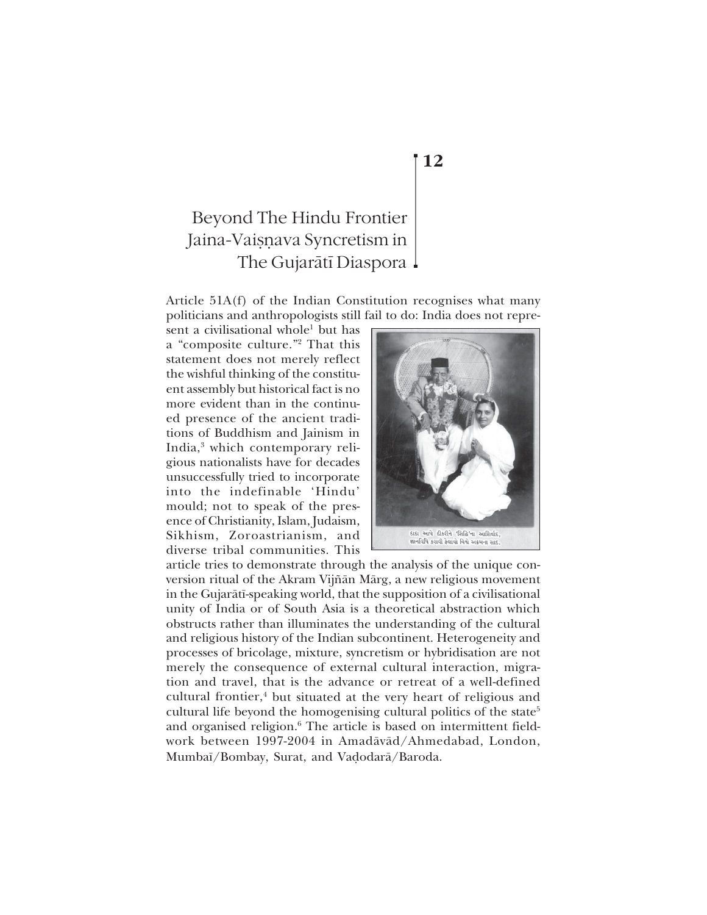Article 51A(f) of the Indian Constitution recognises what many politicians and anthropologists still fail to do: India does not repre-

sent a civilisational whole<sup>1</sup> but has a "composite culture."<sup>2</sup> That this statement does not merely reflect the wishful thinking of the constituent assembly but historical fact is no more evident than in the continued presence of the ancient traditions of Buddhism and Jainism in India,<sup>3</sup> which contemporary religious nationalists have for decades unsuccessfully tried to incorporate into the indefinable 'Hindu' mould; not to speak of the presence of Christianity, Islam, Judaism, Sikhism, Zoroastrianism, and diverse tribal communities. This



article tries to demonstrate through the analysis of the unique conversion ritual of the Akram Vijñān Mārg, a new religious movement in the Gujaråt∂-speaking world, that the supposition of a civilisational unity of India or of South Asia is a theoretical abstraction which obstructs rather than illuminates the understanding of the cultural and religious history of the Indian subcontinent. Heterogeneity and processes of bricolage, mixture, syncretism or hybridisation are not merely the consequence of external cultural interaction, migration and travel, that is the advance or retreat of a well-defined cultural frontier,<sup>4</sup> but situated at the very heart of religious and cultural life beyond the homogenising cultural politics of the state<sup>5</sup> and organised religion.<sup>6</sup> The article is based on intermittent fieldwork between 1997-2004 in Amadåvåd/Ahmedabad, London, Mumbaī/Bombay, Surat, and Vadodarā/Baroda.

## **12**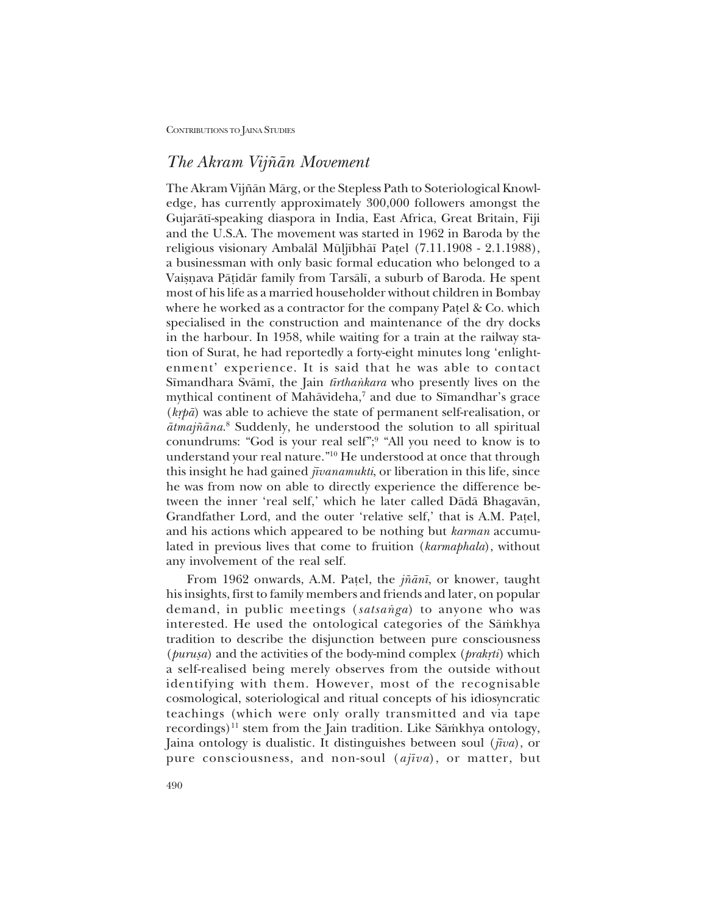## *The Akram Vij¤ån Movement*

The Akram Vijñān Mārg, or the Stepless Path to Soteriological Knowledge, has currently approximately 300,000 followers amongst the Gujaråt∂-speaking diaspora in India, East Africa, Great Britain, Fiji and the U.S.A. The movement was started in 1962 in Baroda by the religious visionary Ambalāl Mūljībhāī Pațel (7.11.1908 - 2.1.1988), a businessman with only basic formal education who belonged to a Vaisnava Pāṭidār family from Tarsālī, a suburb of Baroda. He spent most of his life as a married householder without children in Bombay where he worked as a contractor for the company Patel  $\&$  Co. which specialised in the construction and maintenance of the dry docks in the harbour. In 1958, while waiting for a train at the railway station of Surat, he had reportedly a forty-eight minutes long ëenlightenment' experience. It is said that he was able to contact Sīmandhara Svāmī, the Jain *tīrthankara* who presently lives on the mythical continent of Mahāvideha,<sup>7</sup> and due to Sīmandhar's grace (*kæpå*) was able to achieve the state of permanent self-realisation, or ātmajñāna.<sup>8</sup> Suddenly, he understood the solution to all spiritual conundrums: "God is your real self";<sup>9</sup> "All you need to know is to understand your real nature."<sup>10</sup> He understood at once that through this insight he had gained *j∂vanamukti*, or liberation in this life, since he was from now on able to directly experience the difference between the inner 'real self,' which he later called Dādā Bhagavān, Grandfather Lord, and the outer 'relative self,' that is A.M. Patel, and his actions which appeared to be nothing but *karman* accumulated in previous lives that come to fruition (*karmaphala*), without any involvement of the real self.

From 1962 onwards, A.M. Pa¢el, the *j¤ån∂*, or knower, taught his insights, first to family members and friends and later, on popular demand, in public meetings (satsanga) to anyone who was interested. He used the ontological categories of the Sāmkhya tradition to describe the disjunction between pure consciousness (*purusa*) and the activities of the body-mind complex (*prakrti*) which a self-realised being merely observes from the outside without identifying with them. However, most of the recognisable cosmological, soteriological and ritual concepts of his idiosyncratic teachings (which were only orally transmitted and via tape recordings)<sup>11</sup> stem from the Jain tradition. Like S $\bar{a}$ mkhya ontology, Jaina ontology is dualistic. It distinguishes between soul (*j∂va*), or pure consciousness, and non-soul (*aj∂va*), or matter, but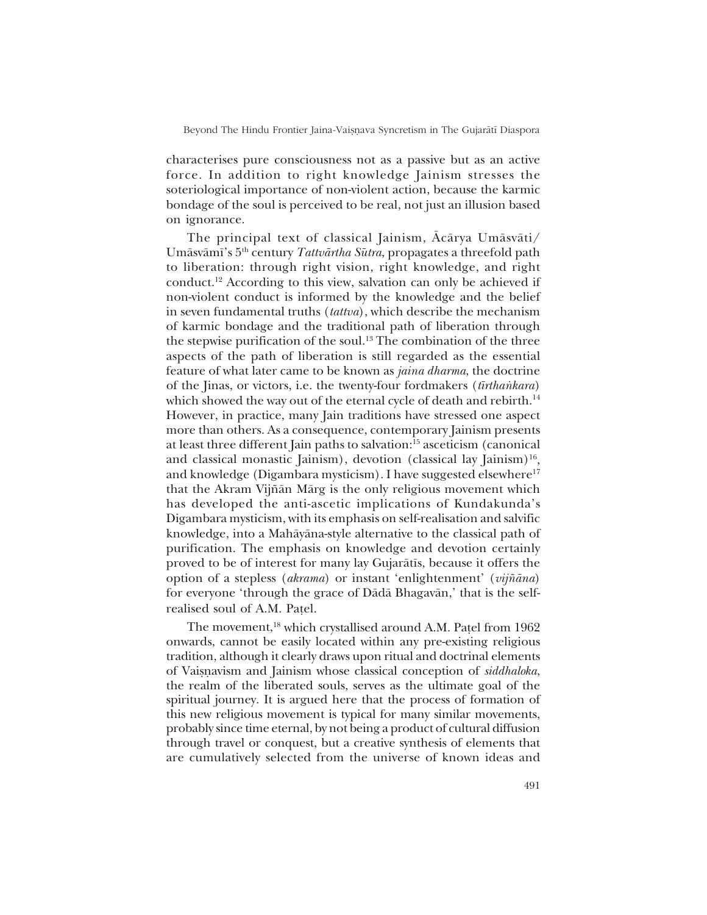characterises pure consciousness not as a passive but as an active force. In addition to right knowledge Jainism stresses the soteriological importance of non-violent action, because the karmic bondage of the soul is perceived to be real, not just an illusion based on ignorance.

The principal text of classical Jainism, Åcårya Umåsvåti/ Umāsvāmī's 5<sup>th</sup> century *Tattvārtha Sūtra*, propagates a threefold path to liberation: through right vision, right knowledge, and right conduct.12 According to this view, salvation can only be achieved if non-violent conduct is informed by the knowledge and the belief in seven fundamental truths (*tattva*), which describe the mechanism of karmic bondage and the traditional path of liberation through the stepwise purification of the soul.<sup>13</sup> The combination of the three aspects of the path of liberation is still regarded as the essential feature of what later came to be known as *jaina dharma*, the doctrine of the Jinas, or victors, i.e. the twenty-four fordmakers (*tīrthankara*) which showed the way out of the eternal cycle of death and rebirth.<sup>14</sup> However, in practice, many Jain traditions have stressed one aspect more than others. As a consequence, contemporary Jainism presents at least three different Jain paths to salvation:15 asceticism (canonical and classical monastic Jainism), devotion (classical lay Jainism)<sup>16</sup>, and knowledge (Digambara mysticism). I have suggested elsewhere<sup>17</sup> that the Akram Vijñān Mārg is the only religious movement which has developed the anti-ascetic implications of Kundakunda's Digambara mysticism, with its emphasis on self-realisation and salvific knowledge, into a Mahåyåna-style alternative to the classical path of purification. The emphasis on knowledge and devotion certainly proved to be of interest for many lay Gujarātīs, because it offers the option of a stepless (*akrama*) or instant ëenlightenmentí (*vij¤åna*) for everyone 'through the grace of Dada Bhagavan,' that is the selfrealised soul of A.M. Pa¢el.

The movement,<sup>18</sup> which crystallised around A.M. Patel from 1962 onwards, cannot be easily located within any pre-existing religious tradition, although it clearly draws upon ritual and doctrinal elements of Vaisnavism and Jainism whose classical conception of *siddhaloka*, the realm of the liberated souls, serves as the ultimate goal of the spiritual journey. It is argued here that the process of formation of this new religious movement is typical for many similar movements, probably since time eternal, by not being a product of cultural diffusion through travel or conquest, but a creative synthesis of elements that are cumulatively selected from the universe of known ideas and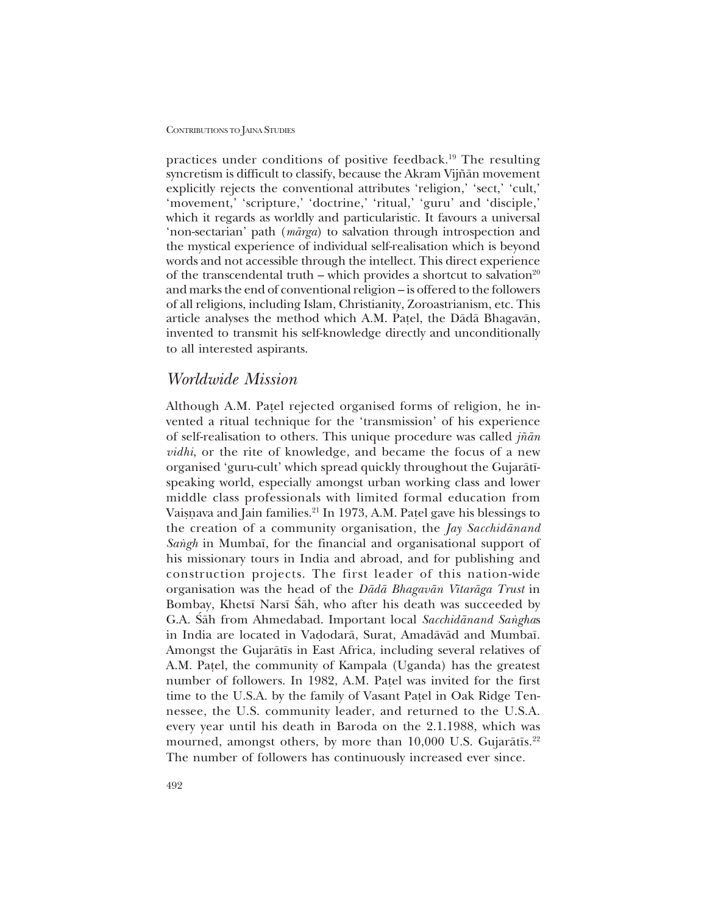practices under conditions of positive feedback.19 The resulting syncretism is difficult to classify, because the Akram Vijñān movement explicitly rejects the conventional attributes 'religion,' 'sect,' 'cult,' 'movement,' 'scripture,' 'doctrine,' 'ritual,' 'guru' and 'disciple,' which it regards as worldly and particularistic. It favours a universal ënon-sectarianí path (*mårga*) to salvation through introspection and the mystical experience of individual self-realisation which is beyond words and not accessible through the intellect. This direct experience of the transcendental truth – which provides a shortcut to salvation<sup>20</sup> and marks the end of conventional religion – is offered to the followers of all religions, including Islam, Christianity, Zoroastrianism, etc. This article analyses the method which A.M. Pa¢el, the Dådå Bhagavån, invented to transmit his self-knowledge directly and unconditionally to all interested aspirants.

## *Worldwide Mission*

Although A.M. Patel rejected organised forms of religion, he invented a ritual technique for the 'transmission' of his experience of self-realisation to others. This unique procedure was called *j¤ån vidhi*, or the rite of knowledge, and became the focus of a new organised 'guru-cult' which spread quickly throughout the Gujarātīspeaking world, especially amongst urban working class and lower middle class professionals with limited formal education from Vaiṣṇava and Jain families.<sup>21</sup> In 1973, A.M. Paṭel gave his blessings to the creation of a community organisation, the *Jay Sacchidånand Sangh* in Mumbaī, for the financial and organisational support of his missionary tours in India and abroad, and for publishing and construction projects. The first leader of this nation-wide organisation was the head of the *Dådå Bhagavån V∂taråga Trust* in Bombay, Khetsī Narsī Śāh, who after his death was succeeded by G.A. Sah from Ahmedabad. Important local *Sacchidanand Sanghas* in India are located in Vadodarā, Surat, Amadāvād and Mumbaī. Amongst the Gujarātīs in East Africa, including several relatives of A.M. Pa¢el, the community of Kampala (Uganda) has the greatest number of followers. In 1982, A.M. Patel was invited for the first time to the U.S.A. by the family of Vasant Pa¢el in Oak Ridge Tennessee, the U.S. community leader, and returned to the U.S.A. every year until his death in Baroda on the 2.1.1988, which was mourned, amongst others, by more than 10,000 U.S. Gujarātīs.<sup>22</sup> The number of followers has continuously increased ever since.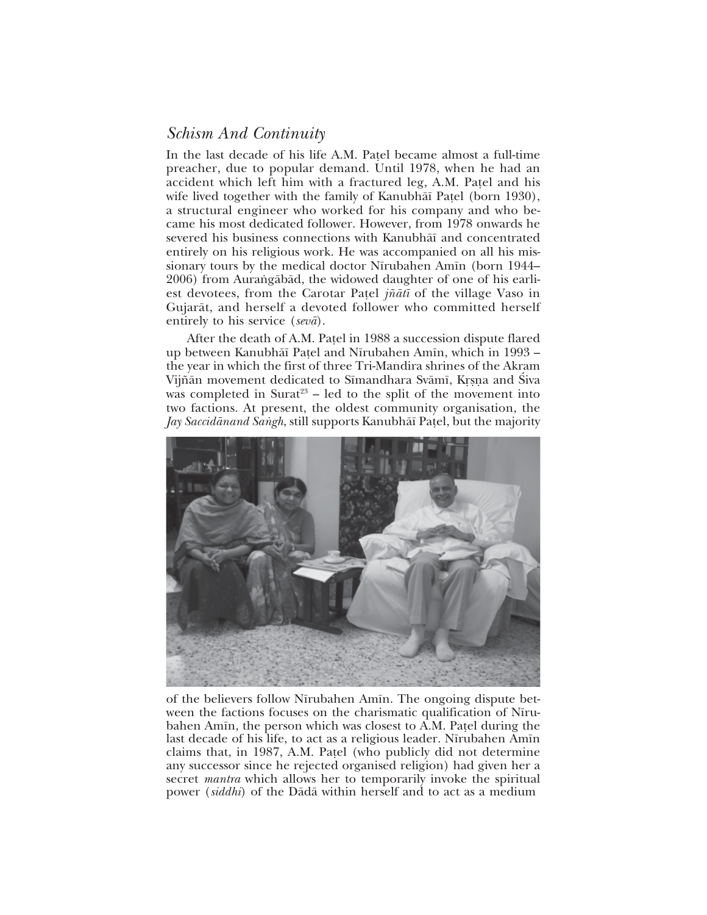# *Schism And Continuity*

In the last decade of his life A.M. Patel became almost a full-time preacher, due to popular demand. Until 1978, when he had an accident which left him with a fractured leg, A.M. Patel and his wife lived together with the family of Kanubhāī Patel (born 1930), a structural engineer who worked for his company and who became his most dedicated follower. However, from 1978 onwards he severed his business connections with Kanubhāī and concentrated entirely on his religious work. He was accompanied on all his missionary tours by the medical doctor Nīrubahen Amīn (born 1944– 2006) from Aurangābād, the widowed daughter of one of his earliest devotees, from the Carotar Pa¢el *j¤åt∂* of the village Vaso in Gujaråt, and herself a devoted follower who committed herself entirely to his service (*sevå*).

After the death of A.M. Patel in 1988 a succession dispute flared up between Kanubhāī Paṭel and Nīrubahen Amīn, which in 1993 – the year in which the first of three Tri-Mandira shrines of the Akram Vijñān movement dedicated to Sīmandhara Svāmī, Krsņa and Śiva was completed in Surat<sup>23</sup> – led to the split of the movement into two factions. At present, the oldest community organisation, the *Jay Saccidānand Saṅgh*, still supports Kanubhāī Paṭel, but the majority



of the believers follow Nīrubahen Amīn. The ongoing dispute between the factions focuses on the charismatic qualification of Nīrubahen Amīn, the person which was closest to A.M. Patel during the last decade of his life, to act as a religious leader. Nīrubahen Amīn claims that, in 1987, A.M. Patel (who publicly did not determine any successor since he rejected organised religion) had given her a secret *mantra* which allows her to temporarily invoke the spiritual power (*siddhi*) of the Dådå within herself and to act as a medium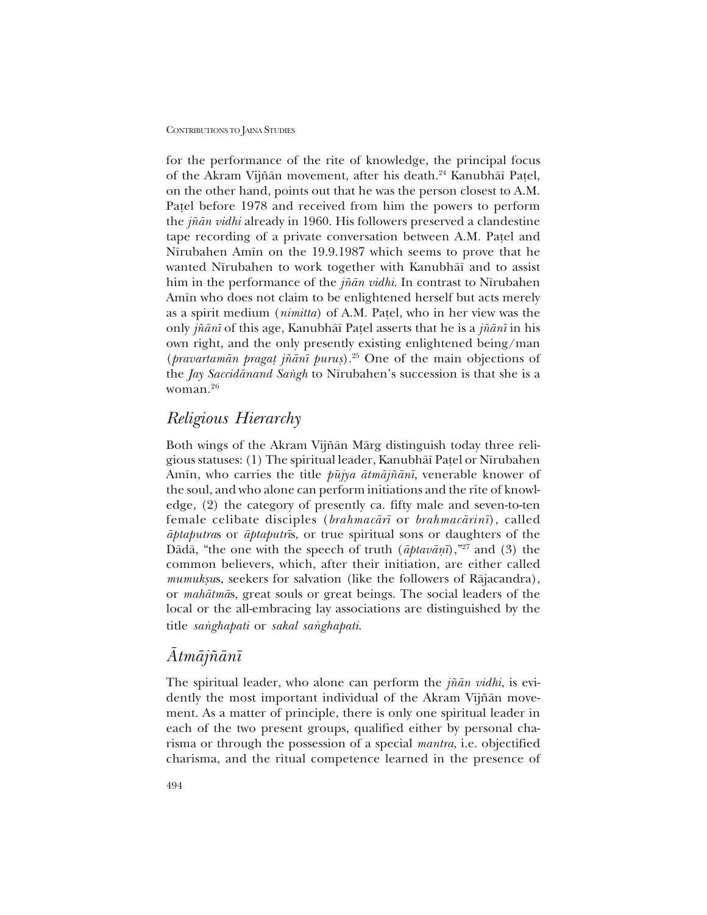for the performance of the rite of knowledge, the principal focus of the Akram Vijñān movement, after his death.<sup>24</sup> Kanubhāī Pațel, on the other hand, points out that he was the person closest to A.M. Pa¢el before 1978 and received from him the powers to perform the *j¤ån vidhi* already in 1960. His followers preserved a clandestine tape recording of a private conversation between A.M. Patel and Nīrubahen Amīn on the 19.9.1987 which seems to prove that he wanted Nīrubahen to work together with Kanubhāī and to assist him in the performance of the *jñān vidhi*. In contrast to Nīrubahen Amīn who does not claim to be enlightened herself but acts merely as a spirit medium (*nimitta*) of A.M. Pa¢el, who in her view was the only *j¤ån∂* of this age, Kanubhå∂ Pa¢el asserts that he is a *j¤ån∂* in his own right, and the only presently existing enlightened being/man (*pravartamån praga¢ j¤ån∂ puru¶*).25 One of the main objections of the *Jay Saccidānand Sangh* to Nīrubahen's succession is that she is a woman.26

## *Religious Hierarchy*

Both wings of the Akram Vijñān Mārg distinguish today three religious statuses: (1) The spiritual leader, Kanubhå∂ Pa¢el or N∂rubahen Amīn, who carries the title *pūjya ātmājñānī*, venerable knower of the soul, and who alone can perform initiations and the rite of knowledge, (2) the category of presently ca. fifty male and seven-to-ten female celibate disciples (*brahmacår∂* or *brahmacårin∂*), called *åptaputra*s or *åptaputr∂*s, or true spiritual sons or daughters of the Dādā, "the one with the speech of truth (*āptavānī*),"<sup>27</sup> and (3) the common believers, which, after their initiation, are either called *mumuksus*, seekers for salvation (like the followers of Rājacandra), or *mahåtmå*s, great souls or great beings. The social leaders of the local or the all-embracing lay associations are distinguished by the title *sanghapati* or *sakal sanghapati*.

## *Åtmåj¤ån∂*

The spiritual leader, who alone can perform the *j¤ån vidhi*, is evidently the most important individual of the Akram Vijñān movement. As a matter of principle, there is only one spiritual leader in each of the two present groups, qualified either by personal charisma or through the possession of a special *mantra*, i.e. objectified charisma, and the ritual competence learned in the presence of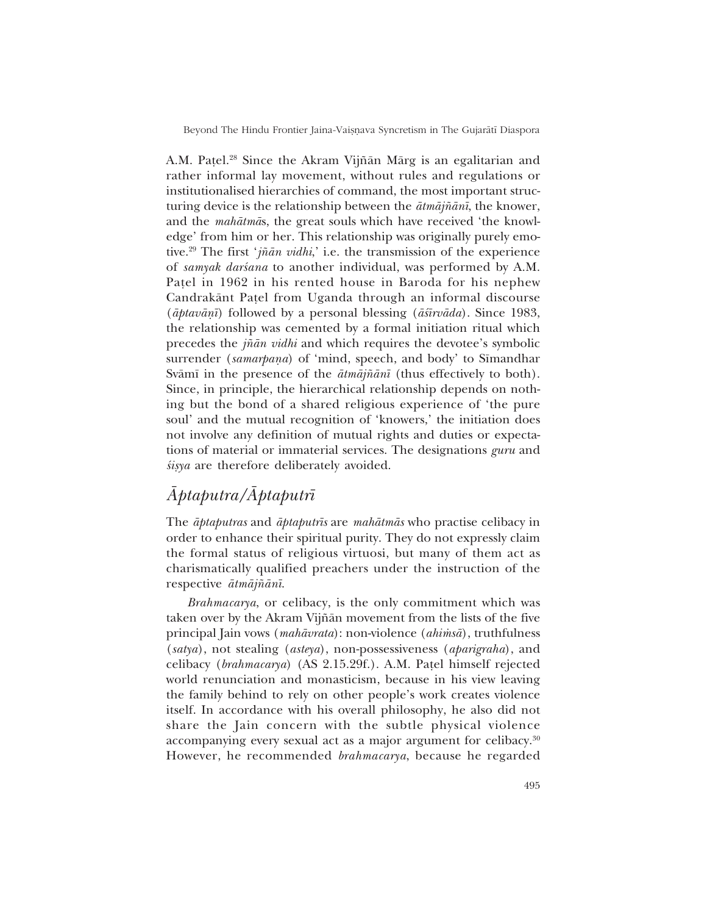A.M. Patel.<sup>28</sup> Since the Akram Vijñān Mārg is an egalitarian and rather informal lay movement, without rules and regulations or institutionalised hierarchies of command, the most important structuring device is the relationship between the *åtmåj¤ån∂*, the knower, and the *mahātmās*, the great souls which have received 'the knowledge' from him or her. This relationship was originally purely emotive.<sup>29</sup> The first '*jñān vidhi*,' i.e. the transmission of the experience of *samyak darśana* to another individual, was performed by A.M. Pa¢el in 1962 in his rented house in Baroda for his nephew Candrakånt Pa¢el from Uganda through an informal discourse (*åptavåƒ∂*) followed by a personal blessing (*å‹∂rvåda*). Since 1983, the relationship was cemented by a formal initiation ritual which precedes the *jñān vidhi* and which requires the devotee's symbolic surrender (*samarpana*) of 'mind, speech, and body' to Sīmandhar Svåm∂ in the presence of the *åtmåj¤ån∂* (thus effectively to both). Since, in principle, the hierarchical relationship depends on nothing but the bond of a shared religious experience of 'the pure soul' and the mutual recognition of 'knowers,' the initiation does not involve any definition of mutual rights and duties or expectations of material or immaterial services. The designations *guru* and  $\delta$ *isya* are therefore deliberately avoided.

# *Åptaputra/Åptaputr∂*

The *åptaputras* and *åptaputr∂s* are *mahåtmås* who practise celibacy in order to enhance their spiritual purity. They do not expressly claim the formal status of religious virtuosi, but many of them act as charismatically qualified preachers under the instruction of the respective *åtmåj¤ån∂*.

*Brahmacarya*, or celibacy, is the only commitment which was taken over by the Akram Vij¤ån movement from the lists of the five principal Jain vows (*mahåvrata*): non-violence (*ahi≈så*), truthfulness (*satya*), not stealing (*asteya*), non-possessiveness (*aparigraha*), and celibacy (*brahmacarya*) (AS 2.15.29f.). A.M. Pa¢el himself rejected world renunciation and monasticism, because in his view leaving the family behind to rely on other people's work creates violence itself. In accordance with his overall philosophy, he also did not share the Jain concern with the subtle physical violence accompanying every sexual act as a major argument for celibacy.<sup>30</sup> However, he recommended *brahmacarya*, because he regarded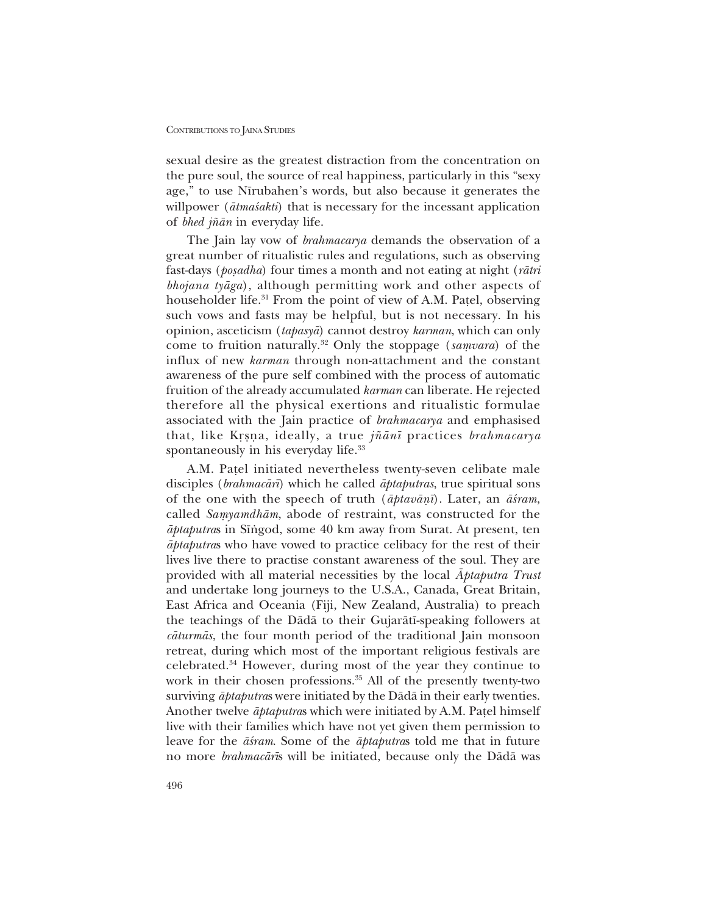sexual desire as the greatest distraction from the concentration on the pure soul, the source of real happiness, particularly in this "sexy" age," to use Nīrubahen's words, but also because it generates the willpower ( $\bar{a}$ *tma*s'*akti*) that is necessary for the incessant application of *bhed j¤ån* in everyday life.

The Jain lay vow of *brahmacarya* demands the observation of a great number of ritualistic rules and regulations, such as observing fast-days (*po¶adha*) four times a month and not eating at night (*råtri bhojana tyåga*), although permitting work and other aspects of householder life.<sup>31</sup> From the point of view of A.M. Patel, observing such vows and fasts may be helpful, but is not necessary. In his opinion, asceticism (*tapasyå*) cannot destroy *karman*, which can only come to fruition naturally.<sup>32</sup> Only the stoppage (*samvara*) of the influx of new *karman* through non-attachment and the constant awareness of the pure self combined with the process of automatic fruition of the already accumulated *karman* can liberate. He rejected therefore all the physical exertions and ritualistic formulae associated with the Jain practice of *brahmacarya* and emphasised that, like K涃a, ideally, a true *j¤ån∂* practices *brahmacarya* spontaneously in his everyday life.<sup>33</sup>

A.M. Pa¢el initiated nevertheless twenty-seven celibate male disciples (*brahmacår∂*) which he called *åptaputras*, true spiritual sons of the one with the speech of truth ( $āptavānī$ ). Later, an  $ās<sub>ram</sub>$ , called *Samyamdhām*, abode of restraint, was constructed for the  $\bar{a}$ *ptaputras* in Sīngod, some 40 km away from Surat. At present, ten *åptaputra*s who have vowed to practice celibacy for the rest of their lives live there to practise constant awareness of the soul. They are provided with all material necessities by the local *Åptaputra Trust* and undertake long journeys to the U.S.A., Canada, Great Britain, East Africa and Oceania (Fiji, New Zealand, Australia) to preach the teachings of the Dådå to their Gujaråt∂-speaking followers at *cåturmås*, the four month period of the traditional Jain monsoon retreat, during which most of the important religious festivals are celebrated.34 However, during most of the year they continue to work in their chosen professions.<sup>35</sup> All of the presently twenty-two surviving *åptaputra*s were initiated by the Dådå in their early twenties. Another twelve *āptaputras* which were initiated by A.M. Patel himself live with their families which have not yet given them permission to leave for the  $\vec{a}$ *sam*. Some of the  $\vec{a}$ *ptaputras* told me that in future no more *brahmacår∂*s will be initiated, because only the Dådå was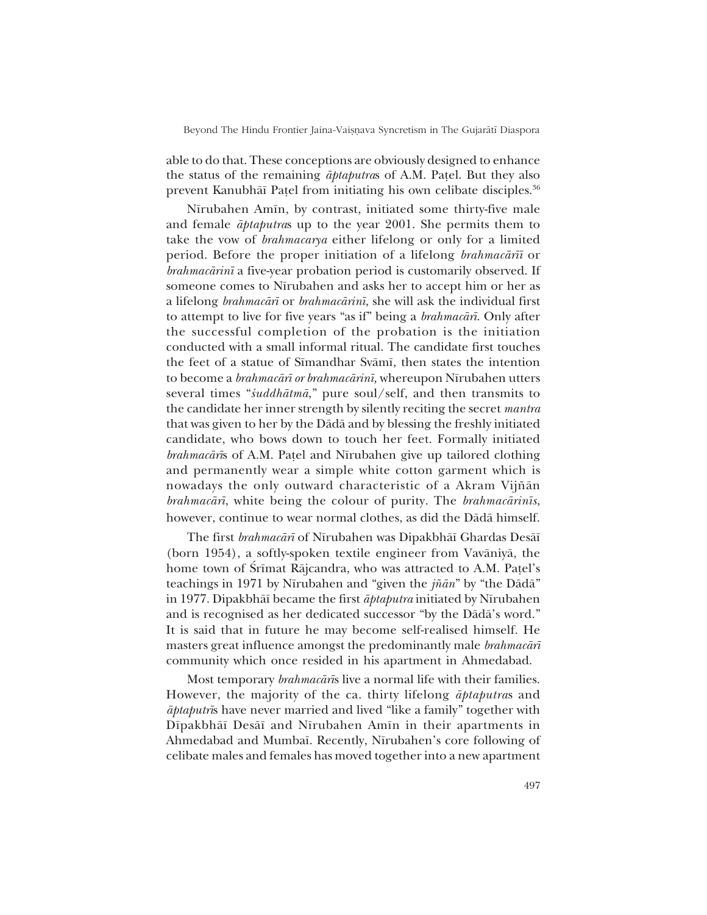able to do that. These conceptions are obviously designed to enhance the status of the remaining *åptaputra*s of A.M. Pa¢el. But they also prevent Kanubhāī Patel from initiating his own celibate disciples.<sup>36</sup>

Nīrubahen Amīn, by contrast, initiated some thirty-five male and female *åptaputra*s up to the year 2001. She permits them to take the vow of *brahmacarya* either lifelong or only for a limited period. Before the proper initiation of a lifelong *brahmacår∂∂* or *brahmacårin∂* a five-year probation period is customarily observed. If someone comes to Nīrubahen and asks her to accept him or her as a lifelong *brahmacår∂* or *brahmacårin∂*, she will ask the individual first to attempt to live for five years "as if" being a *brahmacārī*. Only after the successful completion of the probation is the initiation conducted with a small informal ritual. The candidate first touches the feet of a statue of Sīmandhar Svāmī, then states the intention to become a *brahmacår∂ or brahmacårin∂,* whereupon N∂rubahen utters several times "*śuddhātmā*," pure soul/self, and then transmits to the candidate her inner strength by silently reciting the secret *mantra* that was given to her by the Dådå and by blessing the freshly initiated candidate, who bows down to touch her feet. Formally initiated *brahmacārīs* of A.M. Patel and Nīrubahen give up tailored clothing and permanently wear a simple white cotton garment which is nowadays the only outward characteristic of a Akram Vijñān *brahmacår∂*, white being the colour of purity. The *brahmacårin∂s*, however, continue to wear normal clothes, as did the Dådå himself.

The first *brahmacārī* of Nīrubahen was Dipakbhāī Ghardas Desāī (born 1954), a softly-spoken textile engineer from Vavåniyå, the home town of Srīmat Rājcandra, who was attracted to A.M. Patel's teachings in 1971 by Nīrubahen and "given the *jñān*" by "the Dādā" in 1977. Dipakbhå∂ became the first *åptaputra* initiated by N∂rubahen and is recognised as her dedicated successor "by the Dādā's word." It is said that in future he may become self-realised himself. He masters great influence amongst the predominantly male *brahmacår∂* community which once resided in his apartment in Ahmedabad.

Most temporary *brahmacår∂*s live a normal life with their families. However, the majority of the ca. thirty lifelong *åptaputra*s and *åptaputr*<sup> $\bar{i}$ </sup>s have never married and lived "like a family" together with D∂pakbhå∂ Deså∂ and N∂rubahen Am∂n in their apartments in Ahmedabad and Mumbaī. Recently, Nīrubahen's core following of celibate males and females has moved together into a new apartment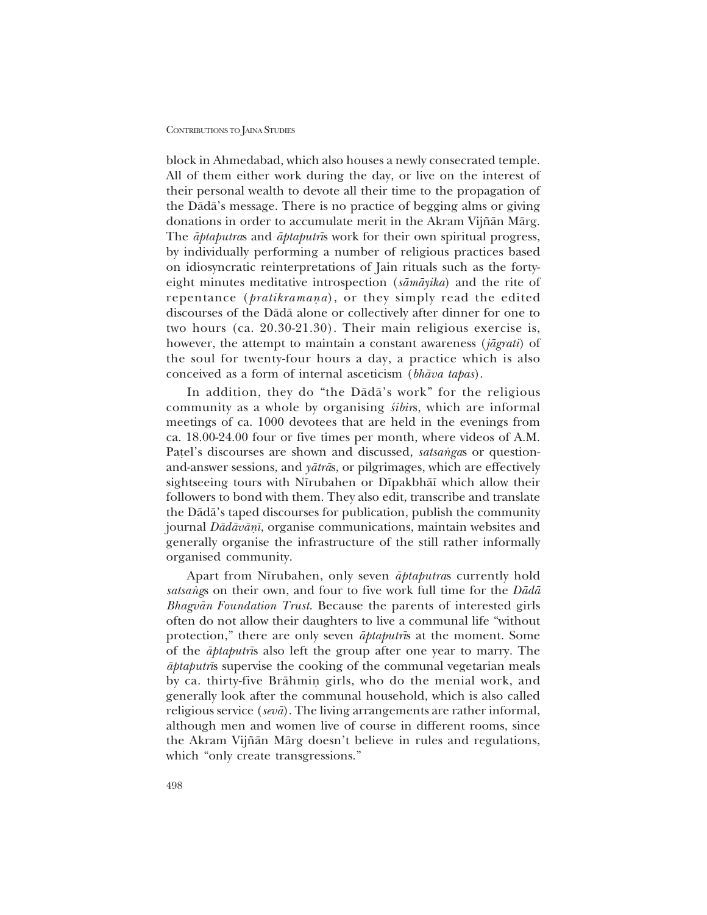block in Ahmedabad, which also houses a newly consecrated temple. All of them either work during the day, or live on the interest of their personal wealth to devote all their time to the propagation of the Dådåís message. There is no practice of begging alms or giving donations in order to accumulate merit in the Akram Vijñān Mārg. The *åptaputra*s and *åptaputr∂*s work for their own spiritual progress, by individually performing a number of religious practices based on idiosyncratic reinterpretations of Jain rituals such as the fortyeight minutes meditative introspection (*såmåyika*) and the rite of repentance (*pratikramana*), or they simply read the edited discourses of the Dådå alone or collectively after dinner for one to two hours (ca. 20.30-21.30). Their main religious exercise is, however, the attempt to maintain a constant awareness (*jågrati*) of the soul for twenty-four hours a day, a practice which is also conceived as a form of internal asceticism (*bhåva tapas*).

In addition, they do "the Dādā's work" for the religious community as a whole by organising *sibirs*, which are informal meetings of ca. 1000 devotees that are held in the evenings from ca. 18.00-24.00 four or five times per month, where videos of A.M. Patel's discourses are shown and discussed, *satsangas* or questionand-answer sessions, and *yåtrå*s, or pilgrimages, which are effectively sightseeing tours with Nīrubahen or Dīpakbhāī which allow their followers to bond with them. They also edit, transcribe and translate the Dådåís taped discourses for publication, publish the community journal *Dådåvåƒ∂*, organise communications, maintain websites and generally organise the infrastructure of the still rather informally organised community.

Apart from N∂rubahen, only seven *åptaputra*s currently hold satsangs on their own, and four to five work full time for the *Dādā Bhagvån Foundation Trust*. Because the parents of interested girls often do not allow their daughters to live a communal life "without protection,î there are only seven *åptaputr∂*s at the moment. Some of the *åptaputr∂*s also left the group after one year to marry. The *åptaputr∂*s supervise the cooking of the communal vegetarian meals by ca. thirty-five Brāhmin girls, who do the menial work, and generally look after the communal household, which is also called religious service (*sevå*). The living arrangements are rather informal, although men and women live of course in different rooms, since the Akram Vijñān Mārg doesn't believe in rules and regulations, which "only create transgressions."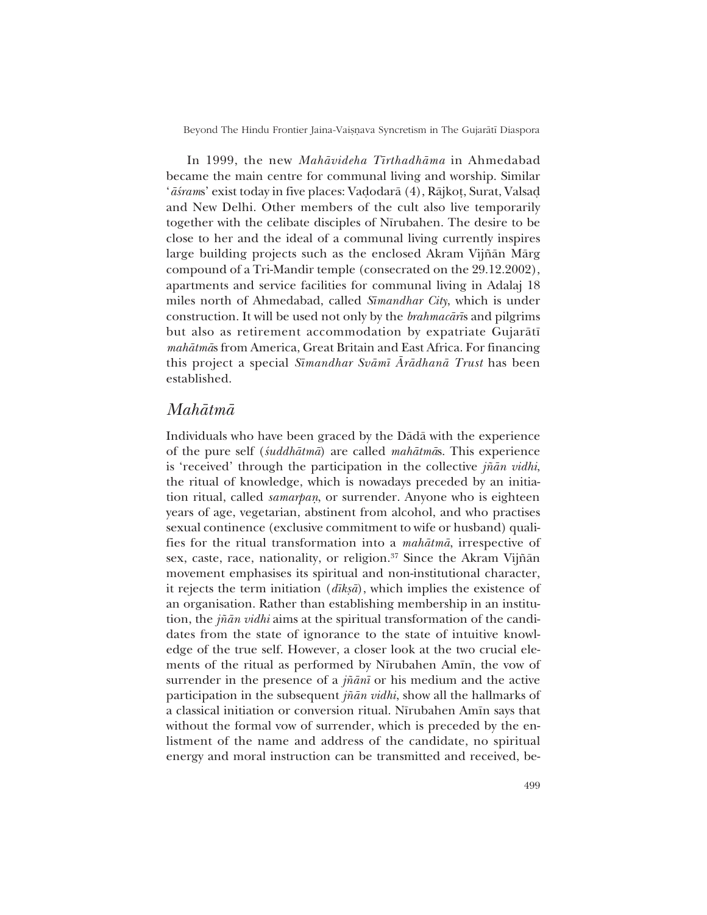In 1999, the new *Mahåvideha T∂rthadhåma* in Ahmedabad became the main centre for communal living and worship. Similar *`āśrams*' exist today in five places: Vadodarā (4), Rājkoṭ, Surat, Valsaḍ and New Delhi. Other members of the cult also live temporarily together with the celibate disciples of Nīrubahen. The desire to be close to her and the ideal of a communal living currently inspires large building projects such as the enclosed Akram Vijñān Mārg compound of a Tri-Mandir temple (consecrated on the 29.12.2002), apartments and service facilities for communal living in Adalaj 18 miles north of Ahmedabad, called *S∂mandhar City*, which is under construction. It will be used not only by the *brahmacår∂*s and pilgrims but also as retirement accommodation by expatriate Gujaråt∂ *mahåtmå*s from America, Great Britain and East Africa. For financing this project a special *S∂mandhar Svåm∂ Årådhanå Trust* has been established.

## *Mahåtmå*

Individuals who have been graced by the Dådå with the experience of the pure self (*‹uddhåtmå*) are called *mahåtmå*s. This experience is 'received' through the participation in the collective *jñān vidhi*, the ritual of knowledge, which is nowadays preceded by an initiation ritual, called *samarpan*, or surrender. Anyone who is eighteen years of age, vegetarian, abstinent from alcohol, and who practises sexual continence (exclusive commitment to wife or husband) qualifies for the ritual transformation into a *mahåtmå*, irrespective of sex, caste, race, nationality, or religion.<sup>37</sup> Since the Akram Vijñān movement emphasises its spiritual and non-institutional character, it rejects the term initiation (*dikṣā*), which implies the existence of an organisation. Rather than establishing membership in an institution, the *j¤ån vidhi* aims at the spiritual transformation of the candidates from the state of ignorance to the state of intuitive knowledge of the true self. However, a closer look at the two crucial elements of the ritual as performed by Nīrubahen Amīn, the vow of surrender in the presence of a *j¤ån∂* or his medium and the active participation in the subsequent *j¤ån vidhi*, show all the hallmarks of a classical initiation or conversion ritual. Nīrubahen Amīn says that without the formal vow of surrender, which is preceded by the enlistment of the name and address of the candidate, no spiritual energy and moral instruction can be transmitted and received, be-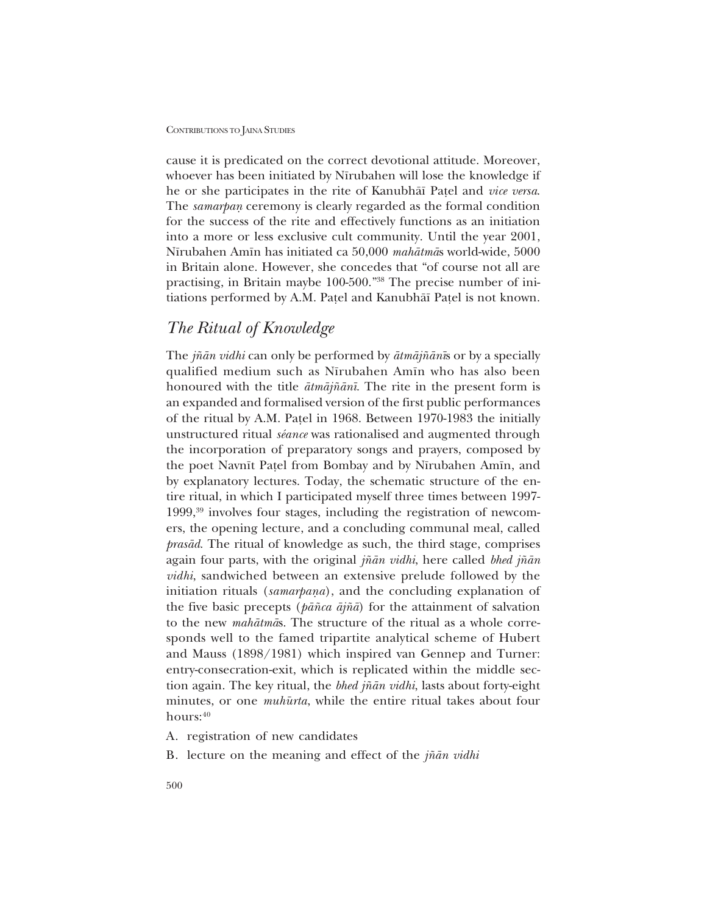cause it is predicated on the correct devotional attitude. Moreover, whoever has been initiated by Nīrubahen will lose the knowledge if he or she participates in the rite of Kanubhå∂ Pa¢el and *vice versa*. The *samarpan* ceremony is clearly regarded as the formal condition for the success of the rite and effectively functions as an initiation into a more or less exclusive cult community. Until the year 2001, N∂rubahen Am∂n has initiated ca 50,000 *mahåtmå*s world-wide, 5000 in Britain alone. However, she concedes that "of course not all are practising, in Britain maybe 100-500."<sup>38</sup> The precise number of initiations performed by A.M. Pațel and Kanubhāī Pațel is not known.

# *The Ritual of Knowledge*

The *j¤ån vidhi* can only be performed by *åtmåj¤ån∂*s or by a specially qualified medium such as Nīrubahen Amīn who has also been honoured with the title *åtmåj¤ån∂*. The rite in the present form is an expanded and formalised version of the first public performances of the ritual by A.M. Pa¢el in 1968. Between 1970-1983 the initially unstructured ritual *séance* was rationalised and augmented through the incorporation of preparatory songs and prayers, composed by the poet Navnīt Patel from Bombay and by Nīrubahen Amīn, and by explanatory lectures. Today, the schematic structure of the entire ritual, in which I participated myself three times between 1997- 1999,39 involves four stages, including the registration of newcomers, the opening lecture, and a concluding communal meal, called *prasåd*. The ritual of knowledge as such, the third stage, comprises again four parts, with the original *j¤ån vidhi*, here called *bhed j¤ån vidhi*, sandwiched between an extensive prelude followed by the initiation rituals (*samarpana*), and the concluding explanation of the five basic precepts (*på¤ca åj¤å*) for the attainment of salvation to the new *mahåtmå*s. The structure of the ritual as a whole corresponds well to the famed tripartite analytical scheme of Hubert and Mauss (1898/1981) which inspired van Gennep and Turner: entry-consecration-exit, which is replicated within the middle section again. The key ritual, the *bhed j¤ån vidhi*, lasts about forty-eight minutes, or one *muhurta*, while the entire ritual takes about four hours: 40

A. registration of new candidates

B. lecture on the meaning and effect of the *j¤ån vidhi*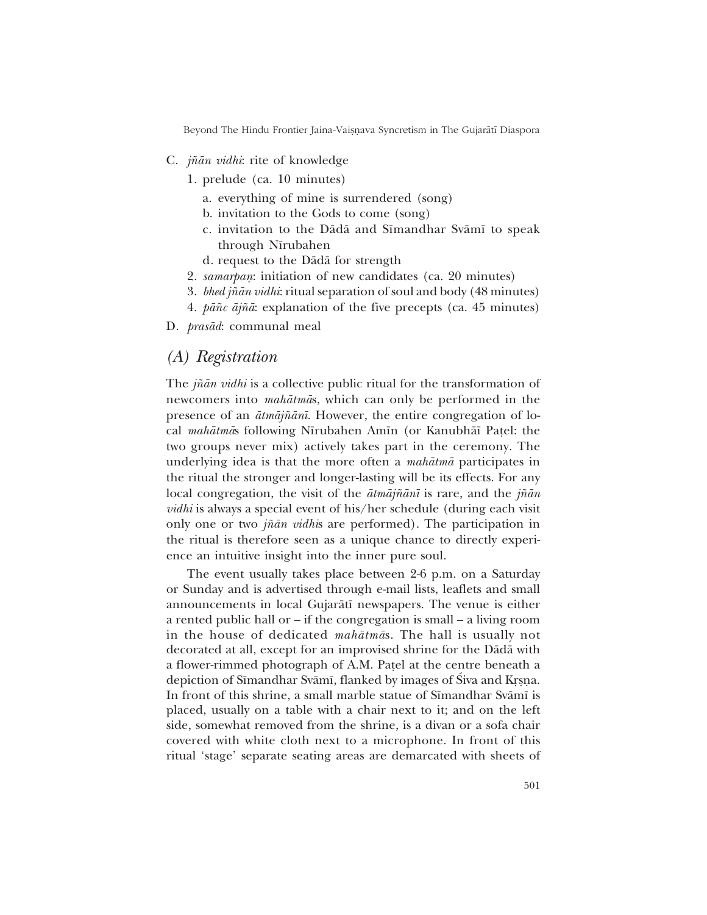- C. *j¤ån vidhi*: rite of knowledge
	- 1. prelude (ca. 10 minutes)
		- a. everything of mine is surrendered (song)
		- b. invitation to the Gods to come (song)
		- c. invitation to the Dādā and Sīmandhar Svāmī to speak through Nīrubahen
		- d. request to the Dådå for strength
	- 2. *samarpan*: initiation of new candidates (ca. 20 minutes)
	- 3. *bhed j¤ån vidhi*: ritual separation of soul and body (48 minutes)
	- 4. *på¤c åj¤å*: explanation of the five precepts (ca. 45 minutes)
- D. *prasåd*: communal meal

## *(A) Registration*

The *j¤ån vidhi* is a collective public ritual for the transformation of newcomers into *mahåtmå*s, which can only be performed in the presence of an *åtmåj¤ån∂*. However, the entire congregation of local *mahåtmå*s following N∂rubahen Am∂n (or Kanubhå∂ Pa¢el: the two groups never mix) actively takes part in the ceremony. The underlying idea is that the more often a *mahåtmå* participates in the ritual the stronger and longer-lasting will be its effects. For any local congregation, the visit of the *åtmåj¤ån∂* is rare, and the *j¤ån vidhi* is always a special event of his/her schedule (during each visit only one or two *j¤ån vidhi*s are performed). The participation in the ritual is therefore seen as a unique chance to directly experience an intuitive insight into the inner pure soul.

The event usually takes place between 2-6 p.m. on a Saturday or Sunday and is advertised through e-mail lists, leaflets and small announcements in local Gujaråt∂ newspapers. The venue is either a rented public hall or  $\overline{\phantom{a}}$  if the congregation is small  $\overline{\phantom{a}}$  a living room in the house of dedicated *mahåtmå*s. The hall is usually not decorated at all, except for an improvised shrine for the Dådå with a flower-rimmed photograph of A.M. Pa¢el at the centre beneath a depiction of Sīmandhar Svāmī, flanked by images of Siva and Krṣṇa. In front of this shrine, a small marble statue of Sīmandhar Svāmī is placed, usually on a table with a chair next to it; and on the left side, somewhat removed from the shrine, is a divan or a sofa chair covered with white cloth next to a microphone. In front of this ritual 'stage' separate seating areas are demarcated with sheets of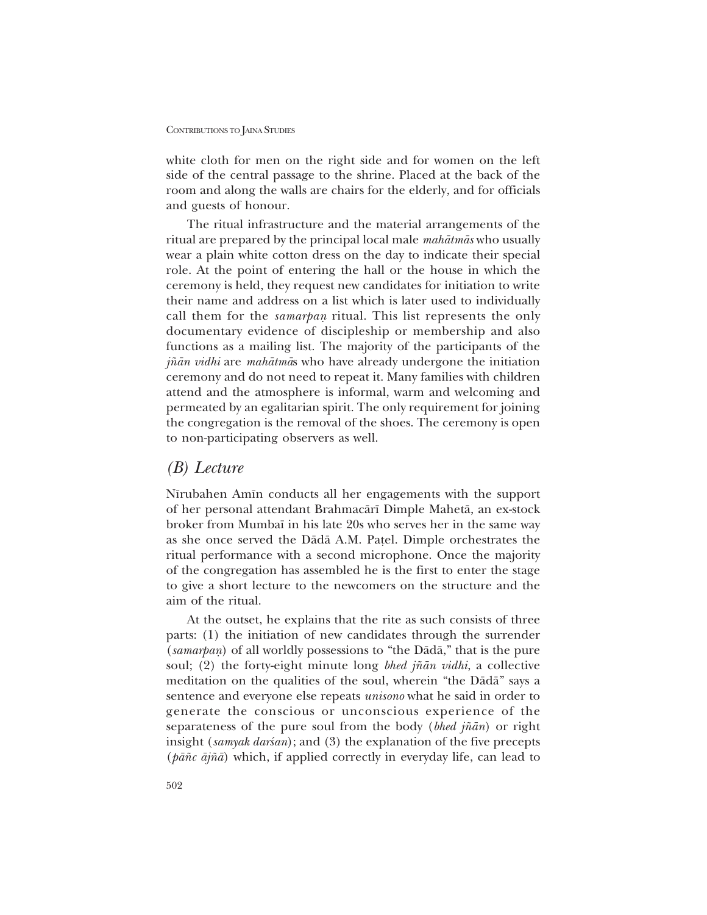white cloth for men on the right side and for women on the left side of the central passage to the shrine. Placed at the back of the room and along the walls are chairs for the elderly, and for officials and guests of honour.

The ritual infrastructure and the material arrangements of the ritual are prepared by the principal local male *mahåtmås* who usually wear a plain white cotton dress on the day to indicate their special role. At the point of entering the hall or the house in which the ceremony is held, they request new candidates for initiation to write their name and address on a list which is later used to individually call them for the *samarpan* ritual. This list represents the only documentary evidence of discipleship or membership and also functions as a mailing list. The majority of the participants of the *j¤ån vidhi* are *mahåtmå*s who have already undergone the initiation ceremony and do not need to repeat it. Many families with children attend and the atmosphere is informal, warm and welcoming and permeated by an egalitarian spirit. The only requirement for joining the congregation is the removal of the shoes. The ceremony is open to non-participating observers as well.

## *(B) Lecture*

Nīrubahen Amīn conducts all her engagements with the support of her personal attendant Brahmacår∂ Dimple Mahetå, an ex-stock broker from Mumba∂ in his late 20s who serves her in the same way as she once served the Dådå A.M. Pa¢el. Dimple orchestrates the ritual performance with a second microphone. Once the majority of the congregation has assembled he is the first to enter the stage to give a short lecture to the newcomers on the structure and the aim of the ritual.

At the outset, he explains that the rite as such consists of three parts: (1) the initiation of new candidates through the surrender (*samarpan*) of all worldly possessions to "the Dādā," that is the pure soul; (2) the forty-eight minute long *bhed jñān vidhi*, a collective meditation on the qualities of the soul, wherein "the Dādā" says a sentence and everyone else repeats *unisono* what he said in order to generate the conscious or unconscious experience of the separateness of the pure soul from the body (*bhed j¤ån*) or right insight (*samyak darsan*); and (3) the explanation of the five precepts (*på¤c åj¤å*) which, if applied correctly in everyday life, can lead to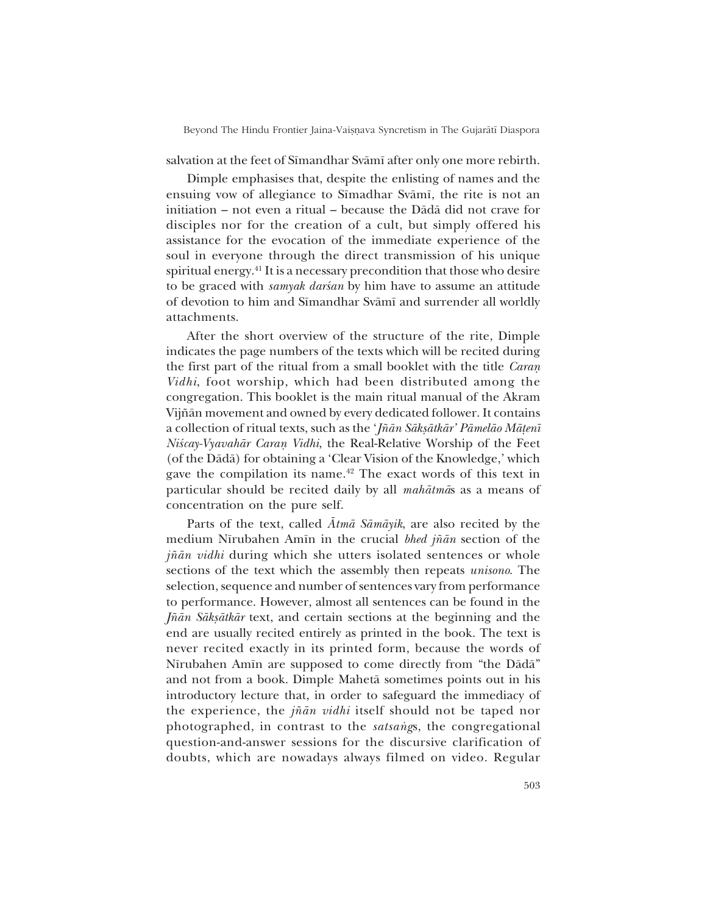salvation at the feet of Sīmandhar Svāmī after only one more rebirth.

Dimple emphasises that, despite the enlisting of names and the ensuing vow of allegiance to Sīmadhar Svāmī, the rite is not an initiation – not even a ritual – because the Dādā did not crave for disciples nor for the creation of a cult, but simply offered his assistance for the evocation of the immediate experience of the soul in everyone through the direct transmission of his unique spiritual energy.<sup>41</sup> It is a necessary precondition that those who desire to be graced with *samyak darsan* by him have to assume an attitude of devotion to him and Sīmandhar Svāmī and surrender all worldly attachments.

After the short overview of the structure of the rite, Dimple indicates the page numbers of the texts which will be recited during the first part of the ritual from a small booklet with the title *Caran Vidhi*, foot worship, which had been distributed among the congregation. This booklet is the main ritual manual of the Akram Vijñān movement and owned by every dedicated follower. It contains a collection of ritual texts, such as the '*Jñān Sākṣātkār' Pāmelāo Māṭenī Niścay-Vyavahār Caran Vidhi*, the Real-Relative Worship of the Feet (of the Dādā) for obtaining a 'Clear Vision of the Knowledge,' which gave the compilation its name.42 The exact words of this text in particular should be recited daily by all *mahåtmå*s as a means of concentration on the pure self.

Parts of the text, called *Åtmå Såmåyik*, are also recited by the medium N∂rubahen Am∂n in the crucial *bhed j¤ån* section of the *jñān vidhi* during which she utters isolated sentences or whole sections of the text which the assembly then repeats *unisono*. The selection, sequence and number of sentences vary from performance to performance. However, almost all sentences can be found in the *Jñān Sākṣātkār* text, and certain sections at the beginning and the end are usually recited entirely as printed in the book. The text is never recited exactly in its printed form, because the words of Nīrubahen Amīn are supposed to come directly from "the Dādā" and not from a book. Dimple Mahetå sometimes points out in his introductory lecture that, in order to safeguard the immediacy of the experience, the *j¤ån vidhi* itself should not be taped nor photographed, in contrast to the *satsangs*, the congregational question-and-answer sessions for the discursive clarification of doubts, which are nowadays always filmed on video. Regular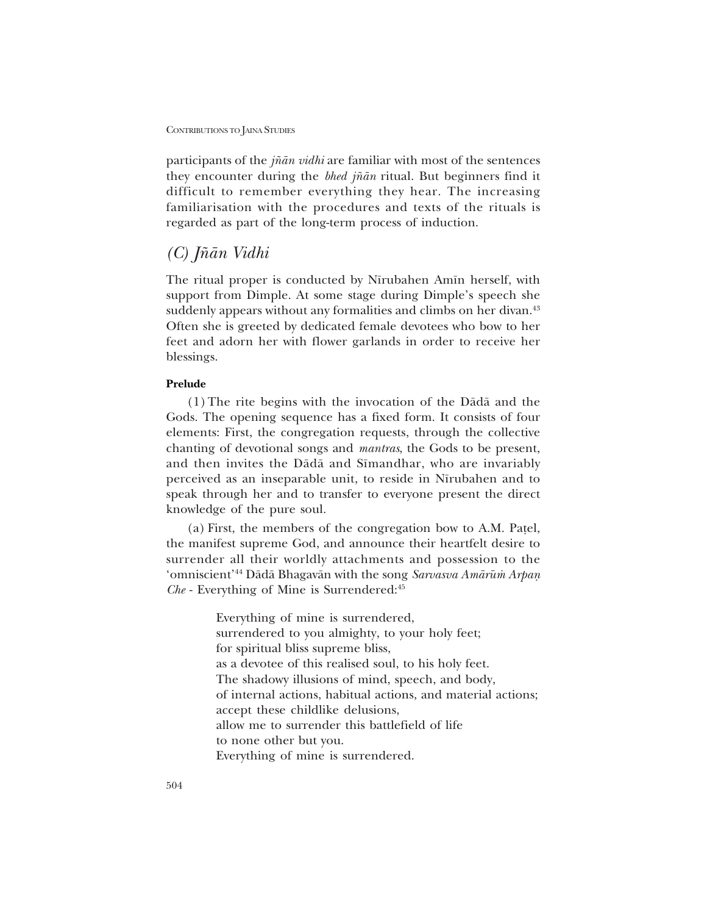participants of the *j¤ån vidhi* are familiar with most of the sentences they encounter during the *bhed j¤ån* ritual. But beginners find it difficult to remember everything they hear. The increasing familiarisation with the procedures and texts of the rituals is regarded as part of the long-term process of induction.

## *(C) J¤ån Vidhi*

The ritual proper is conducted by Nīrubahen Amīn herself, with support from Dimple. At some stage during Dimple's speech she suddenly appears without any formalities and climbs on her divan.<sup>43</sup> Often she is greeted by dedicated female devotees who bow to her feet and adorn her with flower garlands in order to receive her blessings.

### **Prelude**

(1)The rite begins with the invocation of the Dådå and the Gods. The opening sequence has a fixed form. It consists of four elements: First, the congregation requests, through the collective chanting of devotional songs and *mantras*, the Gods to be present, and then invites the Dādā and Sīmandhar, who are invariably perceived as an inseparable unit, to reside in Nīrubahen and to speak through her and to transfer to everyone present the direct knowledge of the pure soul.

(a) First, the members of the congregation bow to A.M. Patel, the manifest supreme God, and announce their heartfelt desire to surrender all their worldly attachments and possession to the <sup>∗</sup>omniscient<sup>∞44</sup> Dādā Bhagavān with the song *Sarvasva Amārūm̀ Arpan Che* - Everything of Mine is Surrendered:45

> Everything of mine is surrendered, surrendered to you almighty, to your holy feet; for spiritual bliss supreme bliss, as a devotee of this realised soul, to his holy feet. The shadowy illusions of mind, speech, and body, of internal actions, habitual actions, and material actions; accept these childlike delusions, allow me to surrender this battlefield of life to none other but you. Everything of mine is surrendered.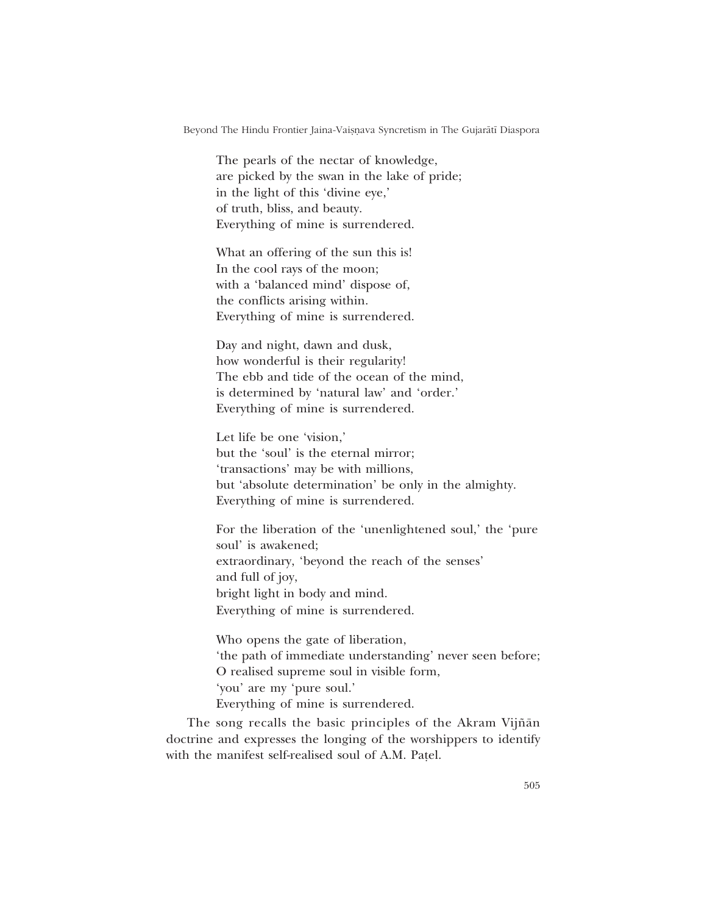The pearls of the nectar of knowledge, are picked by the swan in the lake of pride; in the light of this 'divine eye,' of truth, bliss, and beauty. Everything of mine is surrendered.

What an offering of the sun this is! In the cool rays of the moon; with a 'balanced mind' dispose of, the conflicts arising within. Everything of mine is surrendered.

Day and night, dawn and dusk, how wonderful is their regularity! The ebb and tide of the ocean of the mind, is determined by 'natural law' and 'order.' Everything of mine is surrendered.

Let life be one 'vision,' but the 'soul' is the eternal mirror; 'transactions' may be with millions, but 'absolute determination' be only in the almighty. Everything of mine is surrendered.

For the liberation of the 'unenlightened soul,' the 'pure soul' is awakened; extraordinary, 'beyond the reach of the senses' and full of joy, bright light in body and mind. Everything of mine is surrendered.

Who opens the gate of liberation, the path of immediate understanding' never seen before; O realised supreme soul in visible form, 'you' are my 'pure soul.' Everything of mine is surrendered.

The song recalls the basic principles of the Akram Vijñān doctrine and expresses the longing of the worshippers to identify with the manifest self-realised soul of A.M. Patel.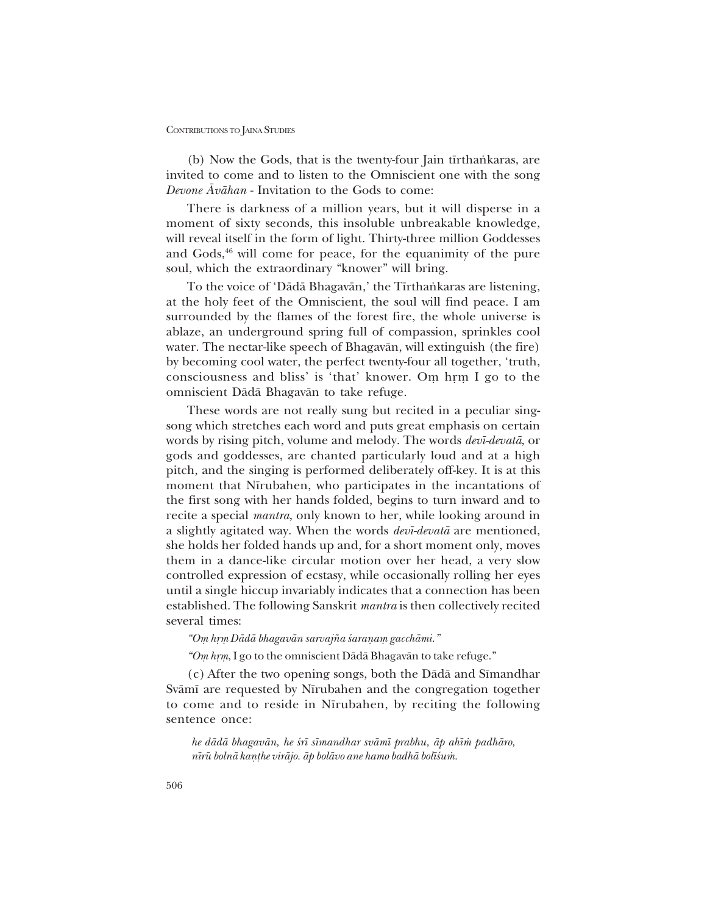(b) Now the Gods, that is the twenty-four Jain tīrthankaras, are invited to come and to listen to the Omniscient one with the song *Devone Åvåhan* - Invitation to the Gods to come:

There is darkness of a million years, but it will disperse in a moment of sixty seconds, this insoluble unbreakable knowledge, will reveal itself in the form of light. Thirty-three million Goddesses and  $Gods<sub>16</sub>$ <sup>46</sup> will come for peace, for the equanimity of the pure soul, which the extraordinary "knower" will bring.

To the voice of 'Dādā Bhagavān,' the Tīrthankaras are listening, at the holy feet of the Omniscient, the soul will find peace. I am surrounded by the flames of the forest fire, the whole universe is ablaze, an underground spring full of compassion, sprinkles cool water. The nectar-like speech of Bhagavån, will extinguish (the fire) by becoming cool water, the perfect twenty-four all together, 'truth, consciousness and bliss' is 'that' knower. Om hrm I go to the omniscient Dådå Bhagavån to take refuge.

These words are not really sung but recited in a peculiar singsong which stretches each word and puts great emphasis on certain words by rising pitch, volume and melody. The words *dev∂-devatå*, or gods and goddesses, are chanted particularly loud and at a high pitch, and the singing is performed deliberately off-key. It is at this moment that Nīrubahen, who participates in the incantations of the first song with her hands folded, begins to turn inward and to recite a special *mantra*, only known to her, while looking around in a slightly agitated way. When the words *dev∂-devatå* are mentioned, she holds her folded hands up and, for a short moment only, moves them in a dance-like circular motion over her head, a very slow controlled expression of ecstasy, while occasionally rolling her eyes until a single hiccup invariably indicates that a connection has been established. The following Sanskrit *mantra* is then collectively recited several times:

*ìO√ hæ√ Dådå bhagavån sarvaj¤a ‹araƒa√ gacchåmi.î*

<sup>*"Om hrm*, I go to the omniscient Dādā Bhagavān to take refuge."</sup>

(c) After the two opening songs, both the Dādā and Sīmandhar Svāmī are requested by Nīrubahen and the congregation together to come and to reside in Nīrubahen, by reciting the following sentence once:

*he dådå bhagavån, he ‹r∂ s∂mandhar svåm∂ prabhu, åp ah∂≈ padhåro, n∂rμu bolnå kaƒ¢he viråjo. åp bolåvo ane hamo badhå bol∂‹u≈.*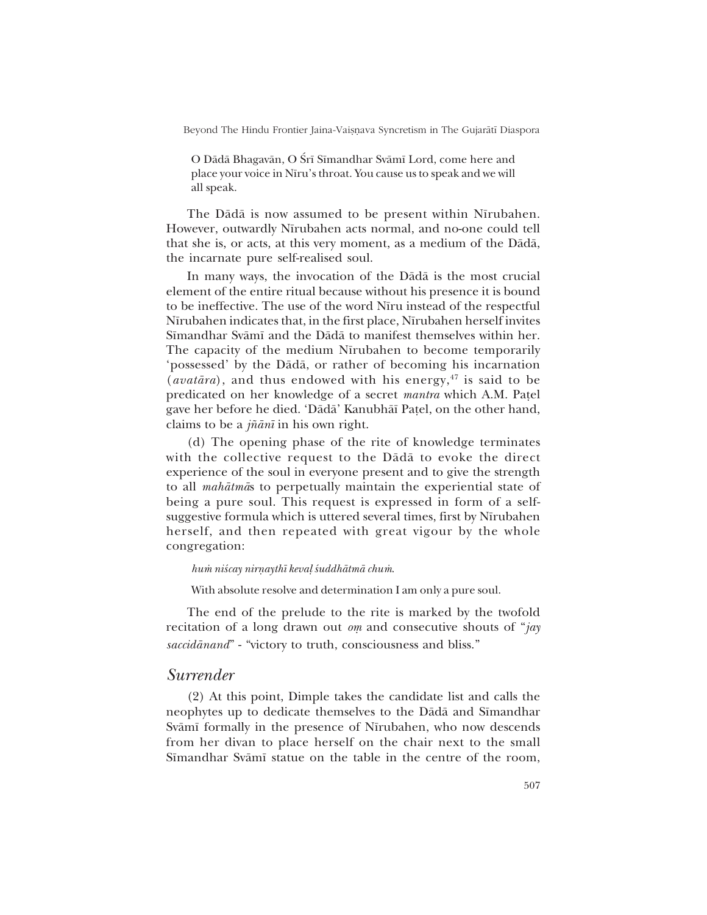O Dādā Bhagavān, O Śrī Sīmandhar Svāmī Lord, come here and place your voice in Nīru's throat. You cause us to speak and we will all speak.

The Dādā is now assumed to be present within Nīrubahen. However, outwardly Nīrubahen acts normal, and no-one could tell that she is, or acts, at this very moment, as a medium of the Dådå, the incarnate pure self-realised soul.

In many ways, the invocation of the Dådå is the most crucial element of the entire ritual because without his presence it is bound to be ineffective. The use of the word Nīru instead of the respectful Nīrubahen indicates that, in the first place, Nīrubahen herself invites S∂mandhar Svåm∂ and the Dådå to manifest themselves within her. The capacity of the medium Nīrubahen to become temporarily possessed by the Dådå, or rather of becoming his incarnation (*avatāra*), and thus endowed with his energy,<sup>47</sup> is said to be predicated on her knowledge of a secret *mantra* which A.M. Patel gave her before he died. 'Dādā' Kanubhāī Paṭel, on the other hand, claims to be a *j¤ån∂* in his own right.

(d) The opening phase of the rite of knowledge terminates with the collective request to the Dådå to evoke the direct experience of the soul in everyone present and to give the strength to all *mahåtmå*s to perpetually maintain the experiential state of being a pure soul. This request is expressed in form of a selfsuggestive formula which is uttered several times, first by Nīrubahen herself, and then repeated with great vigour by the whole congregation:

*hum niścay nirnaythī kevaļ śuddhātmā chum.* 

With absolute resolve and determination I am only a pure soul.

The end of the prelude to the rite is marked by the twofold recitation of a long drawn out *om* and consecutive shouts of "*jay saccidānand*" - "victory to truth, consciousness and bliss."

## *Surrender*

(2) At this point, Dimple takes the candidate list and calls the neophytes up to dedicate themselves to the Dādā and Sīmandhar Svāmī formally in the presence of Nīrubahen, who now descends from her divan to place herself on the chair next to the small Sīmandhar Svāmī statue on the table in the centre of the room,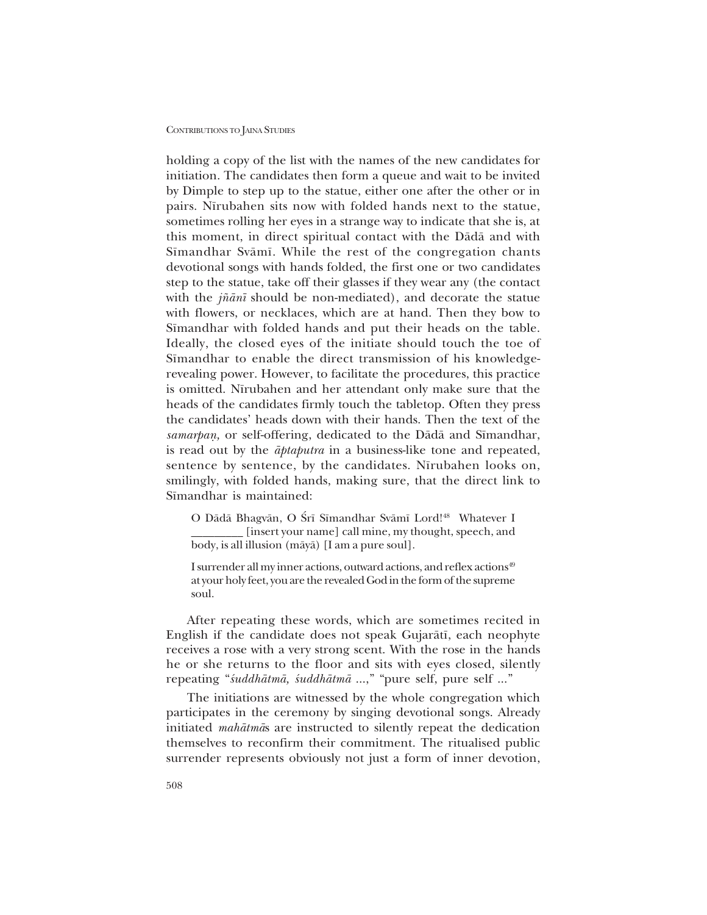holding a copy of the list with the names of the new candidates for initiation. The candidates then form a queue and wait to be invited by Dimple to step up to the statue, either one after the other or in pairs. Nīrubahen sits now with folded hands next to the statue, sometimes rolling her eyes in a strange way to indicate that she is, at this moment, in direct spiritual contact with the Dådå and with Sīmandhar Svāmī. While the rest of the congregation chants devotional songs with hands folded, the first one or two candidates step to the statue, take off their glasses if they wear any (the contact with the *j¤ån∂* should be non-mediated), and decorate the statue with flowers, or necklaces, which are at hand. Then they bow to Sīmandhar with folded hands and put their heads on the table. Ideally, the closed eyes of the initiate should touch the toe of Sīmandhar to enable the direct transmission of his knowledgerevealing power. However, to facilitate the procedures, this practice is omitted. Nīrubahen and her attendant only make sure that the heads of the candidates firmly touch the tabletop. Often they press the candidates' heads down with their hands. Then the text of the samarpan, or self-offering, dedicated to the Dādā and Sīmandhar, is read out by the *åptaputra* in a business-like tone and repeated, sentence by sentence, by the candidates. Nīrubahen looks on, smilingly, with folded hands, making sure, that the direct link to Sīmandhar is maintained:

O Dādā Bhagvān, O Śrī Sīmandhar Svāmī Lord!<sup>48</sup> Whatever I [insert your name] call mine, my thought, speech, and body, is all illusion (måyå) [I am a pure soul].

I surrender all my inner actions, outward actions, and reflex actions<sup>49</sup> at your holy feet, you are the revealed God in the form of the supreme soul.

After repeating these words, which are sometimes recited in English if the candidate does not speak Gujaråt∂, each neophyte receives a rose with a very strong scent. With the rose in the hands he or she returns to the floor and sits with eyes closed, silently repeating "*śuddhātmā*, *śuddhātmā* ...," "pure self, pure self ..."

The initiations are witnessed by the whole congregation which participates in the ceremony by singing devotional songs. Already initiated *mahåtmå*s are instructed to silently repeat the dedication themselves to reconfirm their commitment. The ritualised public surrender represents obviously not just a form of inner devotion,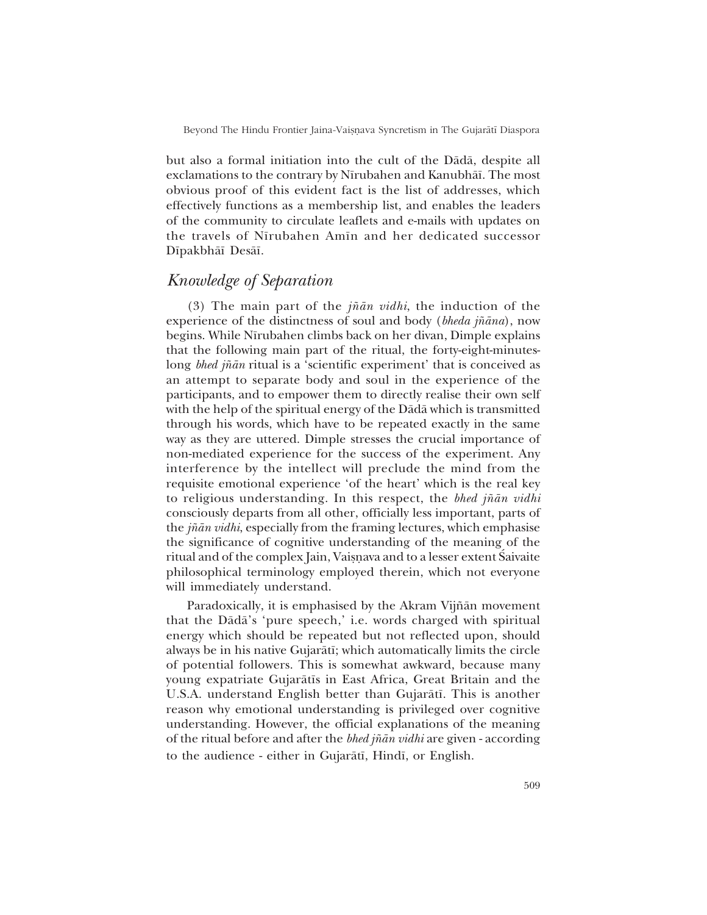but also a formal initiation into the cult of the Dådå, despite all exclamations to the contrary by Nīrubahen and Kanubhāī. The most obvious proof of this evident fact is the list of addresses, which effectively functions as a membership list, and enables the leaders of the community to circulate leaflets and e-mails with updates on the travels of N∂rubahen Am∂n and her dedicated successor D∂pakbhå∂ Deså∂.

# *Knowledge of Separation*

(3) The main part of the *j¤ån vidhi*, the induction of the experience of the distinctness of soul and body (*bheda j¤åna*), now begins. While N∂rubahen climbs back on her divan, Dimple explains that the following main part of the ritual, the forty-eight-minuteslong *bhed jñān* ritual is a 'scientific experiment' that is conceived as an attempt to separate body and soul in the experience of the participants, and to empower them to directly realise their own self with the help of the spiritual energy of the Dådå which is transmitted through his words, which have to be repeated exactly in the same way as they are uttered. Dimple stresses the crucial importance of non-mediated experience for the success of the experiment. Any interference by the intellect will preclude the mind from the requisite emotional experience 'of the heart' which is the real key to religious understanding. In this respect, the *bhed j¤ån vidhi* consciously departs from all other, officially less important, parts of the *j¤ån vidhi*, especially from the framing lectures, which emphasise the significance of cognitive understanding of the meaning of the ritual and of the complex Jain, Vaișnava and to a lesser extent Saivaite philosophical terminology employed therein, which not everyone will immediately understand.

Paradoxically, it is emphasised by the Akram Vijñān movement that the Dādā's 'pure speech,' i.e. words charged with spiritual energy which should be repeated but not reflected upon, should always be in his native Gujaråt∂; which automatically limits the circle of potential followers. This is somewhat awkward, because many young expatriate Gujaråt∂s in East Africa, Great Britain and the U.S.A. understand English better than Gujaråt∂. This is another reason why emotional understanding is privileged over cognitive understanding. However, the official explanations of the meaning of the ritual before and after the *bhed j¤ån vidhi* are given - according to the audience - either in Gujarātī, Hindī, or English.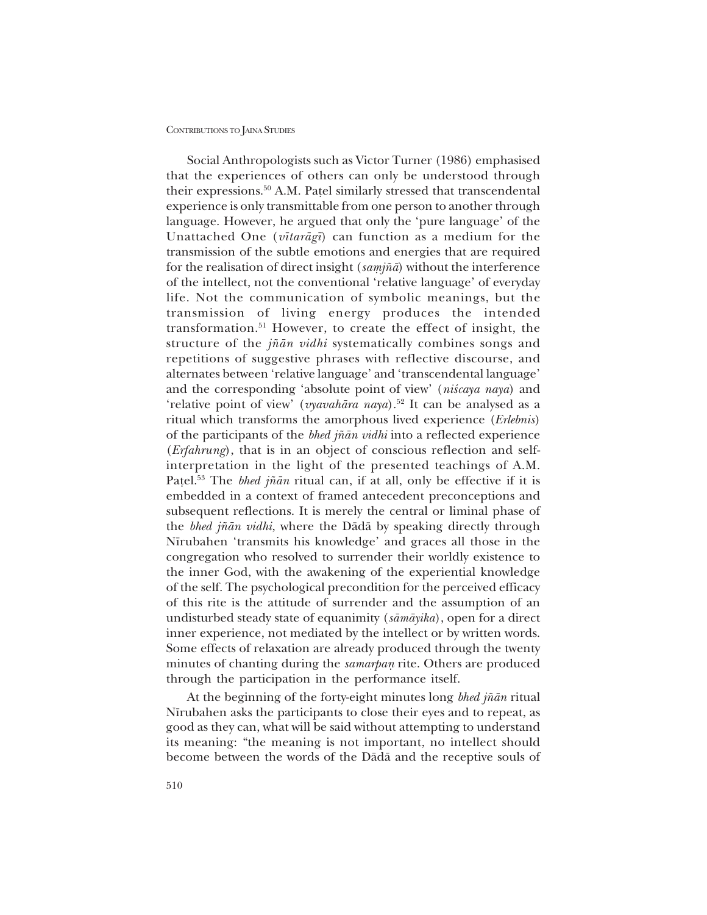Social Anthropologists such as Victor Turner (1986) emphasised that the experiences of others can only be understood through their expressions.<sup>50</sup> A.M. Patel similarly stressed that transcendental experience is only transmittable from one person to another through language. However, he argued that only the 'pure language' of the Unattached One (*v∂taråg∂*) can function as a medium for the transmission of the subtle emotions and energies that are required for the realisation of direct insight (*samjñā*) without the interference of the intellect, not the conventional 'relative language' of everyday life. Not the communication of symbolic meanings, but the transmission of living energy produces the intended transformation.51 However, to create the effect of insight, the structure of the *j¤ån vidhi* systematically combines songs and repetitions of suggestive phrases with reflective discourse, and alternates between 'relative language' and 'transcendental language' and the corresponding 'absolute point of view' (*niscaya naya*) and 'relative point of view' (*vyavahāra naya*).<sup>52</sup> It can be analysed as a ritual which transforms the amorphous lived experience (*Erlebnis*) of the participants of the *bhed j¤ån vidhi* into a reflected experience (*Erfahrung*), that is in an object of conscious reflection and selfinterpretation in the light of the presented teachings of A.M. Patel.<sup>53</sup> The *bhed jñān* ritual can, if at all, only be effective if it is embedded in a context of framed antecedent preconceptions and subsequent reflections. It is merely the central or liminal phase of the *bhed j¤ån vidhi*, where the Dådå by speaking directly through Nīrubahen 'transmits his knowledge' and graces all those in the congregation who resolved to surrender their worldly existence to the inner God, with the awakening of the experiential knowledge of the self. The psychological precondition for the perceived efficacy of this rite is the attitude of surrender and the assumption of an undisturbed steady state of equanimity (*såmåyika*), open for a direct inner experience, not mediated by the intellect or by written words. Some effects of relaxation are already produced through the twenty minutes of chanting during the *samarpan* rite. Others are produced through the participation in the performance itself.

At the beginning of the forty-eight minutes long *bhed j¤ån* ritual Nīrubahen asks the participants to close their eyes and to repeat, as good as they can, what will be said without attempting to understand its meaning: "the meaning is not important, no intellect should become between the words of the Dådå and the receptive souls of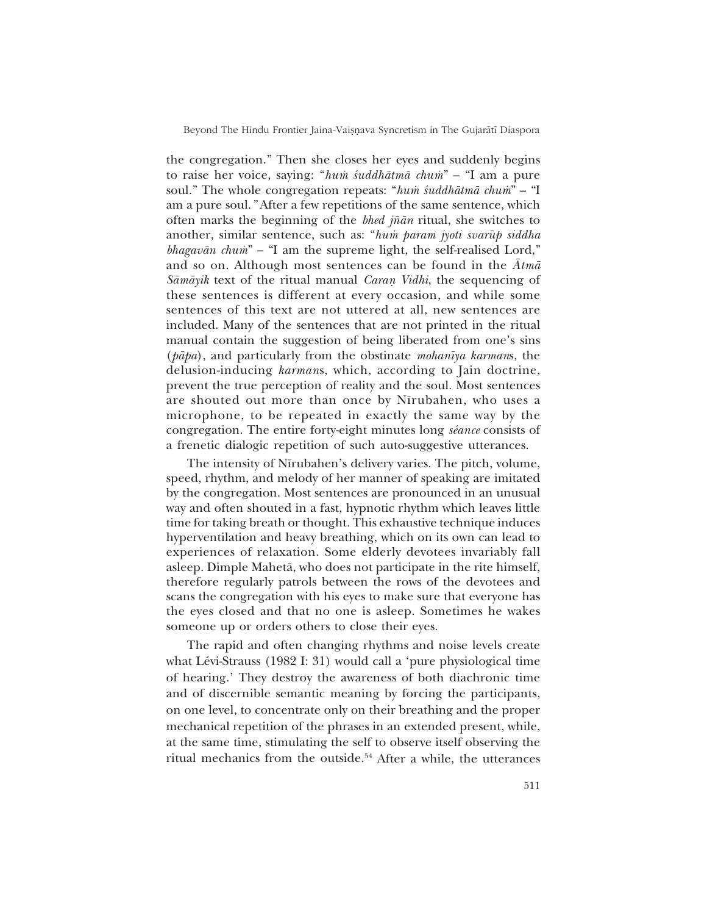the congregation.î Then she closes her eyes and suddenly begins to raise her voice, saying: "*hum śuddhātmā chum*" – "I am a pure soul." The whole congregation repeats: "*hum śuddhātmā chum*" – "I am a pure soul.*î* After a few repetitions of the same sentence, which often marks the beginning of the *bhed j¤ån* ritual, she switches to another, similar sentence, such as: "*hum param jyoti svarūp siddha bhagavān chum*<sup>n</sup> – "I am the supreme light, the self-realised Lord," and so on. Although most sentences can be found in the *Åtmå Sāmāyik* text of the ritual manual *Caran Vidhi*, the sequencing of these sentences is different at every occasion, and while some sentences of this text are not uttered at all, new sentences are included. Many of the sentences that are not printed in the ritual manual contain the suggestion of being liberated from one's sins (*påpa*), and particularly from the obstinate *mohan∂ya karman*s, the delusion-inducing *karman*s, which, according to Jain doctrine, prevent the true perception of reality and the soul. Most sentences are shouted out more than once by Nīrubahen, who uses a microphone, to be repeated in exactly the same way by the congregation. The entire forty-eight minutes long *séance* consists of a frenetic dialogic repetition of such auto-suggestive utterances.

The intensity of Nīrubahen's delivery varies. The pitch, volume, speed, rhythm, and melody of her manner of speaking are imitated by the congregation. Most sentences are pronounced in an unusual way and often shouted in a fast, hypnotic rhythm which leaves little time for taking breath or thought. This exhaustive technique induces hyperventilation and heavy breathing, which on its own can lead to experiences of relaxation. Some elderly devotees invariably fall asleep. Dimple Mahetå, who does not participate in the rite himself, therefore regularly patrols between the rows of the devotees and scans the congregation with his eyes to make sure that everyone has the eyes closed and that no one is asleep. Sometimes he wakes someone up or orders others to close their eyes.

The rapid and often changing rhythms and noise levels create what Lévi-Strauss (1982 I: 31) would call a 'pure physiological time of hearing. They destroy the awareness of both diachronic time and of discernible semantic meaning by forcing the participants, on one level, to concentrate only on their breathing and the proper mechanical repetition of the phrases in an extended present, while, at the same time, stimulating the self to observe itself observing the ritual mechanics from the outside.<sup>54</sup> After a while, the utterances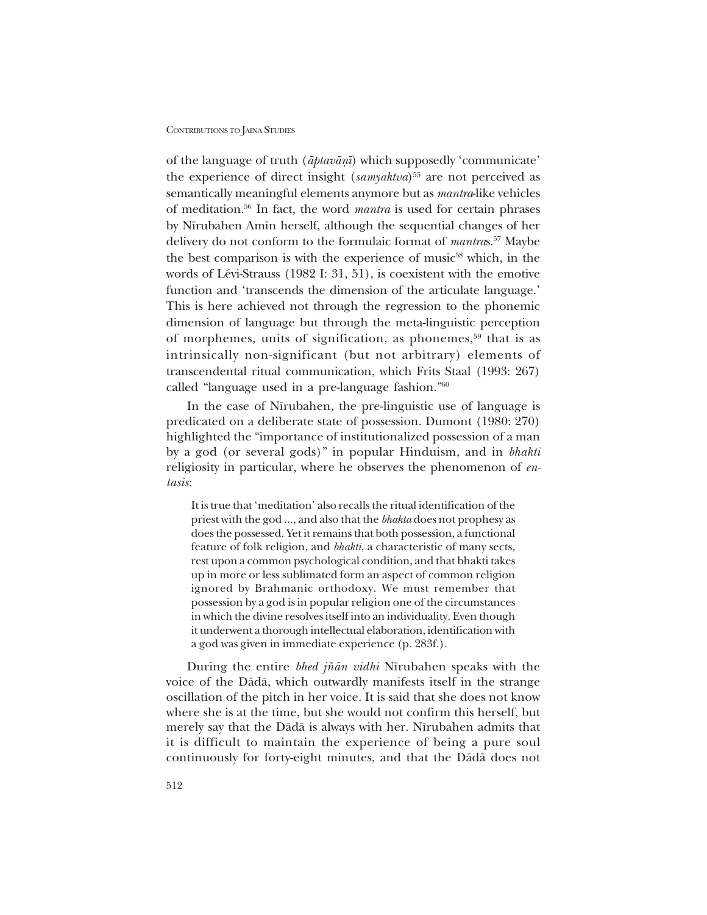of the language of truth ( $āptavānī$ ) which supposedly 'communicate' the experience of direct insight (*samyaktva*)<sup>55</sup> are not perceived as semantically meaningful elements anymore but as *mantra*-like vehicles of meditation.56 In fact, the word *mantra* is used for certain phrases by Nīrubahen Amīn herself, although the sequential changes of her delivery do not conform to the formulaic format of *mantra*s.57 Maybe the best comparison is with the experience of music<sup>58</sup> which, in the words of Lévi-Strauss (1982 I: 31, 51), is coexistent with the emotive function and 'transcends the dimension of the articulate language.' This is here achieved not through the regression to the phonemic dimension of language but through the meta-linguistic perception of morphemes, units of signification, as phonemes,<sup>59</sup> that is as intrinsically non-significant (but not arbitrary) elements of transcendental ritual communication, which Frits Staal (1993: 267) called "language used in a pre-language fashion." $60$ 

In the case of N∂rubahen, the pre-linguistic use of language is predicated on a deliberate state of possession. Dumont (1980: 270) highlighted the "importance of institutionalized possession of a man by a god (or several gods)î in popular Hinduism, and in *bhakti* religiosity in particular, where he observes the phenomenon of *entasis*:

It is true that 'meditation' also recalls the ritual identification of the priest with the god ..., and also that the *bhakta* does not prophesy as does the possessed. Yet it remains that both possession, a functional feature of folk religion, and *bhakti*, a characteristic of many sects, rest upon a common psychological condition, and that bhakti takes up in more or less sublimated form an aspect of common religion ignored by Brahmanic orthodoxy. We must remember that possession by a god is in popular religion one of the circumstances in which the divine resolves itself into an individuality. Even though it underwent a thorough intellectual elaboration, identification with a god was given in immediate experience (p. 283f.).

During the entire *bhed jñān vidhi* Nīrubahen speaks with the voice of the Dådå, which outwardly manifests itself in the strange oscillation of the pitch in her voice. It is said that she does not know where she is at the time, but she would not confirm this herself, but merely say that the Dādā is always with her. Nīrubahen admits that it is difficult to maintain the experience of being a pure soul continuously for forty-eight minutes, and that the Dådå does not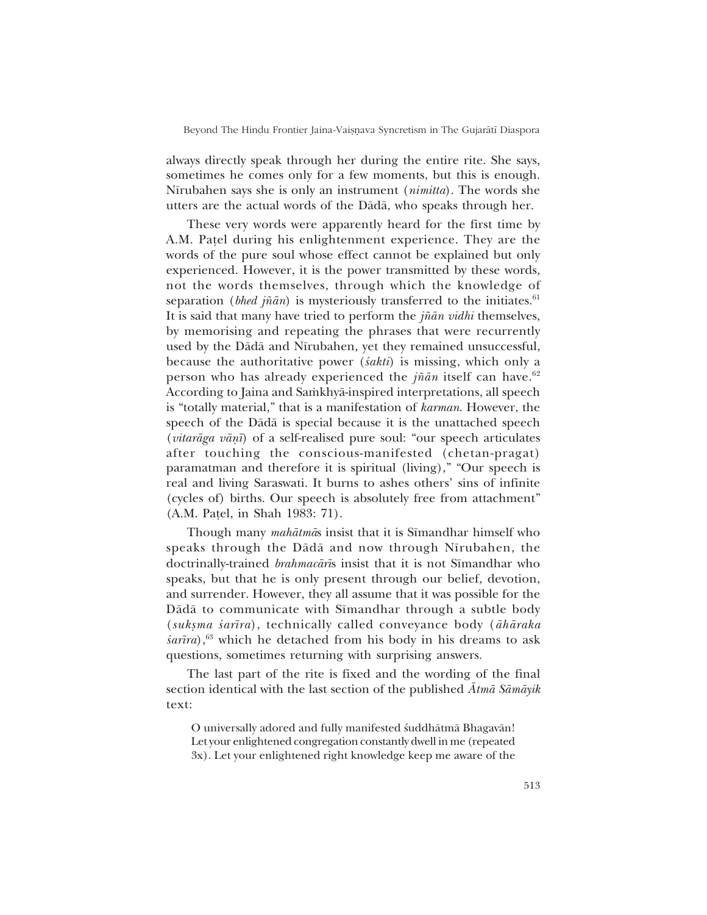always directly speak through her during the entire rite. She says, sometimes he comes only for a few moments, but this is enough. N∂rubahen says she is only an instrument (*nimitta*). The words she utters are the actual words of the Dådå, who speaks through her.

These very words were apparently heard for the first time by A.M. Patel during his enlightenment experience. They are the words of the pure soul whose effect cannot be explained but only experienced. However, it is the power transmitted by these words, not the words themselves, through which the knowledge of separation (*bhed jñān*) is mysteriously transferred to the initiates.<sup>61</sup> It is said that many have tried to perform the *j¤ån vidhi* themselves, by memorising and repeating the phrases that were recurrently used by the Dādā and Nīrubahen, yet they remained unsuccessful, because the authoritative power (*‹akti*) is missing, which only a person who has already experienced the *jñān* itself can have.<sup>62</sup> According to Jaina and Samkhyā-inspired interpretations, all speech is "totally material," that is a manifestation of *karman*. However, the speech of the Dådå is special because it is the unattached speech (*vitarāga vāṇī*) of a self-realised pure soul: "our speech articulates after touching the conscious-manifested (chetan-pragat) paramatman and therefore it is spiritual (living)," "Our speech is real and living Saraswati. It burns to ashes others' sins of infinite (cycles of) births. Our speech is absolutely free from attachment" (A.M. Pa¢el, in Shah 1983: 71).

Though many *mahātmā*s insist that it is Sīmandhar himself who speaks through the Dādā and now through Nīrubahen, the doctrinally-trained *brahmacārīs* insist that it is not Sīmandhar who speaks, but that he is only present through our belief, devotion, and surrender. However, they all assume that it was possible for the Dådå to communicate with Sīmandhar through a subtle body (*suk¶ma ‹ar∂ra*), technically called conveyance body (*åhåraka sarīra*),<sup>63</sup> which he detached from his body in his dreams to ask questions, sometimes returning with surprising answers.

The last part of the rite is fixed and the wording of the final section identical with the last section of the published *Åtmå Såmåyik* text:

O universally adored and fully manifested suddhātmā Bhagavān! Let your enlightened congregation constantly dwell in me (repeated 3x). Let your enlightened right knowledge keep me aware of the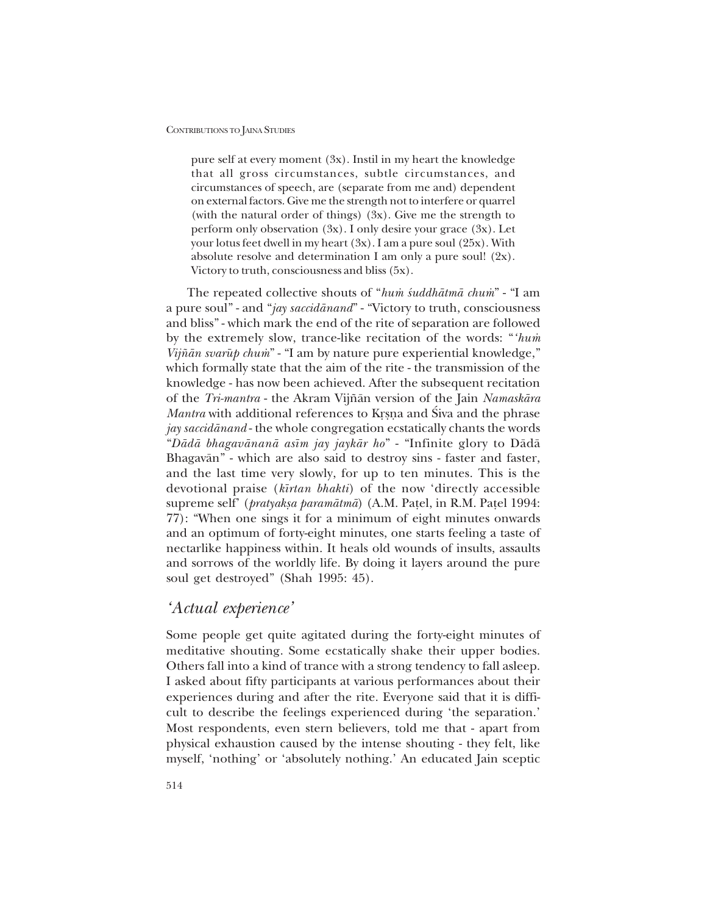pure self at every moment (3x). Instil in my heart the knowledge that all gross circumstances, subtle circumstances, and circumstances of speech, are (separate from me and) dependent on external factors. Give me the strength not to interfere or quarrel (with the natural order of things) (3x). Give me the strength to perform only observation (3x). I only desire your grace (3x). Let your lotus feet dwell in my heart (3x). I am a pure soul (25x). With absolute resolve and determination I am only a pure soul! (2x). Victory to truth, consciousness and bliss (5x).

The repeated collective shouts of "*hum̀ śuddhātmā chum*" - "I am a pure soul" - and "*jay saccidānand*" - "Victory to truth, consciousness and bliss" - which mark the end of the rite of separation are followed by the extremely slow, trance-like recitation of the words: *"hum Vijñān svarūp chum*" - "I am by nature pure experiential knowledge," which formally state that the aim of the rite - the transmission of the knowledge - has now been achieved. After the subsequent recitation of the *Tri-mantra* - the Akram Vij¤ån version of the Jain *Namaskåra Mantra* with additional references to Krsna and Siva and the phrase *jay saccidånand* - the whole congregation ecstatically chants the words ì*Dådå bhagavånanå as∂m jay jaykår ho*î - ìInfinite glory to Dådå Bhagavān" - which are also said to destroy sins - faster and faster, and the last time very slowly, for up to ten minutes. This is the devotional praise (*k∂rtan bhakti*) of the now ëdirectly accessible supreme self<sup>'</sup> (*pratyakṣa paramātmā*) (A.M. Paṭel, in R.M. Paṭel 1994: 77): "When one sings it for a minimum of eight minutes onwards and an optimum of forty-eight minutes, one starts feeling a taste of nectarlike happiness within. It heals old wounds of insults, assaults and sorrows of the worldly life. By doing it layers around the pure soul get destroyed" (Shah 1995: 45).

## *ëActual experienceí*

Some people get quite agitated during the forty-eight minutes of meditative shouting. Some ecstatically shake their upper bodies. Others fall into a kind of trance with a strong tendency to fall asleep. I asked about fifty participants at various performances about their experiences during and after the rite. Everyone said that it is difficult to describe the feelings experienced during 'the separation.' Most respondents, even stern believers, told me that - apart from physical exhaustion caused by the intense shouting - they felt, like myself, 'nothing' or 'absolutely nothing.' An educated Jain sceptic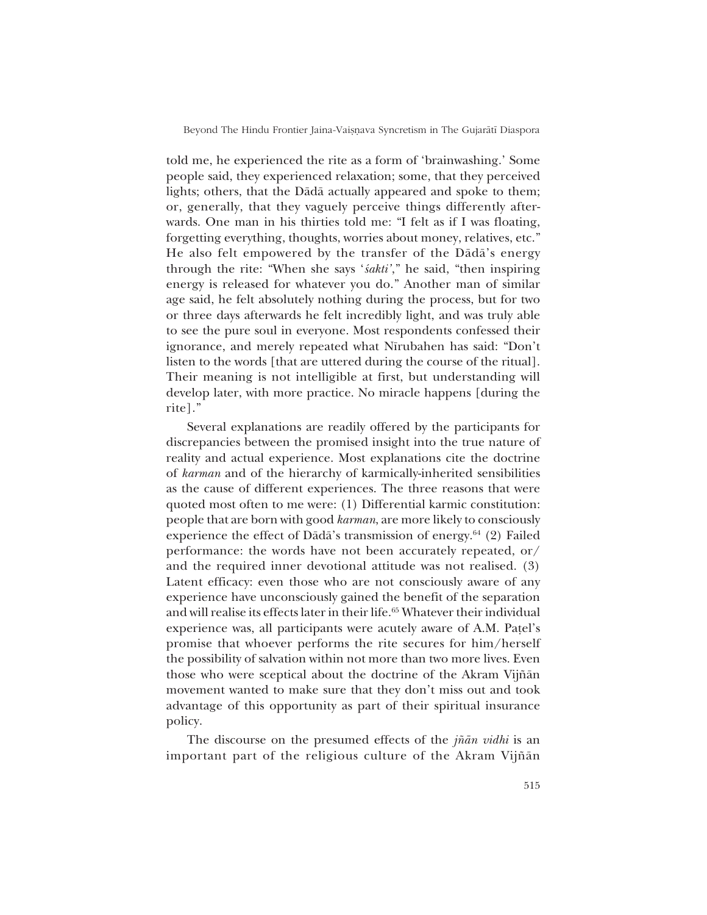told me, he experienced the rite as a form of 'brainwashing.' Some people said, they experienced relaxation; some, that they perceived lights; others, that the Dådå actually appeared and spoke to them; or, generally, that they vaguely perceive things differently afterwards. One man in his thirties told me: "I felt as if I was floating, forgetting everything, thoughts, worries about money, relatives, etc.<sup>"</sup> He also felt empowered by the transfer of the Dādā's energy through the rite: "When she says 'sakti'," he said, "then inspiring energy is released for whatever you do." Another man of similar age said, he felt absolutely nothing during the process, but for two or three days afterwards he felt incredibly light, and was truly able to see the pure soul in everyone. Most respondents confessed their ignorance, and merely repeated what Nīrubahen has said: "Don't listen to the words [that are uttered during the course of the ritual]. Their meaning is not intelligible at first, but understanding will develop later, with more practice. No miracle happens [during the rite<sup>1.</sup>

Several explanations are readily offered by the participants for discrepancies between the promised insight into the true nature of reality and actual experience. Most explanations cite the doctrine of *karman* and of the hierarchy of karmically-inherited sensibilities as the cause of different experiences. The three reasons that were quoted most often to me were: (1) Differential karmic constitution: people that are born with good *karman*, are more likely to consciously experience the effect of Dādā's transmission of energy. $64$  (2) Failed performance: the words have not been accurately repeated, or/ and the required inner devotional attitude was not realised. (3) Latent efficacy: even those who are not consciously aware of any experience have unconsciously gained the benefit of the separation and will realise its effects later in their life.65 Whatever their individual experience was, all participants were acutely aware of A.M. Patel's promise that whoever performs the rite secures for him/herself the possibility of salvation within not more than two more lives. Even those who were sceptical about the doctrine of the Akram Vijñān movement wanted to make sure that they don't miss out and took advantage of this opportunity as part of their spiritual insurance policy.

The discourse on the presumed effects of the *j¤ån vidhi* is an important part of the religious culture of the Akram Vijñān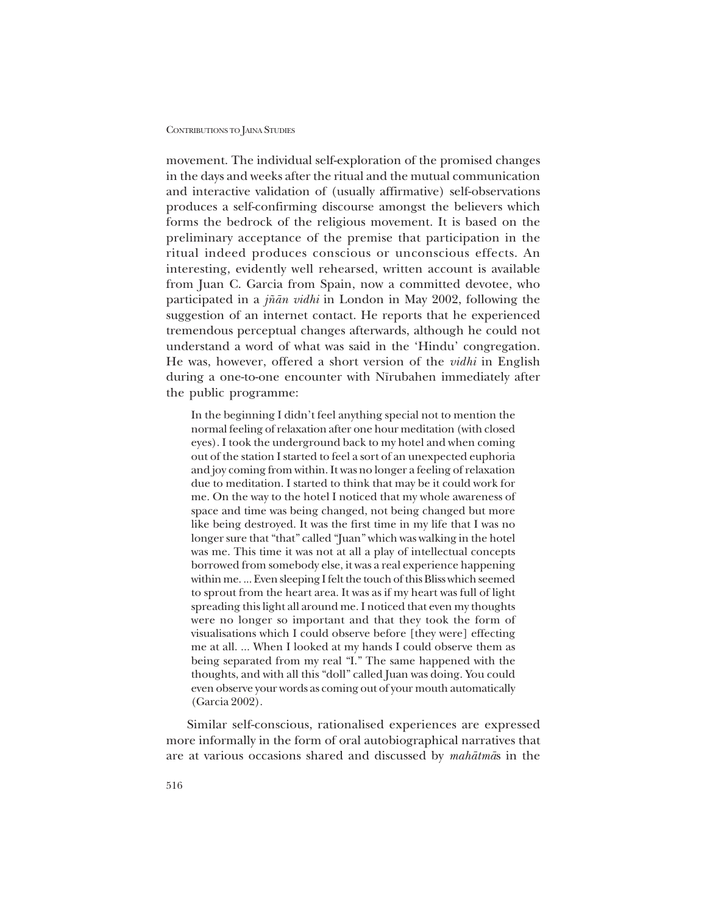movement. The individual self-exploration of the promised changes in the days and weeks after the ritual and the mutual communication and interactive validation of (usually affirmative) self-observations produces a self-confirming discourse amongst the believers which forms the bedrock of the religious movement. It is based on the preliminary acceptance of the premise that participation in the ritual indeed produces conscious or unconscious effects. An interesting, evidently well rehearsed, written account is available from Juan C. Garcia from Spain, now a committed devotee, who participated in a *j¤ån vidhi* in London in May 2002, following the suggestion of an internet contact. He reports that he experienced tremendous perceptual changes afterwards, although he could not understand a word of what was said in the 'Hindu' congregation. He was, however, offered a short version of the *vidhi* in English during a one-to-one encounter with Nīrubahen immediately after the public programme:

In the beginning I didn't feel anything special not to mention the normal feeling of relaxation after one hour meditation (with closed eyes). I took the underground back to my hotel and when coming out of the station I started to feel a sort of an unexpected euphoria and joy coming from within. It was no longer a feeling of relaxation due to meditation. I started to think that may be it could work for me. On the way to the hotel I noticed that my whole awareness of space and time was being changed, not being changed but more like being destroyed. It was the first time in my life that I was no longer sure that "that" called "Juan" which was walking in the hotel was me. This time it was not at all a play of intellectual concepts borrowed from somebody else, it was a real experience happening within me. ... Even sleeping I felt the touch of this Bliss which seemed to sprout from the heart area. It was as if my heart was full of light spreading this light all around me. I noticed that even my thoughts were no longer so important and that they took the form of visualisations which I could observe before [they were] effecting me at all. ... When I looked at my hands I could observe them as being separated from my real "I." The same happened with the thoughts, and with all this "doll" called Juan was doing. You could even observe your words as coming out of your mouth automatically (Garcia 2002).

Similar self-conscious, rationalised experiences are expressed more informally in the form of oral autobiographical narratives that are at various occasions shared and discussed by *mahåtmå*s in the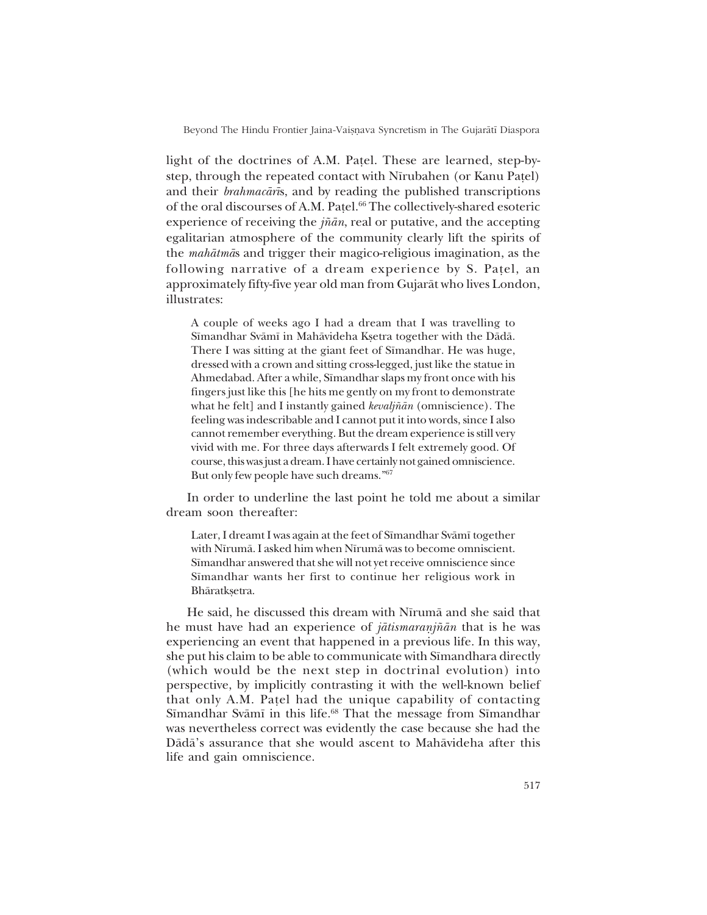light of the doctrines of A.M. Patel. These are learned, step-bystep, through the repeated contact with Nīrubahen (or Kanu Patel) and their *brahmacår∂*s, and by reading the published transcriptions of the oral discourses of A.M. Pa¢el.66 The collectively-shared esoteric experience of receiving the *j¤ån*, real or putative, and the accepting egalitarian atmosphere of the community clearly lift the spirits of the *mahåtmå*s and trigger their magico-religious imagination, as the following narrative of a dream experience by S. Patel, an approximately fifty-five year old man from Gujaråt who lives London, illustrates:

A couple of weeks ago I had a dream that I was travelling to S∂mandhar Svåm∂ in Mahåvideha K¶etra together with the Dådå. There I was sitting at the giant feet of Sīmandhar. He was huge, dressed with a crown and sitting cross-legged, just like the statue in Ahmedabad. After a while, Sīmandhar slaps my front once with his fingers just like this [he hits me gently on my front to demonstrate what he felt] and I instantly gained *kevalj¤ån* (omniscience). The feeling was indescribable and I cannot put it into words, since I also cannot remember everything. But the dream experience is still very vivid with me. For three days afterwards I felt extremely good. Of course, this was just a dream. I have certainly not gained omniscience. But only few people have such dreams."<sup>67</sup>

In order to underline the last point he told me about a similar dream soon thereafter:

Later, I dreamt I was again at the feet of Sīmandhar Svāmī together with Nīrumā. I asked him when Nīrumā was to become omniscient. Sīmandhar answered that she will not yet receive omniscience since Sīmandhar wants her first to continue her religious work in Bhāratkṣetra.

He said, he discussed this dream with Nīrumā and she said that he must have had an experience of *jātismaranjñān* that is he was experiencing an event that happened in a previous life. In this way, she put his claim to be able to communicate with Sīmandhara directly (which would be the next step in doctrinal evolution) into perspective, by implicitly contrasting it with the well-known belief that only A.M. Pa¢el had the unique capability of contacting Sīmandhar Svāmī in this life.<sup>68</sup> That the message from Sīmandhar was nevertheless correct was evidently the case because she had the Dådåís assurance that she would ascent to Mahåvideha after this life and gain omniscience.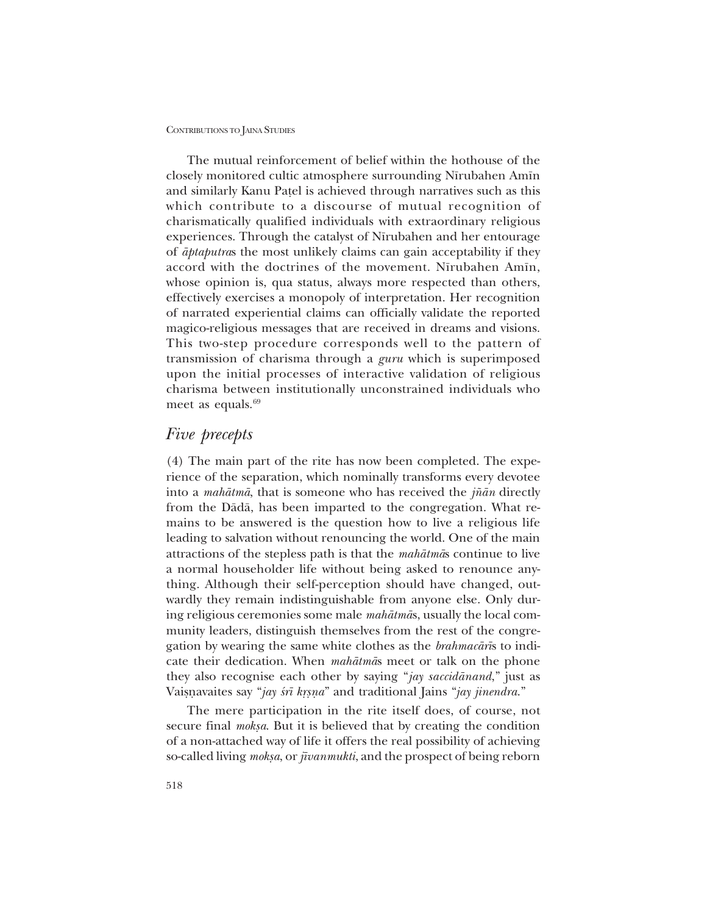The mutual reinforcement of belief within the hothouse of the closely monitored cultic atmosphere surrounding N∂rubahen Am∂n and similarly Kanu Pa¢el is achieved through narratives such as this which contribute to a discourse of mutual recognition of charismatically qualified individuals with extraordinary religious experiences. Through the catalyst of Nīrubahen and her entourage of *åptaputra*s the most unlikely claims can gain acceptability if they accord with the doctrines of the movement. Nīrubahen Amīn, whose opinion is, qua status, always more respected than others, effectively exercises a monopoly of interpretation. Her recognition of narrated experiential claims can officially validate the reported magico-religious messages that are received in dreams and visions. This two-step procedure corresponds well to the pattern of transmission of charisma through a *guru* which is superimposed upon the initial processes of interactive validation of religious charisma between institutionally unconstrained individuals who meet as equals. $69$ 

## *Five precepts*

(4) The main part of the rite has now been completed. The experience of the separation, which nominally transforms every devotee into a *mahåtmå*, that is someone who has received the *j¤ån* directly from the Dådå, has been imparted to the congregation. What remains to be answered is the question how to live a religious life leading to salvation without renouncing the world. One of the main attractions of the stepless path is that the *mahåtmå*s continue to live a normal householder life without being asked to renounce anything. Although their self-perception should have changed, outwardly they remain indistinguishable from anyone else. Only during religious ceremonies some male *mahåtmå*s, usually the local community leaders, distinguish themselves from the rest of the congregation by wearing the same white clothes as the *brahmacår∂*s to indicate their dedication. When *mahåtmå*s meet or talk on the phone they also recognise each other by saying "jay saccidānand," just as Vaisnavaites say "*jay śrī kṛṣṇa*" and traditional Jains "*jay jinendra*."

The mere participation in the rite itself does, of course, not secure final *moksa*. But it is believed that by creating the condition of a non-attached way of life it offers the real possibility of achieving so-called living *moksa*, or *jīvanmukti*, and the prospect of being reborn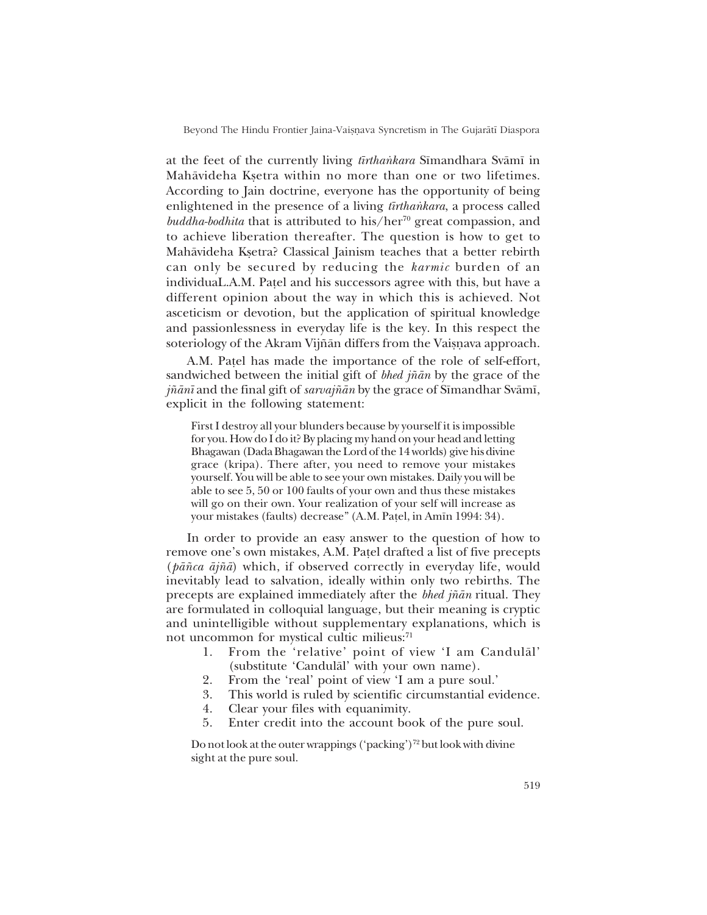at the feet of the currently living *tīrthankara* Sīmandhara Svāmī in Mahāvideha Ksetra within no more than one or two lifetimes. According to Jain doctrine, everyone has the opportunity of being enlightened in the presence of a living *tirthankara*, a process called *buddha-bodhita* that is attributed to his/her<sup>70</sup> great compassion, and to achieve liberation thereafter. The question is how to get to Mahāvideha Kṣetra? Classical Jainism teaches that a better rebirth can only be secured by reducing the *karmic* burden of an individuaL.A.M. Patel and his successors agree with this, but have a different opinion about the way in which this is achieved. Not asceticism or devotion, but the application of spiritual knowledge and passionlessness in everyday life is the key. In this respect the soteriology of the Akram Vijñān differs from the Vaisnava approach.

A.M. Patel has made the importance of the role of self-effort, sandwiched between the initial gift of *bhed j¤ån* by the grace of the *jñānī* and the final gift of *sarvajñān* by the grace of Sīmandhar Svāmī, explicit in the following statement:

First I destroy all your blunders because by yourself it is impossible for you. How do I do it? By placing my hand on your head and letting Bhagawan (Dada Bhagawan the Lord of the 14 worlds) give his divine grace (kripa). There after, you need to remove your mistakes yourself. You will be able to see your own mistakes. Daily you will be able to see 5, 50 or 100 faults of your own and thus these mistakes will go on their own. Your realization of your self will increase as your mistakes (faults) decrease" (A.M. Paṭel, in Amīn 1994: 34).

In order to provide an easy answer to the question of how to remove one's own mistakes, A.M. Patel drafted a list of five precepts (*på¤ca åj¤å*) which, if observed correctly in everyday life, would inevitably lead to salvation, ideally within only two rebirths. The precepts are explained immediately after the *bhed j¤ån* ritual. They are formulated in colloquial language, but their meaning is cryptic and unintelligible without supplementary explanations, which is not uncommon for mystical cultic milieus:<sup>71</sup>

- 1. From the 'relative' point of view 'I am Candulal' (substitute 'Candulal' with your own name).
- 2. From the 'real' point of view 'I am a pure soul.'
- 3. This world is ruled by scientific circumstantial evidence.
- 4. Clear your files with equanimity.
- 5. Enter credit into the account book of the pure soul.

Do not look at the outer wrappings ('packing')<sup>72</sup> but look with divine sight at the pure soul.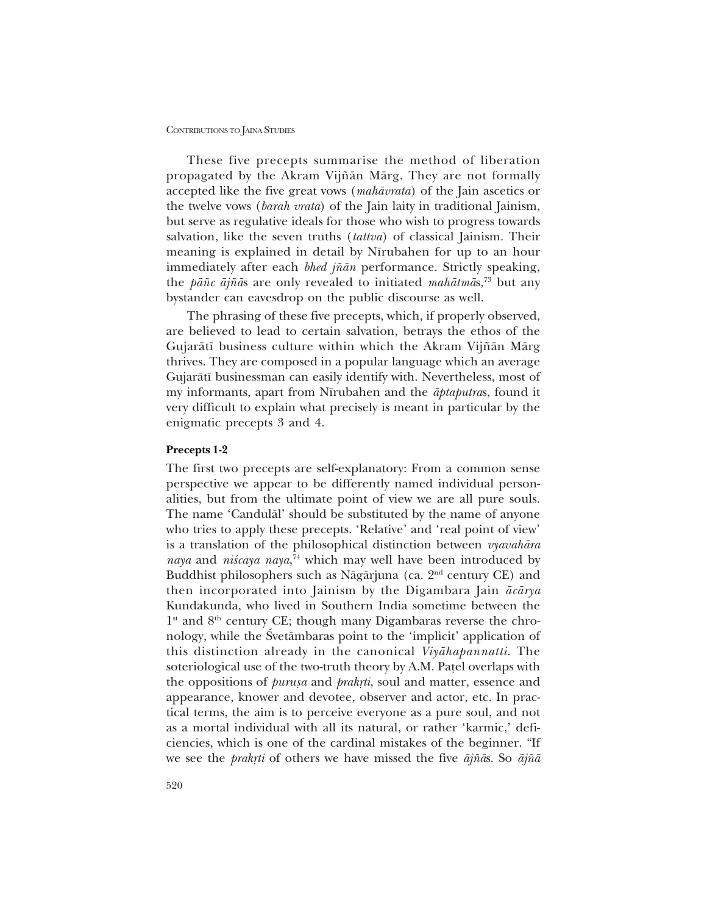These five precepts summarise the method of liberation propagated by the Akram Vijñān Mārg. They are not formally accepted like the five great vows (*mahåvrata*) of the Jain ascetics or the twelve vows (*barah vrata*) of the Jain laity in traditional Jainism, but serve as regulative ideals for those who wish to progress towards salvation, like the seven truths (*tattva*) of classical Jainism. Their meaning is explained in detail by Nīrubahen for up to an hour immediately after each *bhed jñān* performance. Strictly speaking, the *på¤c åj¤å*s are only revealed to initiated *mahåtmå*s,73 but any bystander can eavesdrop on the public discourse as well.

The phrasing of these five precepts, which, if properly observed, are believed to lead to certain salvation, betrays the ethos of the Gujarātī business culture within which the Akram Vijñān Mārg thrives. They are composed in a popular language which an average Gujaråt∂ businessman can easily identify with. Nevertheless, most of my informants, apart from N∂rubahen and the *åptaputra*s, found it very difficult to explain what precisely is meant in particular by the enigmatic precepts 3 and 4.

### **Precepts 1-2**

The first two precepts are self-explanatory: From a common sense perspective we appear to be differently named individual personalities, but from the ultimate point of view we are all pure souls. The name 'Candulal' should be substituted by the name of anyone who tries to apply these precepts. 'Relative' and 'real point of view' is a translation of the philosophical distinction between *vyavahåra* naya and niścaya naya,<sup>74</sup> which may well have been introduced by Buddhist philosophers such as Nāgārjuna (ca.  $2<sup>nd</sup>$  century CE) and then incorporated into Jainism by the Digambara Jain *åcårya* Kundakunda, who lived in Southern India sometime between the  $1<sup>st</sup>$  and  $8<sup>th</sup>$  century CE; though many Digambaras reverse the chronology, while the Svetambaras point to the 'implicit' application of this distinction already in the canonical *Viyåhapannatti*. The soteriological use of the two-truth theory by A.M. Patel overlaps with the oppositions of *purusa* and *prakrti*, soul and matter, essence and appearance, knower and devotee, observer and actor, etc. In practical terms, the aim is to perceive everyone as a pure soul, and not as a mortal individual with all its natural, or rather 'karmic,' deficiencies, which is one of the cardinal mistakes of the beginner. "If we see the *prakæti* of others we have missed the five *åj¤å*s. So *åj¤å*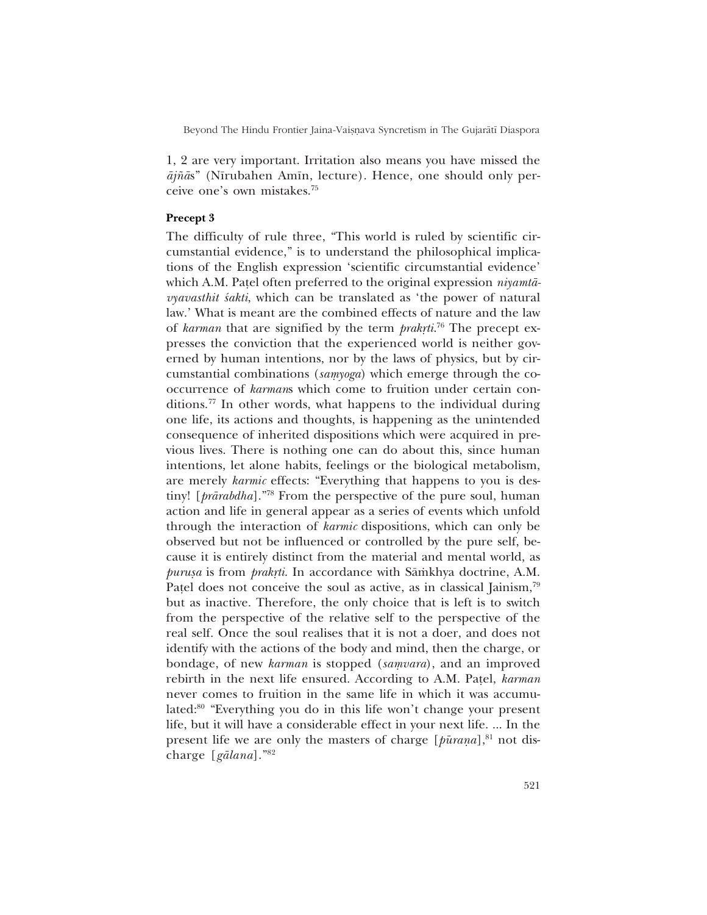1, 2 are very important. Irritation also means you have missed the *åj¤å*sî (N∂rubahen Am∂n, lecture). Hence, one should only perceive one's own mistakes.<sup>75</sup>

## **Precept 3**

The difficulty of rule three, "This world is ruled by scientific circumstantial evidence," is to understand the philosophical implications of the English expression 'scientific circumstantial evidence' which A.M. Pa¢el often preferred to the original expression *niyamtåvyavasthit śakti*, which can be translated as 'the power of natural law.' What is meant are the combined effects of nature and the law of *karman* that are signified by the term *prakrti*.<sup>76</sup> The precept expresses the conviction that the experienced world is neither governed by human intentions, nor by the laws of physics, but by circumstantial combinations (samyoga) which emerge through the cooccurrence of *karman*s which come to fruition under certain conditions.77 In other words, what happens to the individual during one life, its actions and thoughts, is happening as the unintended consequence of inherited dispositions which were acquired in previous lives. There is nothing one can do about this, since human intentions, let alone habits, feelings or the biological metabolism, are merely *karmic* effects: "Everything that happens to you is destiny! [*prārabdha*]."<sup>78</sup> From the perspective of the pure soul, human action and life in general appear as a series of events which unfold through the interaction of *karmic* dispositions, which can only be observed but not be influenced or controlled by the pure self, because it is entirely distinct from the material and mental world, as *purusa* is from *prakrti*. In accordance with Sāmkhya doctrine, A.M. Patel does not conceive the soul as active, as in classical Jainism,<sup>79</sup> but as inactive. Therefore, the only choice that is left is to switch from the perspective of the relative self to the perspective of the real self. Once the soul realises that it is not a doer, and does not identify with the actions of the body and mind, then the charge, or bondage, of new *karman* is stopped (*samvara*), and an improved rebirth in the next life ensured. According to A.M. Pa¢el, *karman* never comes to fruition in the same life in which it was accumulated:<sup>80</sup> "Everything you do in this life won't change your present life, but it will have a considerable effect in your next life. ... In the present life we are only the masters of charge [ $\hat{p}$ *urana*],<sup>81</sup> not discharge [*gālana*].<sup>"82</sup>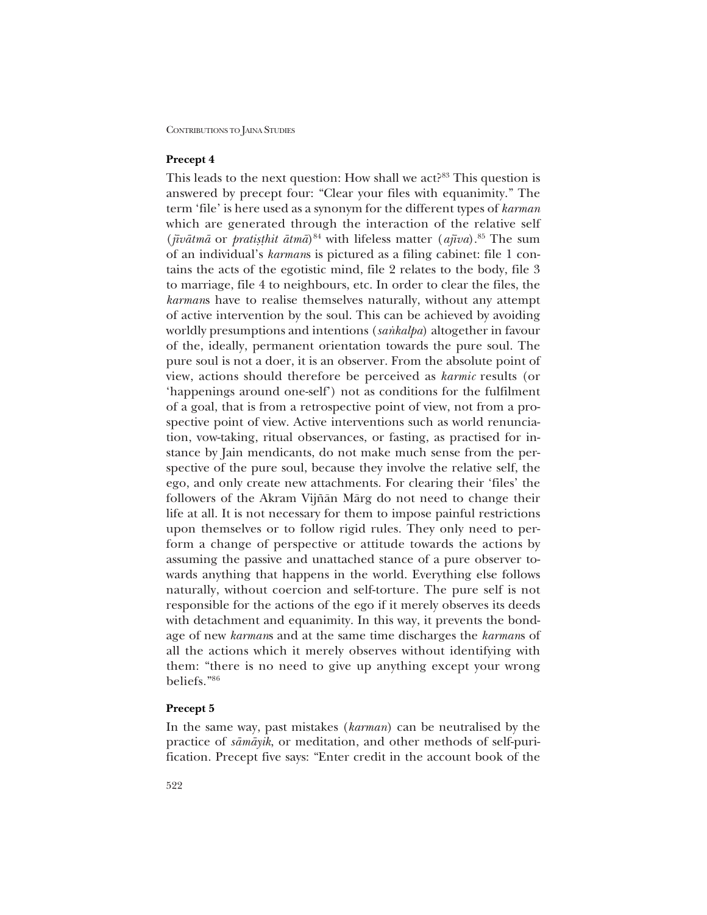## **Precept 4**

This leads to the next question: How shall we act?<sup>83</sup> This question is answered by precept four: "Clear your files with equanimity." The term 'file' is here used as a synonym for the different types of *karman* which are generated through the interaction of the relative self (*jīvātmā* or *pratisthit ātmā*)<sup>84</sup> with lifeless matter (*ajīva*).<sup>85</sup> The sum of an individual's *karmans* is pictured as a filing cabinet: file 1 contains the acts of the egotistic mind, file 2 relates to the body, file 3 to marriage, file 4 to neighbours, etc. In order to clear the files, the *karman*s have to realise themselves naturally, without any attempt of active intervention by the soul. This can be achieved by avoiding worldly presumptions and intentions (*sankalpa*) altogether in favour of the, ideally, permanent orientation towards the pure soul. The pure soul is not a doer, it is an observer. From the absolute point of view, actions should therefore be perceived as *karmic* results (or 'happenings around one-self') not as conditions for the fulfilment of a goal, that is from a retrospective point of view, not from a prospective point of view. Active interventions such as world renunciation, vow-taking, ritual observances, or fasting, as practised for instance by Jain mendicants, do not make much sense from the perspective of the pure soul, because they involve the relative self, the ego, and only create new attachments. For clearing their 'files' the followers of the Akram Vijñān Mārg do not need to change their life at all. It is not necessary for them to impose painful restrictions upon themselves or to follow rigid rules. They only need to perform a change of perspective or attitude towards the actions by assuming the passive and unattached stance of a pure observer towards anything that happens in the world. Everything else follows naturally, without coercion and self-torture. The pure self is not responsible for the actions of the ego if it merely observes its deeds with detachment and equanimity. In this way, it prevents the bondage of new *karman*s and at the same time discharges the *karman*s of all the actions which it merely observes without identifying with them: "there is no need to give up anything except your wrong beliefs."86

## **Precept 5**

In the same way, past mistakes (*karman*) can be neutralised by the practice of *såmåyik*, or meditation, and other methods of self-purification. Precept five says: "Enter credit in the account book of the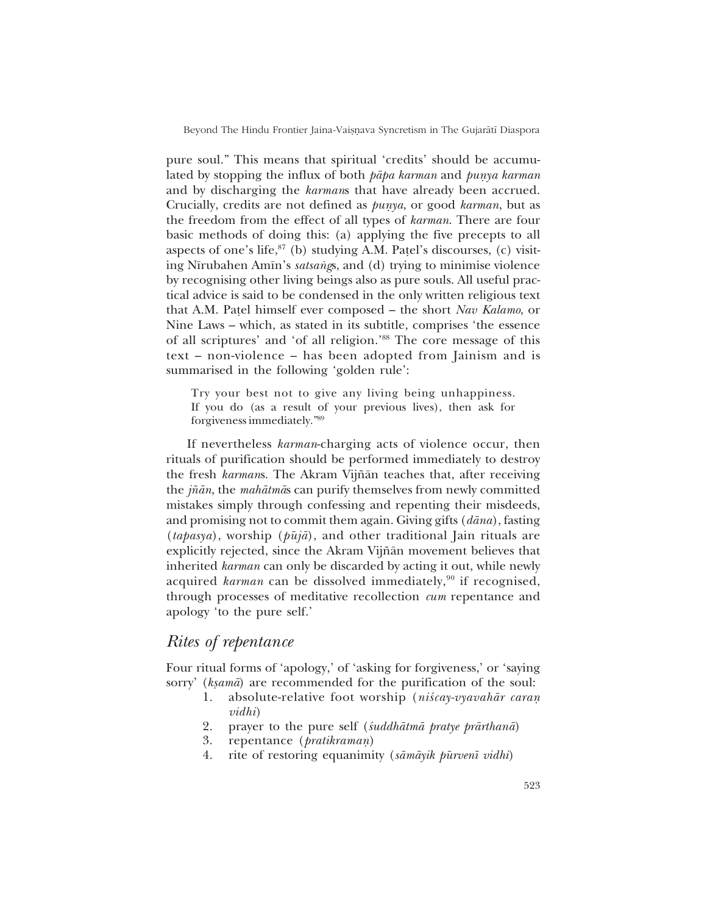pure soul." This means that spiritual 'credits' should be accumulated by stopping the influx of both *pāpa karman* and *punya karman* and by discharging the *karman*s that have already been accrued. Crucially, credits are not defined as *punya*, or good *karman*, but as the freedom from the effect of all types of *karman*. There are four basic methods of doing this: (a) applying the five precepts to all aspects of one's life, $^{87}$  (b) studying A.M. Patel's discourses, (c) visiting Nīrubahen Amīn's *satsangs*, and (d) trying to minimise violence by recognising other living beings also as pure souls. All useful practical advice is said to be condensed in the only written religious text that A.M. Patel himself ever composed - the short *Nav Kalamo*, or Nine Laws – which, as stated in its subtitle, comprises 'the essence of all scriptures' and 'of all religion.'88 The core message of this text – non-violence – has been adopted from Jainism and is summarised in the following 'golden rule':

Try your best not to give any living being unhappiness. If you do (as a result of your previous lives), then ask for forgiveness immediately.<sup>"89</sup>

If nevertheless *karman*-charging acts of violence occur, then rituals of purification should be performed immediately to destroy the fresh *karmans*. The Akram Vijñān teaches that, after receiving the *j¤ån*, the *mahåtmå*s can purify themselves from newly committed mistakes simply through confessing and repenting their misdeeds, and promising not to commit them again. Giving gifts (*dåna*), fasting  $(ta \rho a s \gamma a)$ , worship  $(\rho \bar{u} i \bar{a})$ , and other traditional Jain rituals are explicitly rejected, since the Akram Vijñān movement believes that inherited *karman* can only be discarded by acting it out, while newly acquired *karman* can be dissolved immediately,<sup>90</sup> if recognised, through processes of meditative recollection *cum* repentance and apology 'to the pure self.'

# *Rites of repentance*

Four ritual forms of 'apology,' of 'asking for forgiveness,' or 'saying sorry' (*ksamā*) are recommended for the purification of the soul:

- 1. absolute-relative foot worship (*niścay-vyavahār caran vidhi*)
- 2. prayer to the pure self (*‹uddhåtmå pratye prårthanå*)
- 3. repentance (*pratikramaƒ*)
- 4. rite of restoring equanimity (*såmåyik pμurven∂ vidhi*)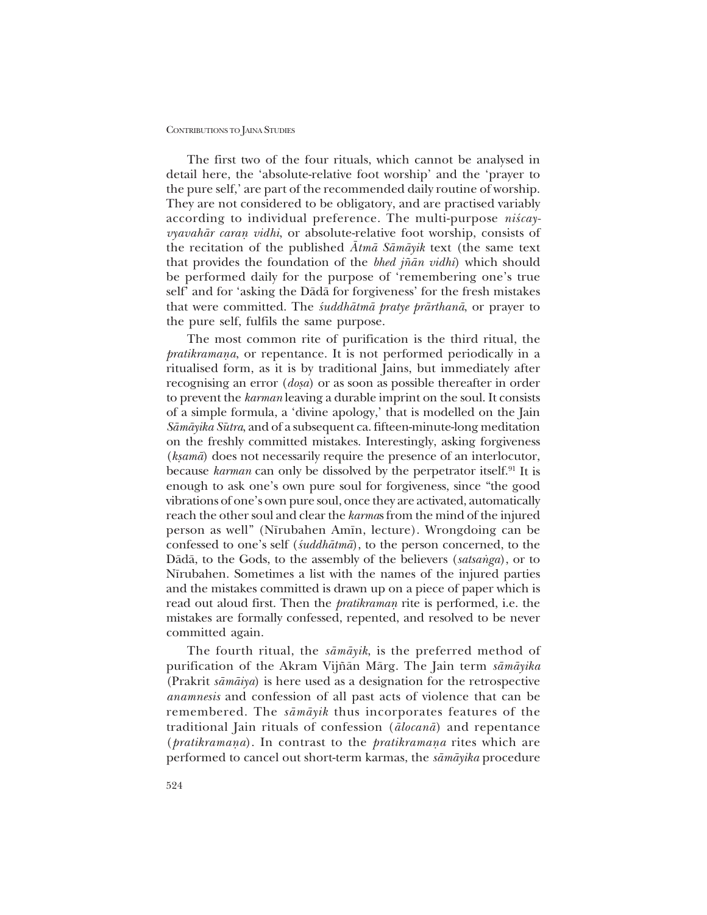The first two of the four rituals, which cannot be analysed in detail here, the 'absolute-relative foot worship' and the 'prayer to the pure self, are part of the recommended daily routine of worship. They are not considered to be obligatory, and are practised variably according to individual preference. The multi-purpose *niscayvyavahār caran vidhi*, or absolute-relative foot worship, consists of the recitation of the published *Åtmå Såmåyik* text (the same text that provides the foundation of the *bhed j¤ån vidhi*) which should be performed daily for the purpose of 'remembering one's true self' and for 'asking the Dādā for forgiveness' for the fresh mistakes that were committed. The *‹uddhåtmå pratye prårthanå*, or prayer to the pure self, fulfils the same purpose.

The most common rite of purification is the third ritual, the *pratikramana*, or repentance. It is not performed periodically in a ritualised form, as it is by traditional Jains, but immediately after recognising an error (*dosa*) or as soon as possible thereafter in order to prevent the *karman* leaving a durable imprint on the soul. It consists of a simple formula, a 'divine apology,' that is modelled on the Jain *Såmåyika Sμutra*, and of a subsequent ca. fifteen-minute-long meditation on the freshly committed mistakes. Interestingly, asking forgiveness (*ksamā*) does not necessarily require the presence of an interlocutor, because *karman* can only be dissolved by the perpetrator itself.91 It is enough to ask one's own pure soul for forgiveness, since "the good vibrations of one's own pure soul, once they are activated, automatically reach the other soul and clear the *karma*s from the mind of the injured person as wellî (N∂rubahen Am∂n, lecture). Wrongdoing can be confessed to one's self (*suddhātmā*), to the person concerned, to the Dādā, to the Gods, to the assembly of the believers (*satsanga*), or to Nīrubahen. Sometimes a list with the names of the injured parties and the mistakes committed is drawn up on a piece of paper which is read out aloud first. Then the *pratikraman* rite is performed, i.e. the mistakes are formally confessed, repented, and resolved to be never committed again.

The fourth ritual, the *såmåyik*, is the preferred method of purification of the Akram Vij¤ån Mårg. The Jain term *såmåyika* (Prakrit *såmåiya*) is here used as a designation for the retrospective *anamnesis* and confession of all past acts of violence that can be remembered. The *såmåyik* thus incorporates features of the traditional Jain rituals of confession (*ålocanå*) and repentance (*pratikramana*). In contrast to the *pratikramana* rites which are performed to cancel out short-term karmas, the *såmåyika* procedure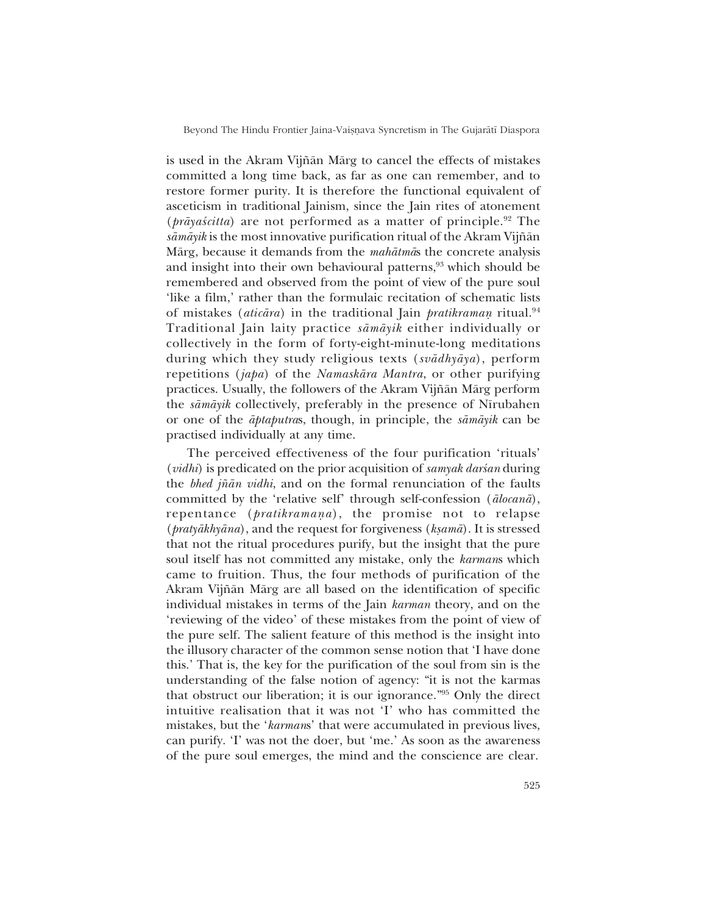Beyond The Hindu Frontier Jaina-Vaiṣṇava Syncretism in The Gujarātī Diaspora

is used in the Akram Vijñān Mārg to cancel the effects of mistakes committed a long time back, as far as one can remember, and to restore former purity. It is therefore the functional equivalent of asceticism in traditional Jainism, since the Jain rites of atonement  $(p\bar{r}\bar{a}y\bar{a}\bar{s}\bar{c}t\bar{t}a)$  are not performed as a matter of principle.<sup>92</sup> The *såmåyik* is the most innovative purification ritual of the Akram Vij¤ån Mårg, because it demands from the *mahåtmå*s the concrete analysis and insight into their own behavioural patterns,<sup>93</sup> which should be remembered and observed from the point of view of the pure soul 'like a film,' rather than the formulaic recitation of schematic lists of mistakes (*aticāra*) in the traditional Jain *pratikraman* ritual.<sup>94</sup> Traditional Jain laity practice *såmåyik* either individually or collectively in the form of forty-eight-minute-long meditations during which they study religious texts (*svådhyåya*), perform repetitions (*japa*) of the *Namaskåra Mantra*, or other purifying practices. Usually, the followers of the Akram Vijñān Mārg perform the *sāmāyik* collectively, preferably in the presence of Nīrubahen or one of the *åptaputra*s, though, in principle, the *såmåyik* can be practised individually at any time.

The perceived effectiveness of the four purification 'rituals' (*vidhi*) is predicated on the prior acquisition of *samyak darsan* during the *bhed j¤ån vidhi*, and on the formal renunciation of the faults committed by the 'relative self' through self-confession ( $\bar{a}locan\bar{a}$ ), repentance (*pratikramana*), the promise not to relapse (*pratyākhyāna*), and the request for forgiveness (*kṣamā*). It is stressed that not the ritual procedures purify, but the insight that the pure soul itself has not committed any mistake, only the *karman*s which came to fruition. Thus, the four methods of purification of the Akram Vijñān Mārg are all based on the identification of specific individual mistakes in terms of the Jain *karman* theory, and on the reviewing of the video' of these mistakes from the point of view of the pure self. The salient feature of this method is the insight into the illusory character of the common sense notion that ëI have done this.í That is, the key for the purification of the soul from sin is the understanding of the false notion of agency: "it is not the karmas that obstruct our liberation; it is our ignorance.<sup> $\frac{95}{5}$ </sup> Only the direct intuitive realisation that it was not 'I' who has committed the mistakes, but the *'karmans'* that were accumulated in previous lives, can purify. T was not the doer, but 'me.' As soon as the awareness of the pure soul emerges, the mind and the conscience are clear.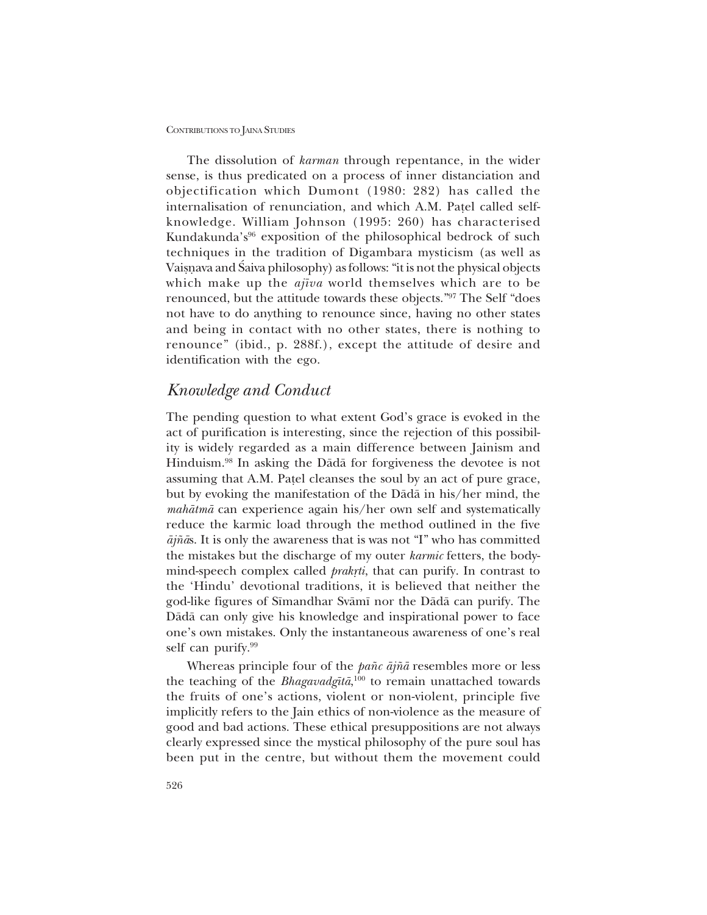The dissolution of *karman* through repentance, in the wider sense, is thus predicated on a process of inner distanciation and objectification which Dumont (1980: 282) has called the internalisation of renunciation, and which A.M. Patel called selfknowledge. William Johnson (1995: 260) has characterised Kundakunda<sup>'s<sup>96</sup> exposition of the philosophical bedrock of such</sup> techniques in the tradition of Digambara mysticism (as well as Vaisnava and Saiva philosophy) as follows: "it is not the physical objects which make up the *aj∂va* world themselves which are to be renounced, but the attitude towards these objects."97 The Self "does not have to do anything to renounce since, having no other states and being in contact with no other states, there is nothing to renounce" (ibid., p. 288f.), except the attitude of desire and identification with the ego.

# *Knowledge and Conduct*

The pending question to what extent God's grace is evoked in the act of purification is interesting, since the rejection of this possibility is widely regarded as a main difference between Jainism and Hinduism.98 In asking the Dådå for forgiveness the devotee is not assuming that A.M. Pa¢el cleanses the soul by an act of pure grace, but by evoking the manifestation of the Dådå in his/her mind, the *mahåtmå* can experience again his/her own self and systematically reduce the karmic load through the method outlined in the five  $\bar{a}j\tilde{n}\bar{a}s$ . It is only the awareness that is was not "I" who has committed the mistakes but the discharge of my outer *karmic* fetters, the bodymind-speech complex called *prakrti*, that can purify. In contrast to the ëHinduí devotional traditions, it is believed that neither the god-like figures of Sīmandhar Svāmī nor the Dādā can purify. The Dådå can only give his knowledge and inspirational power to face one's own mistakes. Only the instantaneous awareness of one's real self can purify.<sup>99</sup>

Whereas principle four of the *pañc ājñā* resembles more or less the teaching of the *Bhagavadg∂tå*, 100 to remain unattached towards the fruits of one's actions, violent or non-violent, principle five implicitly refers to the Jain ethics of non-violence as the measure of good and bad actions. These ethical presuppositions are not always clearly expressed since the mystical philosophy of the pure soul has been put in the centre, but without them the movement could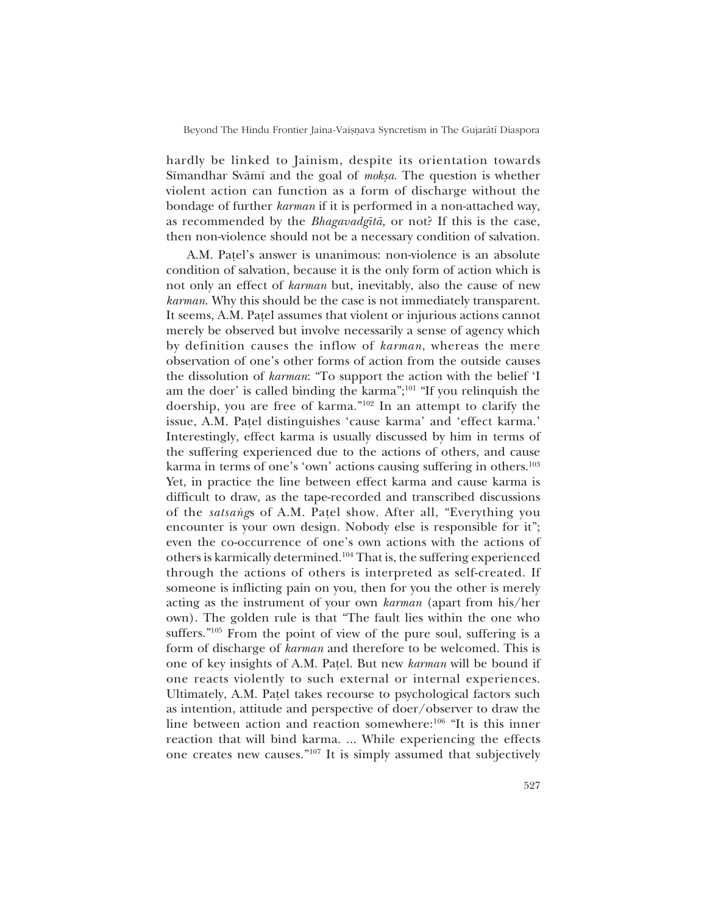hardly be linked to Jainism, despite its orientation towards Sīmandhar Svāmī and the goal of *mokṣa*. The question is whether violent action can function as a form of discharge without the bondage of further *karman* if it is performed in a non-attached way, as recommended by the *Bhagavadg∂tå,* or not? If this is the case, then non-violence should not be a necessary condition of salvation.

A.M. Patel's answer is unanimous: non-violence is an absolute condition of salvation, because it is the only form of action which is not only an effect of *karman* but, inevitably, also the cause of new *karman*. Why this should be the case is not immediately transparent. It seems, A.M. Pa¢el assumes that violent or injurious actions cannot merely be observed but involve necessarily a sense of agency which by definition causes the inflow of *karman*, whereas the mere observation of one's other forms of action from the outside causes the dissolution of *karman*: "To support the action with the belief 'I am the doer' is called binding the karma";<sup>101</sup> "If you relinquish the doership, you are free of karma."<sup>102</sup> In an attempt to clarify the issue, A.M. Patel distinguishes 'cause karma' and 'effect karma.' Interestingly, effect karma is usually discussed by him in terms of the suffering experienced due to the actions of others, and cause karma in terms of one's 'own' actions causing suffering in others.<sup>103</sup> Yet, in practice the line between effect karma and cause karma is difficult to draw, as the tape-recorded and transcribed discussions of the *satsang*s of A.M. Patel show. After all, "Everything you encounter is your own design. Nobody else is responsible for it"; even the co-occurrence of one's own actions with the actions of others is karmically determined.104 That is, the suffering experienced through the actions of others is interpreted as self-created. If someone is inflicting pain on you, then for you the other is merely acting as the instrument of your own *karman* (apart from his/her own). The golden rule is that "The fault lies within the one who suffers.<sup> $105$ </sup> From the point of view of the pure soul, suffering is a form of discharge of *karman* and therefore to be welcomed. This is one of key insights of A.M. Pa¢el. But new *karman* will be bound if one reacts violently to such external or internal experiences. Ultimately, A.M. Patel takes recourse to psychological factors such as intention, attitude and perspective of doer/observer to draw the line between action and reaction somewhere: $106$  "It is this inner reaction that will bind karma. ... While experiencing the effects one creates new causes." $107$  It is simply assumed that subjectively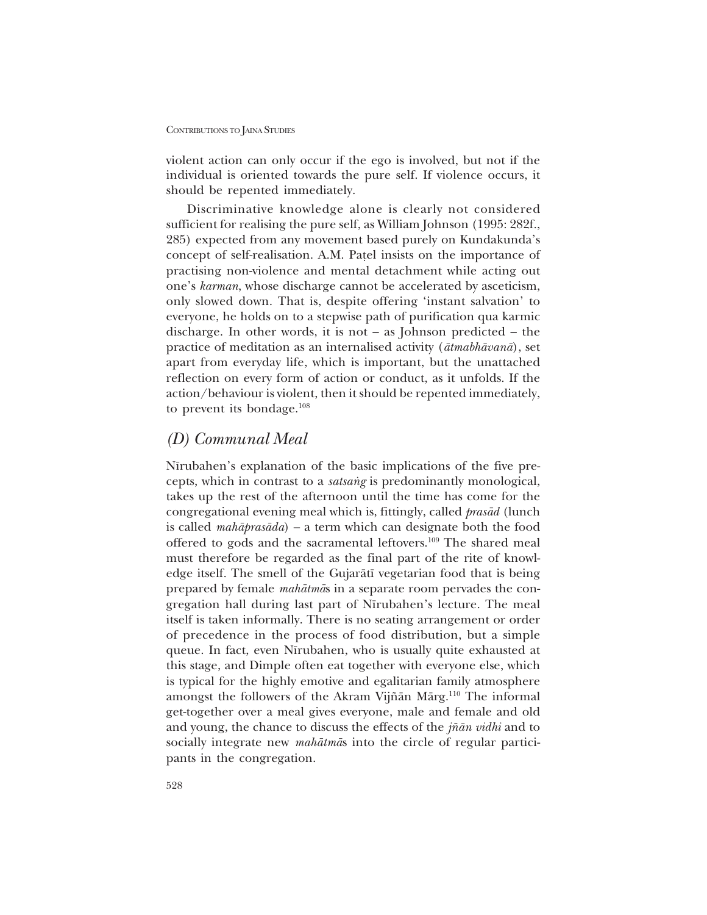violent action can only occur if the ego is involved, but not if the individual is oriented towards the pure self. If violence occurs, it should be repented immediately.

Discriminative knowledge alone is clearly not considered sufficient for realising the pure self, as William Johnson (1995: 282f., 285) expected from any movement based purely on Kundakunda's concept of self-realisation. A.M. Pa¢el insists on the importance of practising non-violence and mental detachment while acting out one's *karman*, whose discharge cannot be accelerated by asceticism, only slowed down. That is, despite offering 'instant salvation' to everyone, he holds on to a stepwise path of purification qua karmic discharge. In other words, it is not  $-$  as Johnson predicted  $-$  the practice of meditation as an internalised activity (*åtmabhåvanå*), set apart from everyday life, which is important, but the unattached reflection on every form of action or conduct, as it unfolds. If the action/behaviour is violent, then it should be repented immediately, to prevent its bondage. $108$ 

# *(D) Communal Meal*

Nīrubahen's explanation of the basic implications of the five precepts, which in contrast to a *satsang* is predominantly monological, takes up the rest of the afternoon until the time has come for the congregational evening meal which is, fittingly, called *prasåd* (lunch is called *mahāprasāda*) – a term which can designate both the food offered to gods and the sacramental leftovers.<sup>109</sup> The shared meal must therefore be regarded as the final part of the rite of knowledge itself. The smell of the Gujaråt∂ vegetarian food that is being prepared by female *mahåtmå*s in a separate room pervades the congregation hall during last part of Nīrubahen's lecture. The meal itself is taken informally. There is no seating arrangement or order of precedence in the process of food distribution, but a simple queue. In fact, even Nīrubahen, who is usually quite exhausted at this stage, and Dimple often eat together with everyone else, which is typical for the highly emotive and egalitarian family atmosphere amongst the followers of the Akram Vijñān Mārg.<sup>110</sup> The informal get-together over a meal gives everyone, male and female and old and young, the chance to discuss the effects of the *j¤ån vidhi* and to socially integrate new *mahåtmå*s into the circle of regular participants in the congregation.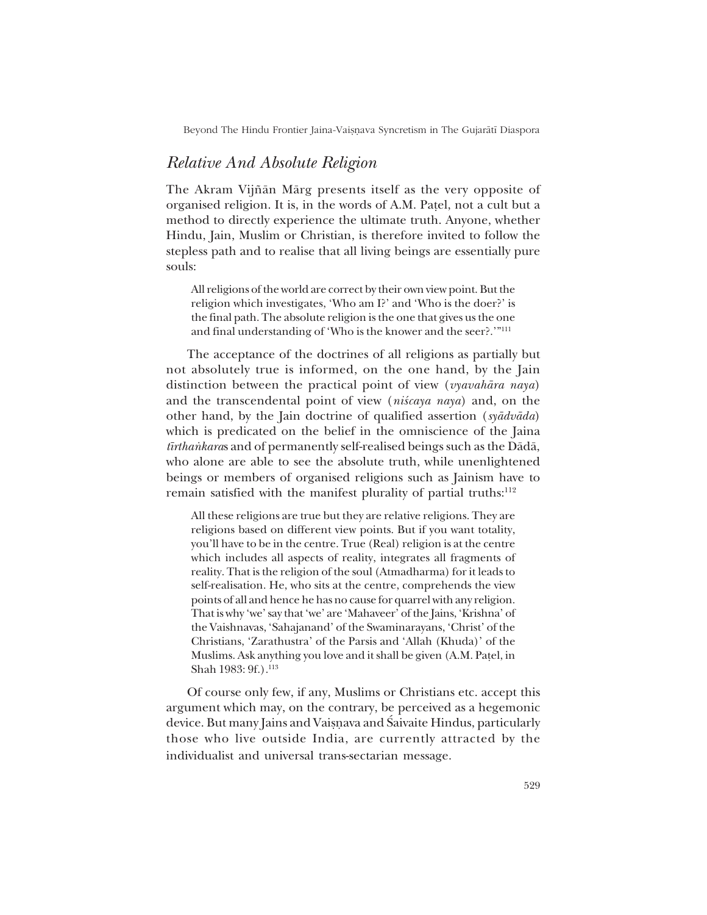Beyond The Hindu Frontier Jaina-Vaiṣṇava Syncretism in The Gujarātī Diaspora

# *Relative And Absolute Religion*

The Akram Vijñān Mārg presents itself as the very opposite of organised religion. It is, in the words of A.M. Pa¢el, not a cult but a method to directly experience the ultimate truth. Anyone, whether Hindu, Jain, Muslim or Christian, is therefore invited to follow the stepless path and to realise that all living beings are essentially pure souls:

All religions of the world are correct by their own view point. But the religion which investigates, 'Who am I?' and 'Who is the doer?' is the final path. The absolute religion is the one that gives us the one and final understanding of 'Who is the knower and the seer?.'"<sup>111</sup>

The acceptance of the doctrines of all religions as partially but not absolutely true is informed, on the one hand, by the Jain distinction between the practical point of view (*vyavahåra naya*) and the transcendental point of view (*niścaya naya*) and, on the other hand, by the Jain doctrine of qualified assertion (*syådvåda*) which is predicated on the belief in the omniscience of the Jaina *tīrthankaras* and of permanently self-realised beings such as the Dādā, who alone are able to see the absolute truth, while unenlightened beings or members of organised religions such as Jainism have to remain satisfied with the manifest plurality of partial truths:<sup>112</sup>

All these religions are true but they are relative religions. They are religions based on different view points. But if you want totality, you'll have to be in the centre. True (Real) religion is at the centre which includes all aspects of reality, integrates all fragments of reality. That is the religion of the soul (Atmadharma) for it leads to self-realisation. He, who sits at the centre, comprehends the view points of all and hence he has no cause for quarrel with any religion. That is why 'we' say that 'we' are 'Mahaveer' of the Jains, 'Krishna' of the Vaishnavas, 'Sahajanand' of the Swaminarayans, 'Christ' of the Christians, 'Zarathustra' of the Parsis and 'Allah (Khuda)' of the Muslims. Ask anything you love and it shall be given (A.M. Pa¢el, in Shah 1983: 9f.).<sup>113</sup>

Of course only few, if any, Muslims or Christians etc. accept this argument which may, on the contrary, be perceived as a hegemonic device. But many Jains and Vaiṣṇava and Śaivaite Hindus, particularly those who live outside India, are currently attracted by the individualist and universal trans-sectarian message.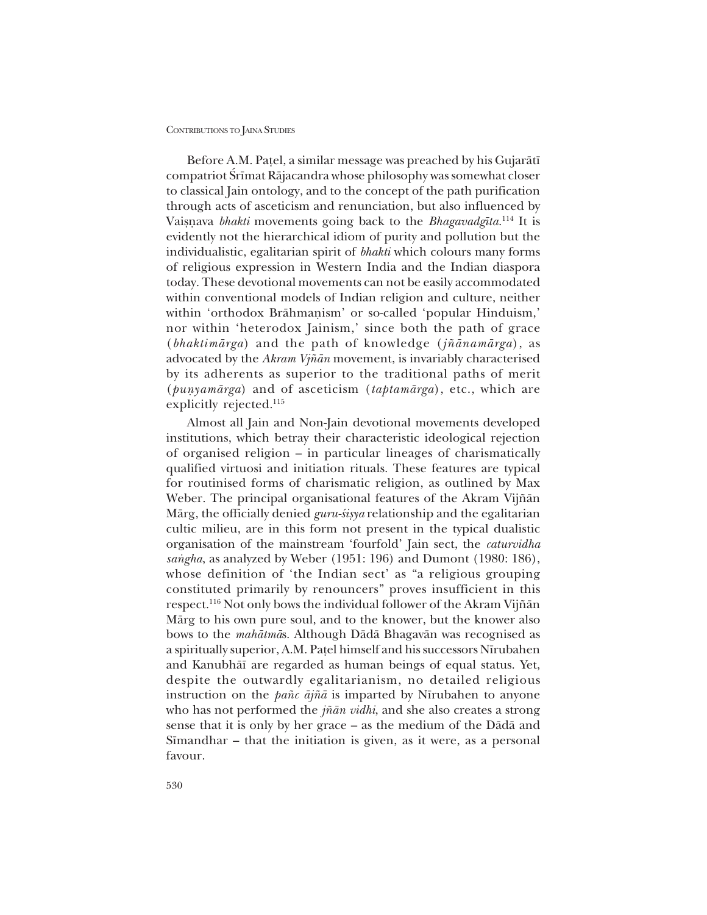Before A.M. Patel, a similar message was preached by his Gujarātī compatriot Srīmat Rājacandra whose philosophy was somewhat closer to classical Jain ontology, and to the concept of the path purification through acts of asceticism and renunciation, but also influenced by Vaiṣṇava *bhakti* movements going back to the *Bhagavadgīta*.<sup>114</sup> It is evidently not the hierarchical idiom of purity and pollution but the individualistic, egalitarian spirit of *bhakti* which colours many forms of religious expression in Western India and the Indian diaspora today. These devotional movements can not be easily accommodated within conventional models of Indian religion and culture, neither within 'orthodox Brāhmanism' or so-called 'popular Hinduism,' nor within 'heterodox Jainism,' since both the path of grace (*bhaktimårga*) and the path of knowledge (*j¤ånamårga*), as advocated by the *Akram Vj¤ån* movement, is invariably characterised by its adherents as superior to the traditional paths of merit (*punyamārga*) and of asceticism (*taptamārga*), etc., which are explicitly rejected.<sup>115</sup>

Almost all Jain and Non-Jain devotional movements developed institutions, which betray their characteristic ideological rejection of organised religion – in particular lineages of charismatically qualified virtuosi and initiation rituals. These features are typical for routinised forms of charismatic religion, as outlined by Max Weber. The principal organisational features of the Akram Vijñān Mārg, the officially denied *guru-śiṣya* relationship and the egalitarian cultic milieu, are in this form not present in the typical dualistic organisation of the mainstream 'fourfold' Jain sect, the *caturvidha* sangha, as analyzed by Weber (1951: 196) and Dumont (1980: 186), whose definition of 'the Indian sect' as "a religious grouping constituted primarily by renouncers" proves insufficient in this respect.<sup>116</sup> Not only bows the individual follower of the Akram Vijñān Mårg to his own pure soul, and to the knower, but the knower also bows to the *mahåtmå*s. Although Dådå Bhagavån was recognised as a spiritually superior, A.M. Pa¢el himself and his successors N∂rubahen and Kanubhå∂ are regarded as human beings of equal status. Yet, despite the outwardly egalitarianism, no detailed religious instruction on the *pa¤c åj¤å* is imparted by N∂rubahen to anyone who has not performed the *jñān vidhi*, and she also creates a strong sense that it is only by her grace  $-\infty$  as the medium of the D $\bar{\text{a}}$ da and Simandhar  $-$  that the initiation is given, as it were, as a personal favour.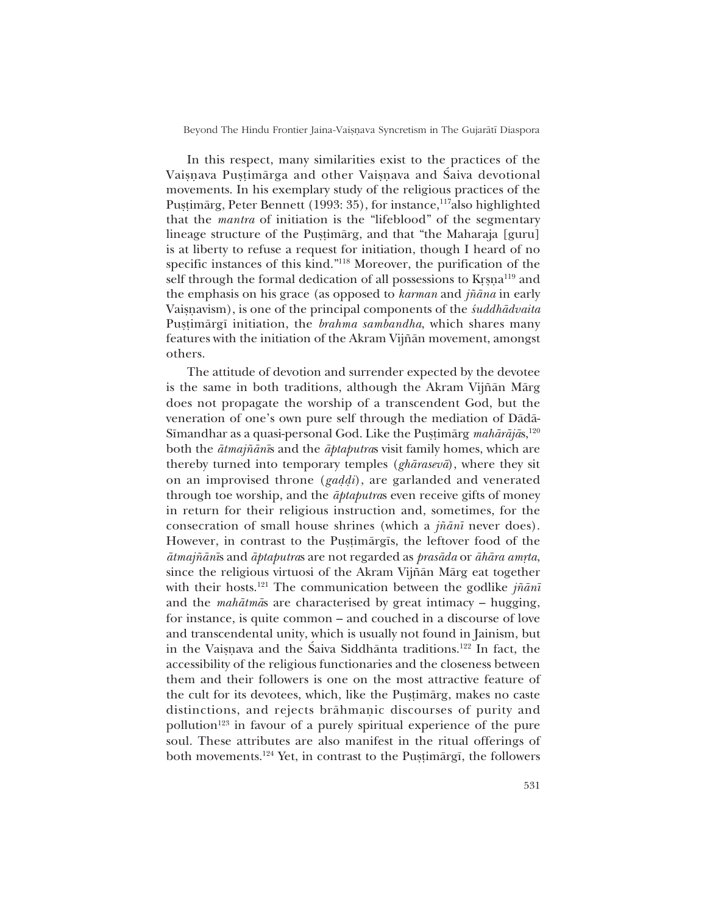Beyond The Hindu Frontier Jaina-Vaiṣṇava Syncretism in The Gujarātī Diaspora

In this respect, many similarities exist to the practices of the Vaisnava Pustimārga and other Vaisnava and Saiva devotional movements. In his exemplary study of the religious practices of the Pustimärg, Peter Bennett (1993: 35), for instance,<sup>117</sup>also highlighted that the *mantra* of initiation is the "lifeblood" of the segmentary lineage structure of the Pustimarg, and that "the Maharaja [guru] is at liberty to refuse a request for initiation, though I heard of no specific instances of this kind.<sup>"118</sup> Moreover, the purification of the self through the formal dedication of all possessions to Krsna<sup>119</sup> and the emphasis on his grace (as opposed to *karman* and *j¤åna* in early Vaisnavism), is one of the principal components of the *śuddhādvaita* Pustimārgī initiation, the *brahma sambandha*, which shares many features with the initiation of the Akram Vijñān movement, amongst others.

The attitude of devotion and surrender expected by the devotee is the same in both traditions, although the Akram Vijñān Mārg does not propagate the worship of a transcendent God, but the veneration of one's own pure self through the mediation of Dādā-Sīmandhar as a quasi-personal God. Like the Pustimārg *mahārājā*s,<sup>120</sup> both the *åtmaj¤ån∂*s and the *åptaputra*s visit family homes, which are thereby turned into temporary temples (*ghårasevå*), where they sit on an improvised throne (*gaddi*), are garlanded and venerated through toe worship, and the *åptaputra*s even receive gifts of money in return for their religious instruction and, sometimes, for the consecration of small house shrines (which a *j¤ån∂* never does). However, in contrast to the Pustimārgīs, the leftover food of the *åtmajñānīs* and *āptaputras* are not regarded as *prasāda* or *āhāra amṛta*, since the religious virtuosi of the Akram Vijñān Mārg eat together with their hosts.<sup>121</sup> The communication between the godlike *jñānī* and the *mahātmās* are characterised by great intimacy – hugging, for instance, is quite common – and couched in a discourse of love and transcendental unity, which is usually not found in Jainism, but in the Vaisnava and the Saiva Siddhānta traditions.<sup>122</sup> In fact, the accessibility of the religious functionaries and the closeness between them and their followers is one on the most attractive feature of the cult for its devotees, which, like the Pustimärg, makes no caste distinctions, and rejects brāhmanic discourses of purity and pollution<sup>123</sup> in favour of a purely spiritual experience of the pure soul. These attributes are also manifest in the ritual offerings of both movements.<sup>124</sup> Yet, in contrast to the Puṣṭimārgī, the followers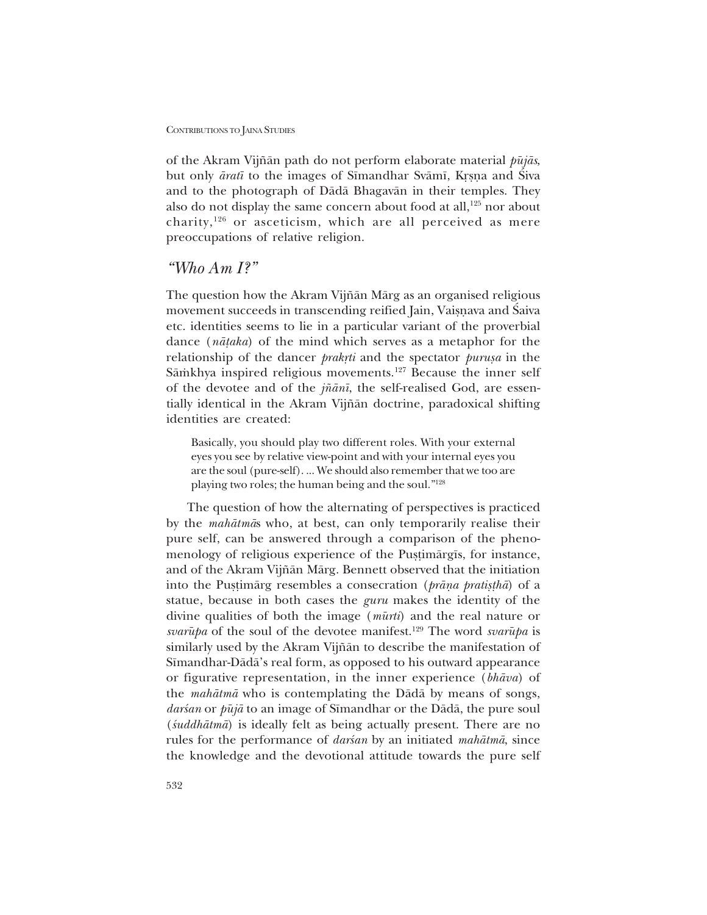of the Akram Vijñān path do not perform elaborate material *pūjās*, but only *āratī* to the images of Sīmandhar Svāmī, Krsna and Siva and to the photograph of Dådå Bhagavån in their temples. They also do not display the same concern about food at all, $125$  nor about charity,126 or asceticism, which are all perceived as mere preoccupations of relative religion.

# *ìWho Am I?î*

The question how the Akram Vijñān Mārg as an organised religious movement succeeds in transcending reified Jain, Vaisnava and Saiva etc. identities seems to lie in a particular variant of the proverbial dance (*nå¢aka*) of the mind which serves as a metaphor for the relationship of the dancer *prakrti* and the spectator *purusa* in the Sāmkhya inspired religious movements.<sup>127</sup> Because the inner self of the devotee and of the *j¤ån∂*, the self-realised God, are essentially identical in the Akram Vijñān doctrine, paradoxical shifting identities are created:

Basically, you should play two different roles. With your external eyes you see by relative view-point and with your internal eyes you are the soul (pure-self). ... We should also remember that we too are playing two roles; the human being and the soul."<sup>128</sup>

The question of how the alternating of perspectives is practiced by the *mahåtmå*s who, at best, can only temporarily realise their pure self, can be answered through a comparison of the phenomenology of religious experience of the Pustimårgīs, for instance, and of the Akram Vijñān Mārg. Bennett observed that the initiation into the Pustimarg resembles a consecration (*prana pratistha*) of a statue, because in both cases the *guru* makes the identity of the divine qualities of both the image (*mμurti*) and the real nature or *svarūpa* of the soul of the devotee manifest.<sup>129</sup> The word *svarūpa* is similarly used by the Akram Vijñān to describe the manifestation of Sīmandhar-Dādā's real form, as opposed to his outward appearance or figurative representation, in the inner experience (*bhåva*) of the *mahåtmå* who is contemplating the Dådå by means of songs, *darśan* or *pūjā* to an image of Sīmandhar or the Dādā, the pure soul (*‹uddhåtmå*) is ideally felt as being actually present. There are no rules for the performance of *darsan* by an initiated *mahātmā*, since the knowledge and the devotional attitude towards the pure self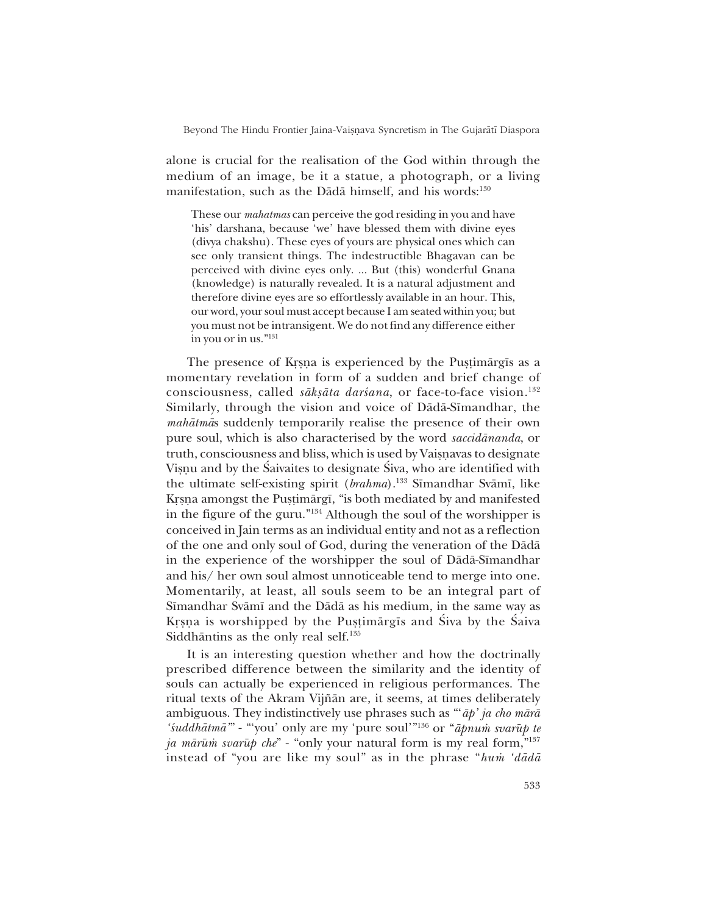Beyond The Hindu Frontier Jaina-Vaisnava Syncretism in The Gujarātī Diaspora

alone is crucial for the realisation of the God within through the medium of an image, be it a statue, a photograph, or a living manifestation, such as the Dādā himself, and his words:<sup>130</sup>

These our *mahatmas* can perceive the god residing in you and have 'his' darshana, because 'we' have blessed them with divine eyes (divya chakshu). These eyes of yours are physical ones which can see only transient things. The indestructible Bhagavan can be perceived with divine eyes only. ... But (this) wonderful Gnana (knowledge) is naturally revealed. It is a natural adjustment and therefore divine eyes are so effortlessly available in an hour. This, our word, your soul must accept because I am seated within you; but you must not be intransigent. We do not find any difference either in you or in us."<sup>131</sup>

The presence of Krsna is experienced by the Pustimārgīs as a momentary revelation in form of a sudden and brief change of consciousness, called *sākṣāta darśana*, or face-to-face vision.<sup>132</sup> Similarly, through the vision and voice of Dādā-Sīmandhar, the *mahåtmå*s suddenly temporarily realise the presence of their own pure soul, which is also characterised by the word *saccidånanda*, or truth, consciousness and bliss, which is used by Vaisnavas to designate Visnu and by the Saivaites to designate Siva, who are identified with the ultimate self-existing spirit (*brahma*).<sup>133</sup> Sīmandhar Svāmī, like Krsna amongst the Pustimārgī, "is both mediated by and manifested in the figure of the guru.<sup> $134$ </sup> Although the soul of the worshipper is conceived in Jain terms as an individual entity and not as a reflection of the one and only soul of God, during the veneration of the Dådå in the experience of the worshipper the soul of Dādā-Sīmandhar and his/ her own soul almost unnoticeable tend to merge into one. Momentarily, at least, all souls seem to be an integral part of Sīmandhar Svāmī and the Dādā as his medium, in the same way as Krsna is worshipped by the Pustimārgīs and Siva by the Saiva Siddhāntins as the only real self.<sup>135</sup>

It is an interesting question whether and how the doctrinally prescribed difference between the similarity and the identity of souls can actually be experienced in religious performances. The ritual texts of the Akram Vijñān are, it seems, at times deliberately ambiguous. They indistinctively use phrases such as "ap' ja cho mārā *'śuddhātmā*<sup>™</sup> - "'you' only are my 'pure soul'<sup>'</sup><sup>136</sup> or "*āpnum svarūp te ja mārūm svarūp che*" - "only your natural form is my real form,"<sup>137</sup> instead of "you are like my soul" as in the phrase "*hum 'dādā*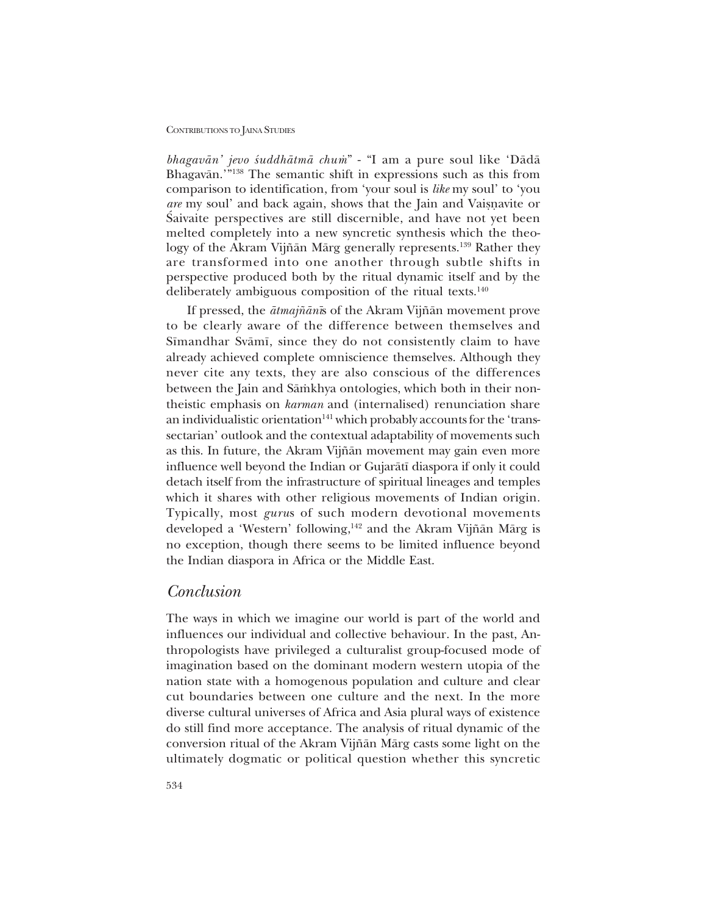*bhagavān' jevo śuddhātmā chum*" - "I am a pure soul like 'Dādā Bhagavān.<sup>19138</sup> The semantic shift in expressions such as this from comparison to identification, from 'your soul is *like* my soul' to 'you *are* my soul' and back again, shows that the Jain and Vaisnavite or Saivaite perspectives are still discernible, and have not yet been melted completely into a new syncretic synthesis which the theology of the Akram Vijñān Mārg generally represents.<sup>139</sup> Rather they are transformed into one another through subtle shifts in perspective produced both by the ritual dynamic itself and by the deliberately ambiguous composition of the ritual texts.<sup>140</sup>

If pressed, the *åtmaj¤ån∂*s of the Akram Vij¤ån movement prove to be clearly aware of the difference between themselves and Sīmandhar Svāmī, since they do not consistently claim to have already achieved complete omniscience themselves. Although they never cite any texts, they are also conscious of the differences between the Jain and Sāmkhya ontologies, which both in their nontheistic emphasis on *karman* and (internalised) renunciation share an individualistic orientation<sup>141</sup> which probably accounts for the 'transsectarian' outlook and the contextual adaptability of movements such as this. In future, the Akram Vijñān movement may gain even more influence well beyond the Indian or Gujaråt∂ diaspora if only it could detach itself from the infrastructure of spiritual lineages and temples which it shares with other religious movements of Indian origin. Typically, most *guru*s of such modern devotional movements developed a 'Western' following,<sup>142</sup> and the Akram Vijñān Mārg is no exception, though there seems to be limited influence beyond the Indian diaspora in Africa or the Middle East.

## *Conclusion*

The ways in which we imagine our world is part of the world and influences our individual and collective behaviour. In the past, Anthropologists have privileged a culturalist group-focused mode of imagination based on the dominant modern western utopia of the nation state with a homogenous population and culture and clear cut boundaries between one culture and the next. In the more diverse cultural universes of Africa and Asia plural ways of existence do still find more acceptance. The analysis of ritual dynamic of the conversion ritual of the Akram Vijñān Mārg casts some light on the ultimately dogmatic or political question whether this syncretic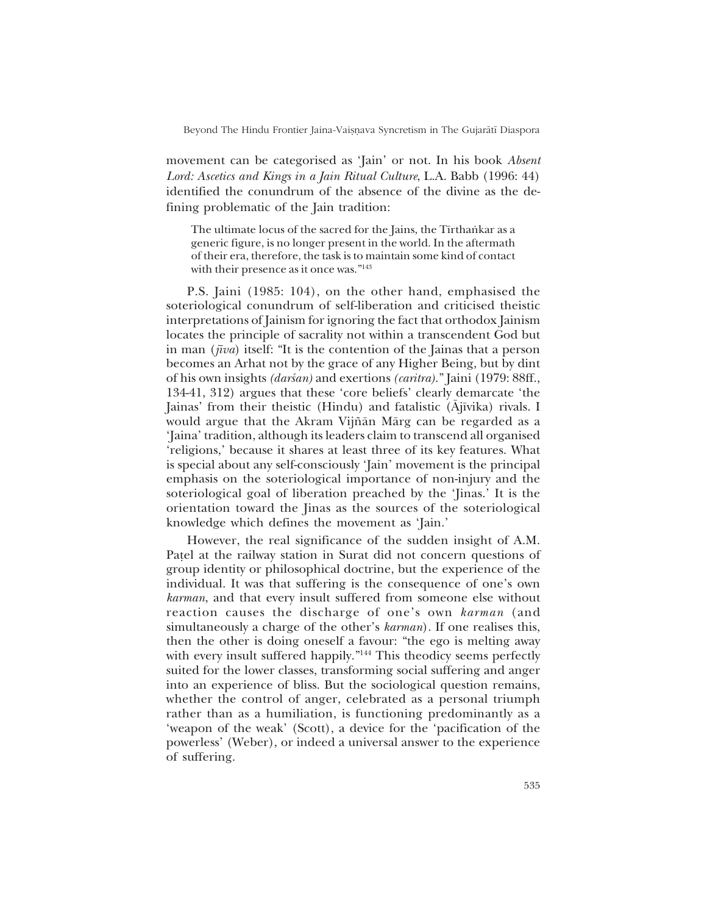Beyond The Hindu Frontier Jaina-Vaisnava Syncretism in The Gujarātī Diaspora

movement can be categorised as 'Jain' or not. In his book *Absent Lord: Ascetics and Kings in a Jain Ritual Culture*, L.A. Babb (1996: 44) identified the conundrum of the absence of the divine as the defining problematic of the Jain tradition:

The ultimate locus of the sacred for the Jains, the Tīrthaṅkar as a generic figure, is no longer present in the world. In the aftermath of their era, therefore, the task is to maintain some kind of contact with their presence as it once was."<sup>143</sup>

P.S. Jaini (1985: 104), on the other hand, emphasised the soteriological conundrum of self-liberation and criticised theistic interpretations of Jainism for ignoring the fact that orthodox Jainism locates the principle of sacrality not within a transcendent God but in man (*jīva*) itself: "It is the contention of the Jainas that a person becomes an Arhat not by the grace of any Higher Being, but by dint of his own insights *(darsan)* and exertions *(caritra)*." Jaini (1979: 88ff., 134-41, 312) argues that these 'core beliefs' clearly demarcate 'the Jainas' from their theistic (Hindu) and fatalistic (Ājīvika) rivals. I would argue that the Akram Vijñān Mārg can be regarded as a 'Jaina' tradition, although its leaders claim to transcend all organised religions,' because it shares at least three of its key features. What is special about any self-consciously 'Jain' movement is the principal emphasis on the soteriological importance of non-injury and the soteriological goal of liberation preached by the 'Jinas.' It is the orientation toward the Jinas as the sources of the soteriological knowledge which defines the movement as 'Jain.'

However, the real significance of the sudden insight of A.M. Patel at the railway station in Surat did not concern questions of group identity or philosophical doctrine, but the experience of the individual. It was that suffering is the consequence of one's own *karman*, and that every insult suffered from someone else without reaction causes the discharge of one's own *karman* (and simultaneously a charge of the other's *karman*). If one realises this, then the other is doing oneself a favour: "the ego is melting away with every insult suffered happily. $144$  This theodicy seems perfectly suited for the lower classes, transforming social suffering and anger into an experience of bliss. But the sociological question remains, whether the control of anger, celebrated as a personal triumph rather than as a humiliation, is functioning predominantly as a ëweapon of the weakí (Scott), a device for the ëpacification of the powerless' (Weber), or indeed a universal answer to the experience of suffering.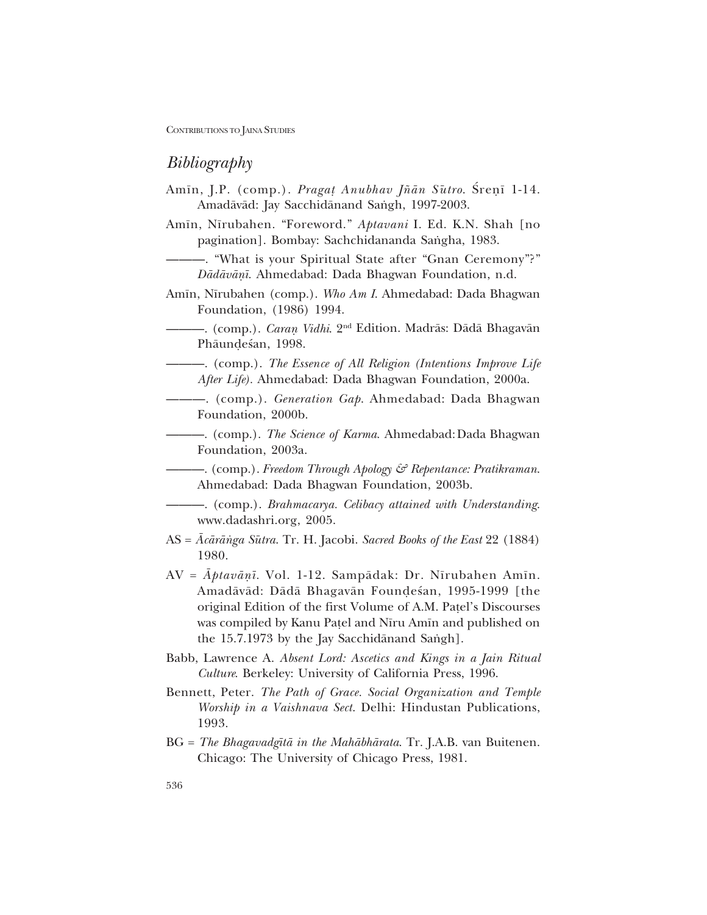# *Bibliography*

- Amīn, J.P. (comp.). *Pragat Anubhav Jñān Sūtro*. Śreņī 1-14. Amadāvād: Jay Sacchidānand Saṅgh, 1997-2003.
- Am∂n, N∂rubahen. ìForeword.î *Aptavani* I. Ed. K.N. Shah [no pagination]. Bombay: Sachchidananda Sangha, 1983.
- –. "What is your Spiritual State after "Gnan Ceremony"?" *Dådåvåƒ∂*. Ahmedabad: Dada Bhagwan Foundation, n.d.
- Am∂n, N∂rubahen (comp.). *Who Am I*. Ahmedabad: Dada Bhagwan Foundation, (1986) 1994.
- óóó. (comp.). *Caraƒ Vidhi*. 2nd Edition. Madrås: Dådå Bhagavån Phäundesan, 1998.
- $-$ . (comp.). *The Essence of All Religion (Intentions Improve Life After Life).* Ahmedabad: Dada Bhagwan Foundation, 2000a.
- óóó. (comp.). *Generation Gap*. Ahmedabad: Dada Bhagwan Foundation, 2000b.
- $-$ . (comp.). *The Science of Karma*. Ahmedabad: Dada Bhagwan Foundation, 2003a.
- óóó. (comp.). *Freedom Through Apology & Repentance: Pratikraman*. Ahmedabad: Dada Bhagwan Foundation, 2003b.
- $\rightarrow$ . (comp.). *Brahmacarya. Celibacy attained with Understanding.* www.dadashri.org, 2005.
- AS =  $\bar{A}c\bar{a}r\bar{a}n\bar{g}a S\bar{u}tra$ . Tr. H. Jacobi. *Sacred Books of the East* 22 (1884) 1980.
- AV = *Åptavåƒ∂.* Vol. 1-12. Sampådak: Dr. N∂rubahen Am∂n. Amadāvād: Dādā Bhagavān Foundesan, 1995-1999 [the original Edition of the first Volume of A.M. Patel's Discourses was compiled by Kanu Patel and Nīru Amīn and published on the  $15.7.1973$  by the Jay Sacchidanand Sangh].
- Babb, Lawrence A. *Absent Lord: Ascetics and Kings in a Jain Ritual Culture*. Berkeley: University of California Press, 1996.
- Bennett, Peter. *The Path of Grace. Social Organization and Temple Worship in a Vaishnava Sect*. Delhi: Hindustan Publications, 1993.
- BG = *The Bhagavadg∂tå in the Mahåbhårata*. Tr. J.A.B. van Buitenen. Chicago: The University of Chicago Press, 1981.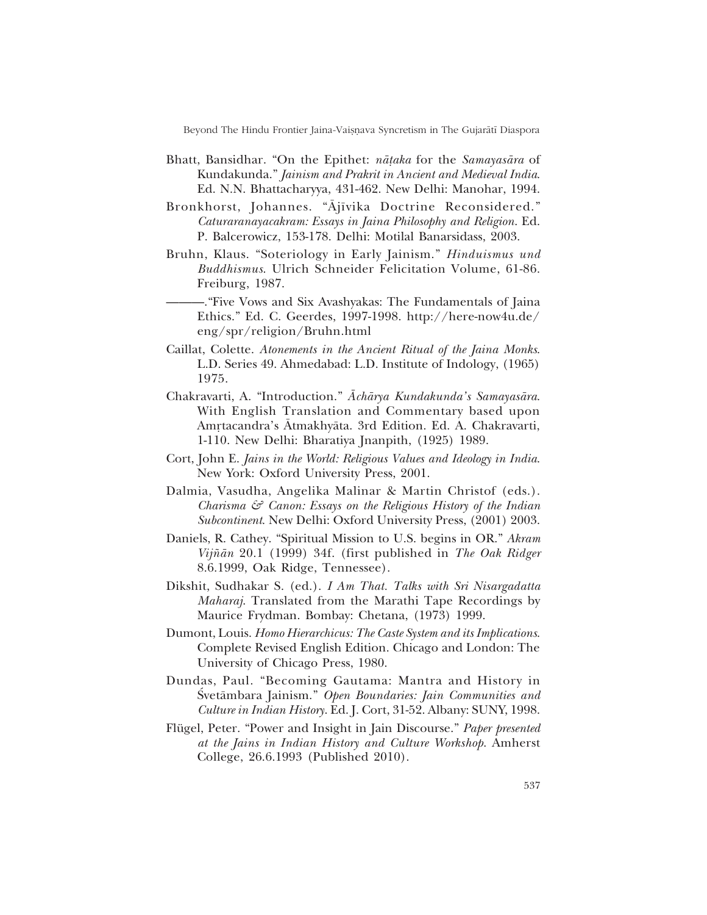Beyond The Hindu Frontier Jaina-Vaișnava Syncretism in The Gujarātī Diaspora

- Bhatt, Bansidhar. "On the Epithet: *nāṭaka* for the *Samayasāra* of Kundakunda.î *Jainism and Prakrit in Ancient and Medieval India*. Ed. N.N. Bhattacharyya, 431-462. New Delhi: Manohar, 1994.
- Bronkhorst, Johannes. "Ajīvika Doctrine Reconsidered." *Caturaranayacakram: Essays in Jaina Philosophy and Religion*. Ed. P. Balcerowicz, 153-178. Delhi: Motilal Banarsidass, 2003.
- Bruhn, Klaus. "Soteriology in Early Jainism." *Hinduismus und Buddhismus*. Ulrich Schneider Felicitation Volume, 61-86. Freiburg, 1987.
	- óóó.ìFive Vows and Six Avashyakas: The Fundamentals of Jaina Ethics.î Ed. C. Geerdes, 1997-1998. http://here-now4u.de/ eng/spr/religion/Bruhn.html
- Caillat, Colette. *Atonements in the Ancient Ritual of the Jaina Monks*. L.D. Series 49. Ahmedabad: L.D. Institute of Indology, (1965) 1975.
- Chakravarti, A. "Introduction." *Āchārya Kundakunda's Samayasāra*. With English Translation and Commentary based upon Amrtacandra's Ātmakhyāta. 3rd Edition. Ed. A. Chakravarti, 1-110. New Delhi: Bharatiya Jnanpith, (1925) 1989.
- Cort, John E. *Jains in the World: Religious Values and Ideology in India*. New York: Oxford University Press, 2001.
- Dalmia, Vasudha, Angelika Malinar & Martin Christof (eds.). *Charisma & Canon: Essays on the Religious History of the Indian Subcontinent*. New Delhi: Oxford University Press, (2001) 2003.
- Daniels, R. Cathey. "Spiritual Mission to U.S. begins in OR." Akram *Vij¤ån* 20.1 (1999) 34f. (first published in *The Oak Ridger* 8.6.1999, Oak Ridge, Tennessee).
- Dikshit, Sudhakar S. (ed.). *I Am That. Talks with Sri Nisargadatta Maharaj*. Translated from the Marathi Tape Recordings by Maurice Frydman. Bombay: Chetana, (1973) 1999.
- Dumont, Louis. *Homo Hierarchicus: The Caste System and its Implications*. Complete Revised English Edition. Chicago and London: The University of Chicago Press, 1980.
- Dundas, Paul. "Becoming Gautama: Mantra and History in Svetāmbara Jainism." Open Boundaries: Jain Communities and *Culture in Indian History*. Ed. J. Cort, 31-52. Albany: SUNY, 1998.
- Flügel, Peter. "Power and Insight in Jain Discourse." *Paper presented at the Jains in Indian History and Culture Workshop*. Amherst College, 26.6.1993 (Published 2010).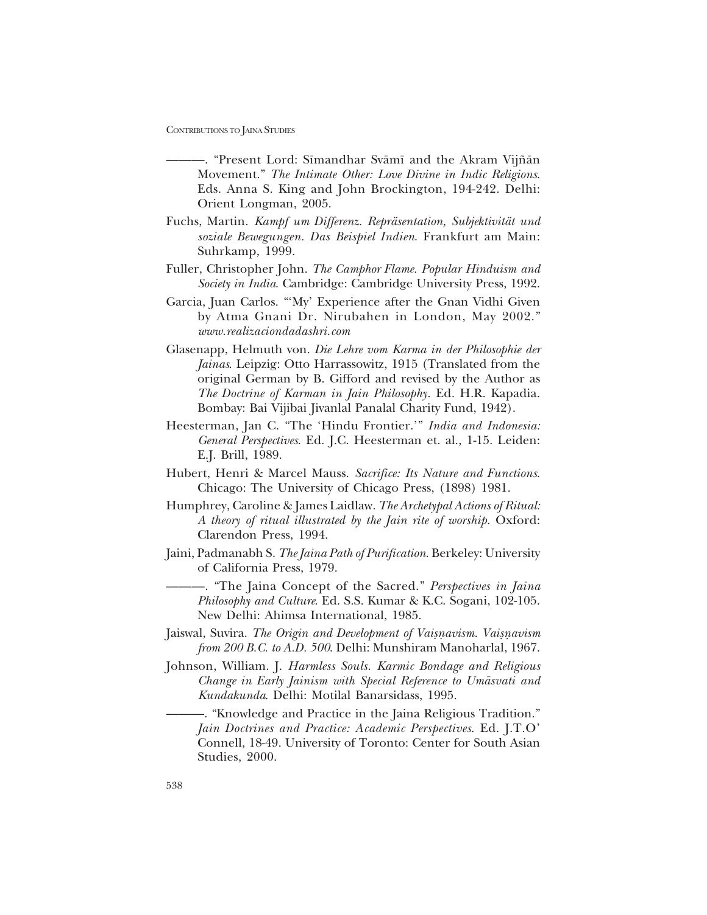- óóó. ìPresent Lord: S∂mandhar Svåm∂ and the Akram Vij¤ån Movement.î *The Intimate Other: Love Divine in Indic Religions*. Eds. Anna S. King and John Brockington, 194-242. Delhi: Orient Longman, 2005.
- Fuchs, Martin. *Kampf um Differenz. Repräsentation, Subjektivität und soziale Bewegungen. Das Beispiel Indien*. Frankfurt am Main: Suhrkamp, 1999.
- Fuller, Christopher John. *The Camphor Flame. Popular Hinduism and Society in India*. Cambridge: Cambridge University Press, 1992.
- Garcia, Juan Carlos. "'My' Experience after the Gnan Vidhi Given by Atma Gnani Dr. Nirubahen in London, May 2002." *www.realizaciondadashri.com*
- Glasenapp, Helmuth von. *Die Lehre vom Karma in der Philosophie der Jainas*. Leipzig: Otto Harrassowitz, 1915 (Translated from the original German by B. Gifford and revised by the Author as *The Doctrine of Karman in Jain Philosophy*. Ed. H.R. Kapadia. Bombay: Bai Vijibai Jivanlal Panalal Charity Fund, 1942).
- Heesterman, Jan C. "The 'Hindu Frontier.'" *India and Indonesia: General Perspectives*. Ed. J.C. Heesterman et. al., 1-15. Leiden: E.J. Brill, 1989.
- Hubert, Henri & Marcel Mauss. *Sacrifice: Its Nature and Functions*. Chicago: The University of Chicago Press, (1898) 1981.
- Humphrey, Caroline & James Laidlaw. *The Archetypal Actions of Ritual: A theory of ritual illustrated by the Jain rite of worship*. Oxford: Clarendon Press, 1994.
- Jaini, Padmanabh S. *The Jaina Path of Purification*. Berkeley: University of California Press, 1979.
	- óóó. ìThe Jaina Concept of the Sacred.î *Perspectives in Jaina Philosophy and Culture*. Ed. S.S. Kumar & K.C. Sogani, 102-105. New Delhi: Ahimsa International, 1985.
- Jaiswal, Suvira. *The Origin and Development of Vaisnavism. Vaisnavism from 200 B.C. to A.D. 500*. Delhi: Munshiram Manoharlal, 1967.
- Johnson, William. J. *Harmless Souls. Karmic Bondage and Religious Change in Early Jainism with Special Reference to Umåsvati and Kundakunda*. Delhi: Motilal Banarsidass, 1995.

- "Knowledge and Practice in the Jaina Religious Tradition." *Jain Doctrines and Practice: Academic Perspectives*. Ed. J.T.Oí Connell, 18-49. University of Toronto: Center for South Asian Studies, 2000.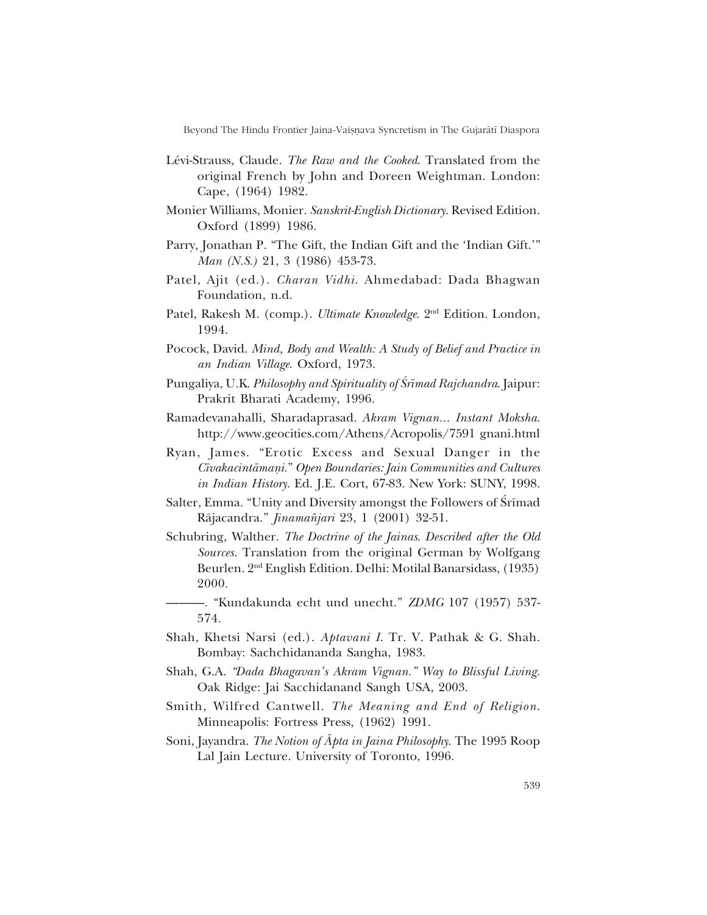Beyond The Hindu Frontier Jaina-Vaisnava Syncretism in The Gujarātī Diaspora

- Lévi-Strauss, Claude. *The Raw and the Cooked*. Translated from the original French by John and Doreen Weightman. London: Cape, (1964) 1982.
- Monier Williams, Monier. *Sanskrit-English Dictionary*. Revised Edition. Oxford (1899) 1986.
- Parry, Jonathan P. "The Gift, the Indian Gift and the 'Indian Gift.'" *Man (N.S.)* 21, 3 (1986) 453-73.
- Patel, Ajit (ed.). *Charan Vidhi*. Ahmedabad: Dada Bhagwan Foundation, n.d.
- Patel, Rakesh M. (comp.). *Ultimate Knowledge*. 2<sup>nd</sup> Edition. London, 1994.
- Pocock, David. *Mind, Body and Wealth: A Study of Belief and Practice in an Indian Village*. Oxford, 1973.
- Pungaliya, U.K. *Philosophy and Spirituality of Srīmad Rajchandra*. Jaipur: Prakrit Bharati Academy, 1996.
- Ramadevanahalli, Sharadaprasad. *Akram Vignan... Instant Moksha*. http://www.geocities.com/Athens/Acropolis/7591 gnani.html
- Ryan, James. "Erotic Excess and Sexual Danger in the *C∂vakacintåmaƒi*.î *Open Boundaries: Jain Communities and Cultures in Indian History*. Ed. J.E. Cort, 67-83. New York: SUNY, 1998.
- Salter, Emma. "Unity and Diversity amongst the Followers of Srīmad Råjacandra.î *Jinama¤jari* 23, 1 (2001) 32-51.
- Schubring, Walther. *The Doctrine of the Jainas*. *Described after the Old Sources*. Translation from the original German by Wolfgang Beurlen. 2nd English Edition. Delhi: Motilal Banarsidass, (1935) 2000.
- óóó. ìKundakunda echt und unecht.î *ZDMG* 107 (1957) 537- 574.
- Shah, Khetsi Narsi (ed.). *Aptavani I*. Tr. V. Pathak & G. Shah. Bombay: Sachchidananda Sangha, 1983.
- Shah, G.A. *ìDada Bhagavanís Akram Vignan.î Way to Blissful Living.* Oak Ridge: Jai Sacchidanand Sangh USA, 2003.
- Smith, Wilfred Cantwell. *The Meaning and End of Religion*. Minneapolis: Fortress Press, (1962) 1991.
- Soni, Jayandra. *The Notion of Åpta in Jaina Philosophy*. The 1995 Roop Lal Jain Lecture. University of Toronto, 1996.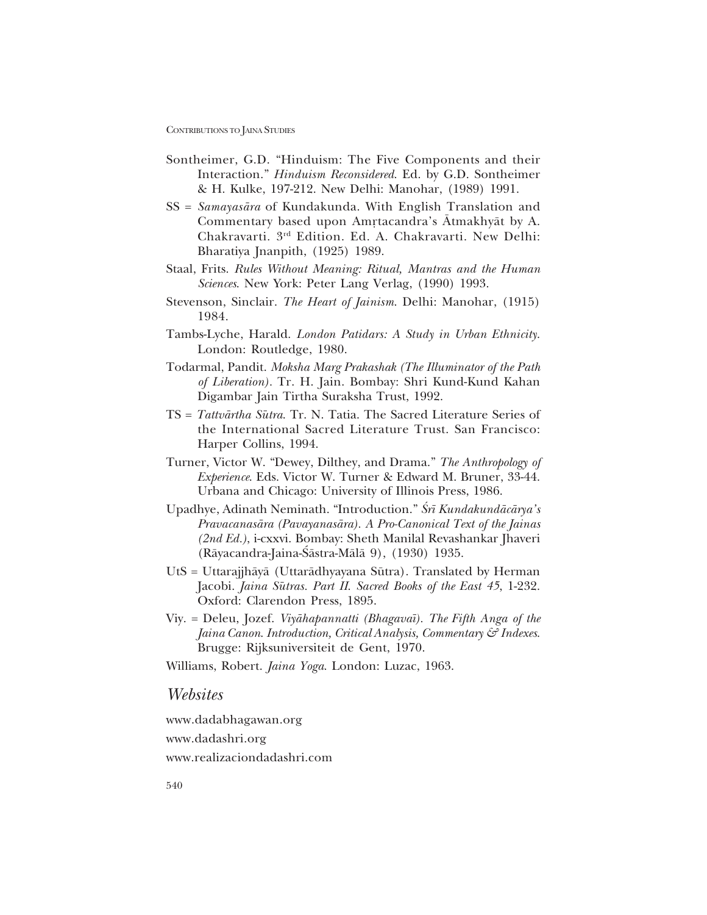- Sontheimer, G.D. "Hinduism: The Five Components and their Interaction.î *Hinduism Reconsidered*. Ed. by G.D. Sontheimer & H. Kulke, 197-212. New Delhi: Manohar, (1989) 1991.
- SS = *Samayasåra* of Kundakunda. With English Translation and Commentary based upon Amrtacandra's Atmakhyāt by A. Chakravarti. 3rd Edition. Ed. A. Chakravarti. New Delhi: Bharatiya Jnanpith, (1925) 1989.
- Staal, Frits. *Rules Without Meaning: Ritual, Mantras and the Human Sciences*. New York: Peter Lang Verlag, (1990) 1993.
- Stevenson, Sinclair. *The Heart of Jainism*. Delhi: Manohar, (1915) 1984.
- Tambs-Lyche, Harald. *London Patidars: A Study in Urban Ethnicity*. London: Routledge, 1980.
- Todarmal, Pandit. *Moksha Marg Prakashak (The Illuminator of the Path of Liberation).* Tr. H. Jain. Bombay: Shri Kund-Kund Kahan Digambar Jain Tirtha Suraksha Trust, 1992.
- TS = *Tattvårtha Sμutra*. Tr. N. Tatia. The Sacred Literature Series of the International Sacred Literature Trust. San Francisco: Harper Collins, 1994.
- Turner, Victor W. "Dewey, Dilthey, and Drama." *The Anthropology of Experience*. Eds. Victor W. Turner & Edward M. Bruner, 33-44. Urbana and Chicago: University of Illinois Press, 1986.
- Upadhye, Adinath Neminath. "Introduction." *Śrī Kundakundācārya*'s *Pravacanasåra (Pavayanasåra). A Pro-Canonical Text of the Jainas (2nd Ed.)*, i-cxxvi. Bombay: Sheth Manilal Revashankar Jhaveri (Rāyacandra-Jaina-Śāstra-Mālā 9), (1930) 1935.
- UtS = Uttarajjhāyā (Uttarādhyayana Sūtra). Translated by Herman Jacobi. *Jaina Sūtras. Part II. Sacred Books of the East 45*, 1-232. Oxford: Clarendon Press, 1895.
- Viy. = Deleu, Jozef. *Viyåhapannatti (Bhagava∂). The Fifth Anga of the Jaina Canon*. *Introduction, Critical Analysis, Commentary & Indexes*. Brugge: Rijksuniversiteit de Gent, 1970.

Williams, Robert. *Jaina Yoga*. London: Luzac, 1963.

## *Websites*

www.dadabhagawan.org www.dadashri.org www.realizaciondadashri.com

540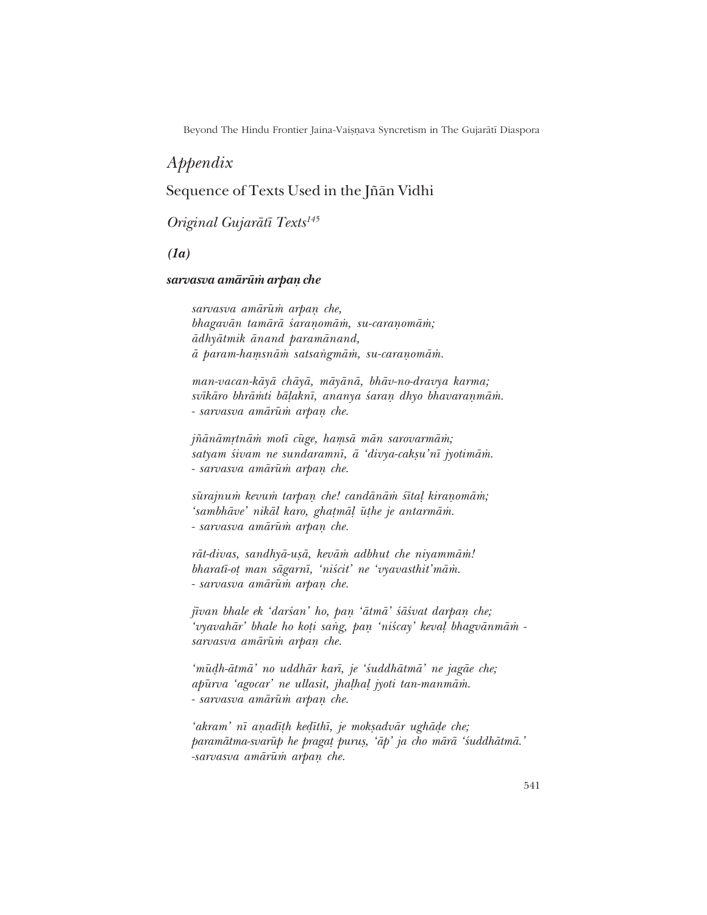Beyond The Hindu Frontier Jaina-Vaișņava Syncretism in The Gujarātī Diaspora

# *Appendix*

# Sequence of Texts Used in the Jñān Vidhi

# *Original Gujaråt∂ Texts145*

*(1a)*

### *sarvasva amårμu≈ arpaƒ che*

*sarvasva amårμu≈ arpaƒ che, bhagavån tamårå ‹araƒomå≈, su-caraƒomå≈; ådhyåtmik ånand paramånand,*  $ā$  param-hamsnām satsangmām, su-caranomām.

*man-vacan-kåyå chåyå, måyånå, bhåv-no-dravya karma;* svīkāro bhrāmti bāļaknī, ananya śaraņ dhyo bhavaraņmām. *- sarvasva amårμu≈ arpaƒ che.*

 $jñānāmștnām motī cūge, hamsā mān sarovarmām;$ satyam śivam ne sundaramn**ī**, ā 'divya-cakṣu'nī jyotimām. *- sarvasva amårμu≈ arpaƒ che.*

sūrajnum kevum tarpan che! candānām śītaļ kiranomām; *ësambhåveí nikål karo, gha¢må¸ μu¢he je antarmå≈. - sarvasva amårμu≈ arpaƒ che.*

rāt-divas, sandhyā-uṣā, kevām adbhut che niyammām! *bharatī-ot man sāgarnī, 'niścit' ne 'vyavasthit'mām. - sarvasva amårμu≈ arpaƒ che.*

*jīvan bhale ek 'darśan' ho, pan 'ātmā' śāśvat darpan che; 'vyavahār' bhale ho koți sang, pan 'niścay' keval bhagvānmām sarvasva amårμu≈ arpaƒ che.*

*ëmμuŒh-åtmåí no uddhår kar∂, je ë‹uddhåtmåí ne jagåe che; apμurva ëagocarí ne ullasit, jha¸ha¸ jyoti tan-manmå≈. - sarvasva amårμu≈ arpaƒ che.*

*ëakramí n∂ aƒad∂¢h keŒ∂th∂, je mok¶advår ughåŒe che;* paramātma-svarūp he pragat purus, 'āp' ja cho mārā 'śuddhātmā.' *-sarvasva amårμu≈ arpaƒ che.*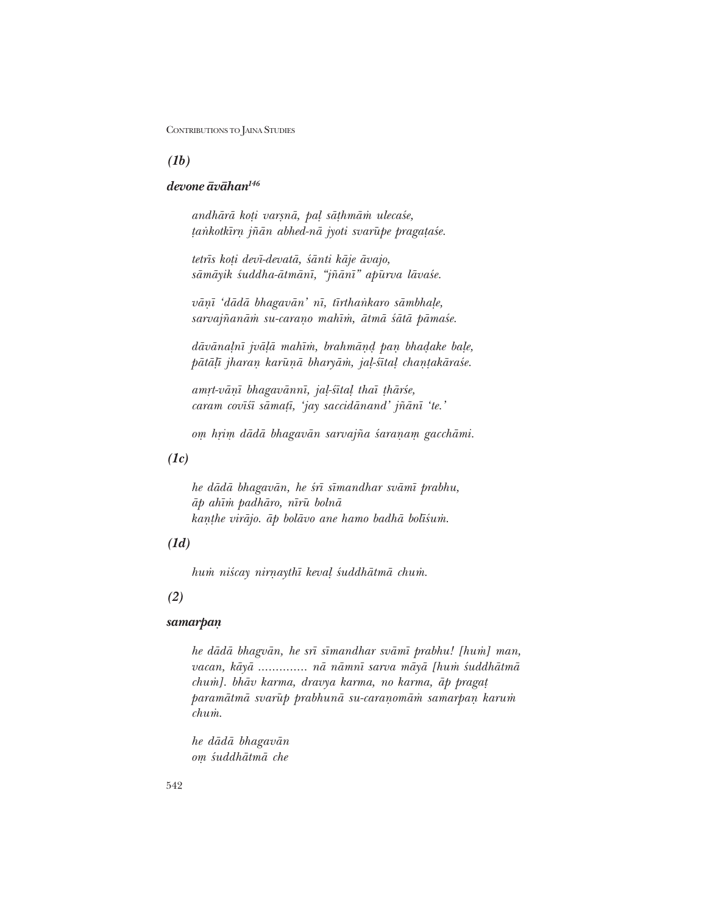*(1b)*

## *devone åvåhan146*

*andhårå ko¢i var¶nå, pa¸ så¢hmå≈ uleca‹e, ¢aΔkotk∂rƒ j¤ån abhed-nå jyoti svarμupe praga¢a‹e.*

*tetr∂s ko¢i dev∂-devatå, ‹ånti kåje åvajo,* sāmāyik śuddha-ātmānī, "jñānī" apūrva lāvaśe.

 $v\bar{a}n\bar{i}$  'dādā bhagavān' nī, tīrthankaro sāmbhaļe, sarvajñanām su-caraņo mahīm, ātmā śātā pāmaśe.

*dāvānaļnī jvāļā mahīm, brahmānd pan bhadake baļe,*  $p\bar{a}t\bar{a}l\bar{i}$  jharan karūņā bharyām, jaļ-śītaļ chanțakāraśe.

*amrt-vāņī bhagavānnī, jaļ-śītaļ thaī thārśe, caram cov∂‹∂ såma¢∂, ëjay saccidånandí j¤ån∂ ëte.í*

*o√ hæi√ dådå bhagavån sarvaj¤a ‹araƒa√ gacchåmi.*

### *(1c)*

*he dådå bhagavån, he ‹r∂ s∂mandhar svåm∂ prabhu, åp ah∂≈ padhåro, n∂rμu bolnå kanțhe virājo. āp bolāvo ane hamo badhā bolīśum.* 

### *(1d)*

*hum niścay nirnaythī keval śuddhātmā chum.* 

### *(2)*

## *samarpaƒ*

*he dådå bhagvån, he sr∂ s∂mandhar svåm∂ prabhu! [hu≈] man, vacan, kåyå .............. nå nåmn∂ sarva måyå [hu≈ ‹uddhåtmå chu≈]. bhåv karma, dravya karma, no karma, åp praga¢* paramātmā svarūp prabhunā su-caraņomām samarpaņ karum *chu≈.*

*he dådå bhagavån o√ ‹uddhåtmå che*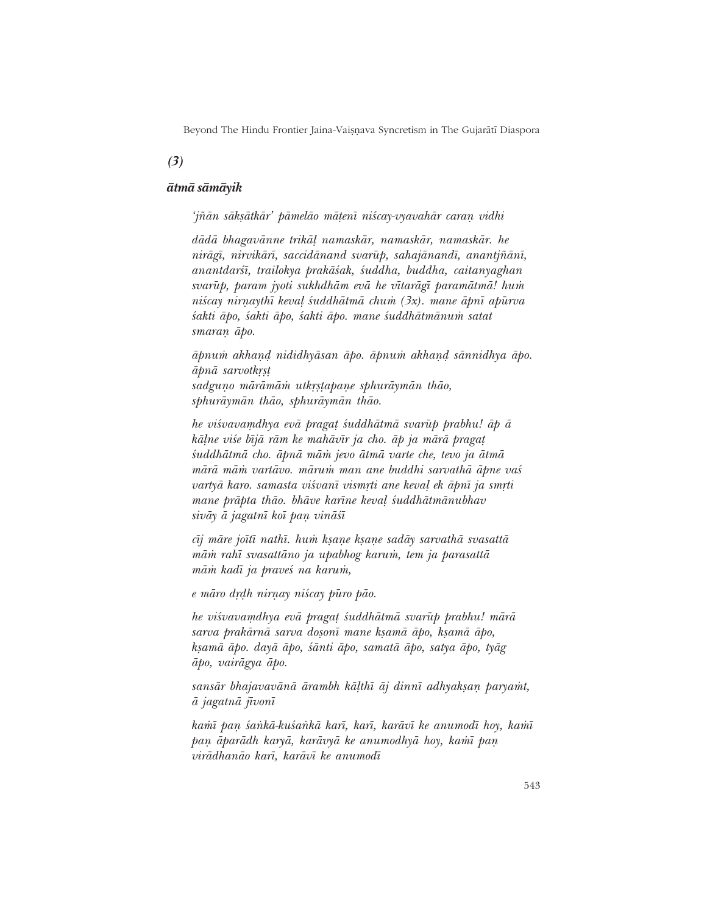Beyond The Hindu Frontier Jaina-Vaișņava Syncretism in The Gujarātī Diaspora

*(3)*

### *åtmå såmåyik*

*ëj¤ån såk¶åtkårí påmelåo må¢en∂ ni‹cay-vyavahår caraƒ vidhi*

*dådå bhagavånne trikå¸ namaskår, namaskår, namaskår. he* nirāgī, nirvikārī, saccidānand svarūp, sahajānandī, anantjñānī, *anantdar‹∂, trailokya prakå‹ak, ‹uddha, buddha, caitanyaghan svarμup, param jyoti sukhdhåm evå he v∂taråg∂ paramåtmå! hu≈ niścay nirnaythī keval śuddhātmā chum (3x). mane āpnī apūrva ‹akti åpo, ‹akti åpo, ‹akti åpo. mane ‹uddhåtmånu≈ satat* smaran  $\bar{a}$ po.

 $\bar{a}$ pnum akhand nididhyāsan āpo. āpnum akhand sānnidhya āpo.  $\bar{a}$ *pn* $\bar{a}$  *sarvotkrst* sadguno mārāmām utkrstapane sphurāymān thāo, *sphuråymån thåo, sphuråymån thåo.*

*he visvavamdhya evā pragat śuddhātmā svarūp prabhu! āp ā kāļne više bījā rām ke mahāvīr ja cho. āp ja mārā pragat ‹uddhåtmå cho. åpnå må≈ jevo åtmå varte che, tevo ja åtmå mårå må≈ vartåvo. måru≈ man ane buddhi sarvathå åpne va‹ vartyā karo. samasta viśvanī vismrti ane kevaļ ek āpnī ja smrti mane pråpta thåo. bhåve kar∂ne keva¸ ‹uddhåtmånubhav* sivāy ā jagatnī koī pan vināśī

*c∂j måre jo∂t∂ nath∂. hu≈ k¶aƒe k¶aƒe sadåy sarvathå svasattå må≈ rah∂ svasattåno ja upabhog karu≈, tem ja parasattå mām kadī ja praveś na karum,* 

*e māro drdh nirnay niścay pūro pāo.* 

he viśvavamdhya evā pragat śuddhātmā svarūp prabhu! mārā sarva prakārnā sarva doșonī mane kșamā āpo, kșamā āpo, *k¶amå åpo. dayå åpo, ‹ånti åpo, samatå åpo, satya åpo, tyåg åpo, vairågya åpo.*

sans*ār bhajavavānā ārambh kāļthī āj dinnī adhyakṣaṇ paryamt*, *å jagatnå j∂von∂*

*kamī pan śankā-kuśankā karī, karī, karāvī ke anumodī hoy, kamī*  $pan$  *āparādh karyā, karāvyā ke anumodhyā hoy, kamī pan virådhanåo kar∂, karåv∂ ke anumod∂*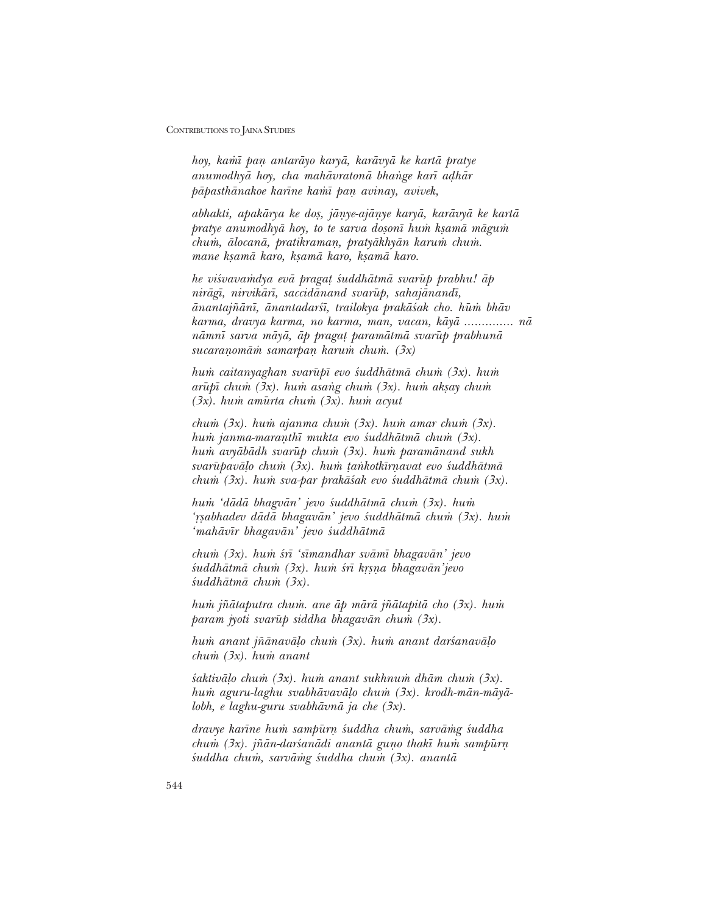*hoy, ka≈∂ paƒ antaråyo karyå, karåvyå ke kartå pratye anumodhyā hoy, cha mahāvratonā bhange karī adhār påpasthånakoe kar∂ne ka≈∂ paƒ avinay, avivek,*

*abhakti, apakårya ke do¶, jåƒye-ajåƒye karyå, karåvyå ke kartå pratye anumodhyā hoy, to te sarva dosonī hum kṣamā māgum chu≈, ålocanå, pratikramaƒ, pratyåkhyån karu≈ chu≈. mane k¶amå karo, k¶amå karo, k¶amå karo.*

*he viśvavamdya evā pragat śuddhātmā svarūp prabhu! āp niråg∂, nirvikår∂, saccidånand svarμup, sahajånand∂,*  $\bar{a}$ *nantajñānī, ānantadarśī, trailokya prakāśak cho. hūm bhāv karma, dravya karma, no karma, man, vacan, kåyå .............. nå*  $n$ *āmnī sarva māyā, āp pragat paramātmā svarūp prabhunā* sucaranomām samarpan karum chum. (3x)

*hu≈ caitanyaghan svarμup∂ evo ‹uddhåtmå chu≈ (3x). hu≈ arūpī chum (3x). hum asang chum (3x). hum aksay chum (3x). hu≈ amμurta chu≈ (3x). hu≈ acyut*

*chum (3x). hum ajanma chum (3x). hum amar chum (3x). hum janma-maranthī mukta evo śuddhātmā chum (3x). hum avyābādh svarūp chum (3x). hum paramānand sukh* svarūpavālo chum (3x). hum tankotkīrnavat evo śuddhātmā *chum (3x). hum sva-par prakāśak evo śuddhātmā chum (3x).* 

*hum 'dādā bhagvān' jevo śuddhātmā chum (3x). hum ëæ¶abhadev dådå bhagavåní jevo ‹uddhåtmå chu≈ (3x). hu≈ ëmahåv∂r bhagavåní jevo ‹uddhåtmå*

*chu≈ (3x). hu≈ ‹r∂ ës∂mandhar svåm∂ bhagavåní jevo* śuddhātmā chum (3x). hum śrī krsna bhagavān'jevo *‹uddhåtmå chu≈ (3x).*

*hu≈ j¤åtaputra chu≈. ane åp mårå j¤åtapitå cho (3x). hu≈ param jyoti svarūp siddha bhagavān chum (3x).* 

*hum anant jñānavāļo chum (3x). hum anant darśanavāļo chu≈ (3x). hu≈ anant*

*‹aktivå¸o chu≈ (3x). hu≈ anant sukhnu≈ dhåm chu≈ (3x). hu≈ aguru-laghu svabhåvavå¸o chu≈ (3x). krodh-mån-måyålobh, e laghu-guru svabhåvnå ja che (3x).*

*dravye kar∂ne hu≈ sampμurƒ ‹uddha chu≈, sarvå≈g ‹uddha chum (3x). jñān-daršanādi anantā guno thakī hum sampūrn ‹uddha chu≈, sarvå≈g ‹uddha chu≈ (3x). anantå*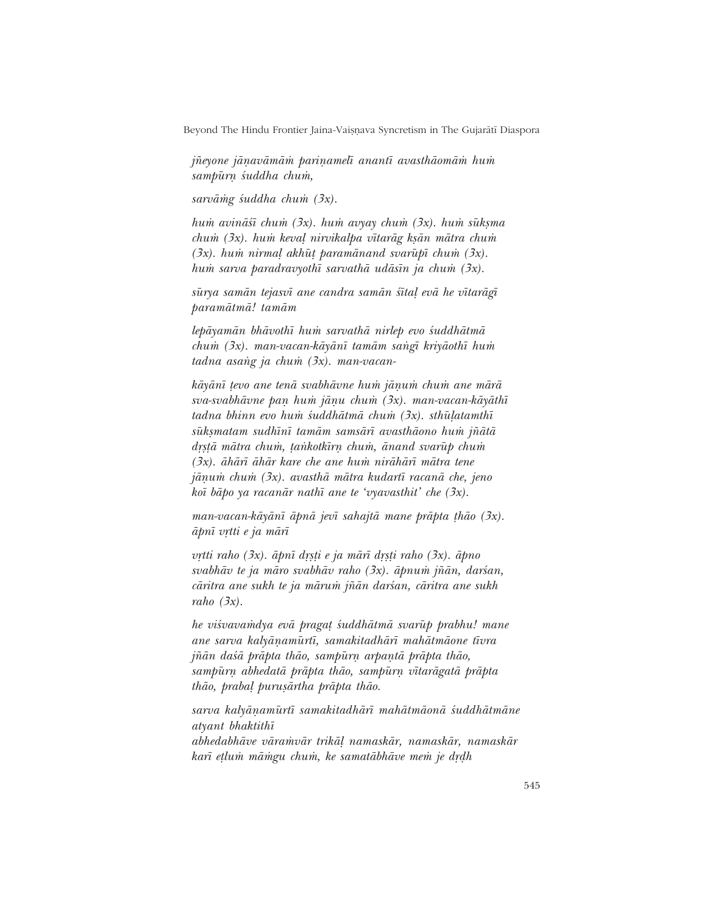Beyond The Hindu Frontier Jaina-Vaișņava Syncretism in The Gujarātī Diaspora

*jñevone jānavāmām parinamelī anantī avasthāomām hum sampμurƒ ‹uddha chu≈,*

*sarvå≈g ‹uddha chu≈ (3x).*

*hum avināśī chum (3x). hum avyay chum (3x). hum sūksma chum (3x). hum kevaļ nirvikalpa vītarāg ksān mātra chum*  $(3x)$ . hum nirmaļ akhūt paramānand svarūpī chum (3x). *hu≈ sarva paradravyoth∂ sarvathå udås∂n ja chu≈ (3x).*

sūrya samān tejasvī ane candra samān śītaļ evā he vītarāgī *paramåtmå! tamåm*

*lepåyamån bhåvoth∂ hu≈ sarvathå nirlep evo ‹uddhåtmå chum (3x). man-vacan-kāyānī tamām sangī kriyāothī hum tadna asang ja chum (3x). man-vacan-*

kāyānī tevo ane tenā svabhāvne hum jāņum chum ane mārā *sva-svabhåvne paƒ hu≈ jåƒu chu≈ (3x). man-vacan-kåyåth∂ tadna bhinn evo hum* suddhātmā chum (3x). sthūļatamthī *sμuk¶matam sudh∂n∂ tamåm samsår∂ avasthåono hu≈ j¤åtå dæ¶¢å måtra chu≈, ¢aΔkotk∂rƒ chu≈, ånand svarμup chu≈ (3x). åhår∂ åhår kare che ane hu≈ niråhår∂ måtra tene jåƒu≈ chu≈ (3x). avasthå måtra kudart∂ racanå che, jeno ko∂ båpo ya racanår nath∂ ane te ëvyavasthití che (3x).*

*man-vacan-kåyån∂ åpnå jev∂ sahajtå mane pråpta ¢håo (3x). åpn∂ vætti e ja mår∂*

*vætti raho (3x). åpn∂ dæ¶¢i e ja mår∂ dæ¶¢i raho (3x). åpno* svabhāv te ja māro svabhāv raho (3x). āpnum jñān, darśan, *cāritra ane sukh te ja mārum jñān darśan, cāritra ane sukh raho (3x).*

he viśvavamdya evā pragat śuddhātmā svarūp prabhu! mane *ane sarva kalyåƒamμurt∂, samakitadhår∂ mahåtmåone t∂vra*  $i\tilde{n}$ *ān daśā prāpta thāo, sampūrn arpantā prāpta thāo, sampμurƒ abhedatå pråpta thåo, sampμurƒ v∂tarågatå pråpta thåo, praba¸ puru¶årtha pråpta thåo.*

*sarva kalyåƒamμurt∂ samakitadhår∂ mahåtmåonå ‹uddhåtmåne atyant bhaktith∂ abhedabhåve våra≈vår trikå¸ namaskår, namaskår, namaskår* karī etlum māmgu chum, ke samatābhāve mem je drdh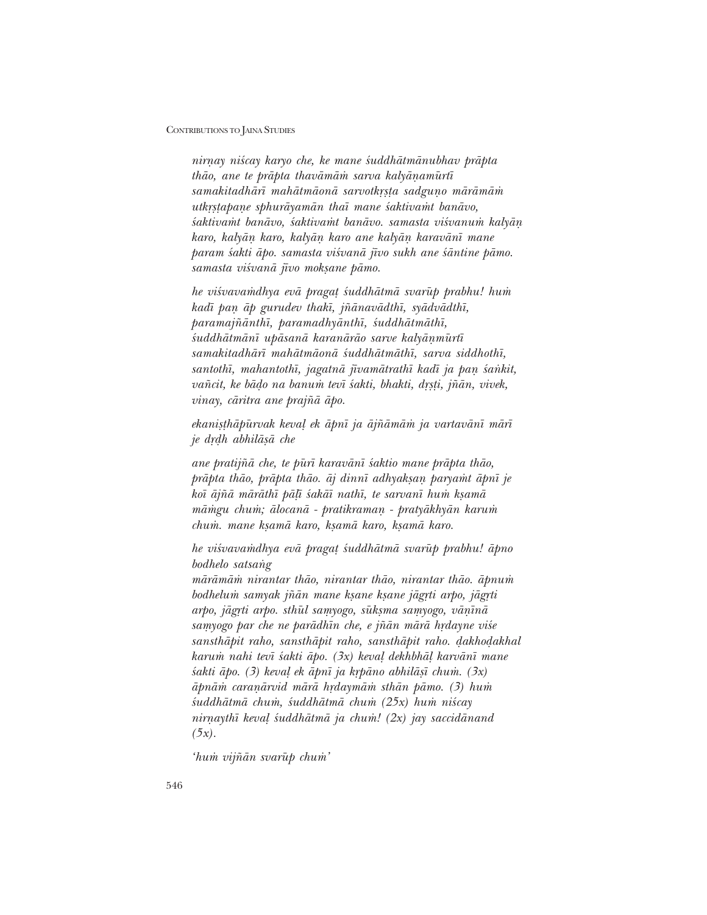*nirƒay ni‹cay karyo che, ke mane ‹uddhåtmånubhav pråpta thāo, ane te prāpta thavāmām sarva kalyānamūrtī* samakitadhārī mahātmāonā sarvotkrsta sadguņo mārāmām  $u$ tkrstapane sphurāyamān thaī mane śaktivamt banāvo, *‹aktiva≈t banåvo, ‹aktiva≈t banåvo. samasta vi‹vanu≈ kalyåƒ karo, kalyåƒ karo, kalyåƒ karo ane kalyåƒ karavån∂ mane param ‹akti åpo. samasta vi‹vanå j∂vo sukh ane ‹åntine påmo.* samasta viśvanā jīvo moksane pāmo.

*he visvavamdhya evā pragat suddhātmā svarūp prabhu! hum kad∂ paƒ åp gurudev thak∂, j¤ånavådth∂, syådvådth∂, paramaj¤ånth∂, paramadhyånth∂, ‹uddhåtmåth∂, śuddhātmānī upāsanā karanārāo sarve kalyānmūrtī samakitadhår∂ mahåtmåonå ‹uddhåtmåth∂, sarva siddhoth∂,* santothī, mahantothī, jagatnā jīvamātrathī kadī ja pan śankit,  $vañcit, ke bādo na banu m tevī šakti, bhakti, drsti, jñān, vivek,$ *vinay, cåritra ane praj¤å åpo.*

*ekanisthāpūrvak kevaļ ek āpnī ja ājñāmām ja vartavānī mārī je dæŒh abhilå¶å che*

*ane pratij¤å che, te pμur∂ karavån∂ ‹aktio mane pråpta thåo, prāpta thāo, prāpta thāo. āj dinnī adhyaksan paryamt āpnī je ko∂ åj¤å måråth∂ på¸∂ ‹akå∂ nath∂, te sarvan∂ hu≈ k¶amå māmgu chum; ālocanā - pratikraman - pratyākhyān karum chu≈. mane k¶amå karo, k¶amå karo, k¶amå karo.*

*he vi‹vava≈dhya evå praga¢ ‹uddhåtmå svarμup prabhu! åpno bodhelo satsang* 

 $m\bar{a}r\bar{a}m\bar{a}m$  nirantar thāo, nirantar thāo, nirantar thāo, āpnum *bodhelu≈ samyak j¤ån mane k¶ane k¶ane jågæti arpo, jågæti* arpo, jāgrti arpo. sthūl samyogo, sūksma samyogo, vāņīnā samyogo par che ne parādhīn che, e jñān mārā hrdayne viśe  $sansth\bar{a}pit$  raho, sansthāpit raho, sansthāpit raho. dakhodakhal *karu≈ nahi tev∂ ‹akti åpo. (3x) keva¸ dekhbhå¸ karvån∂ mane ‹akti åpo. (3) keva¸ ek åpn∂ ja kæpåno abhilå¶∂ chu≈. (3x)*  $āp<sub>n</sub>ām caranārvid mārā h<sub>r</sub>da<sub>Y</sub>mām sthān pāmo. (3) hu<sub>m</sub>$ *‹uddhåtmå chu≈, ‹uddhåtmå chu≈ (25x) hu≈ ni‹cay nirnaythī kevaļ śuddhātmā ja chum! (2x) jay saccidānand (5x).*

*ihum vijñān svarūp chum*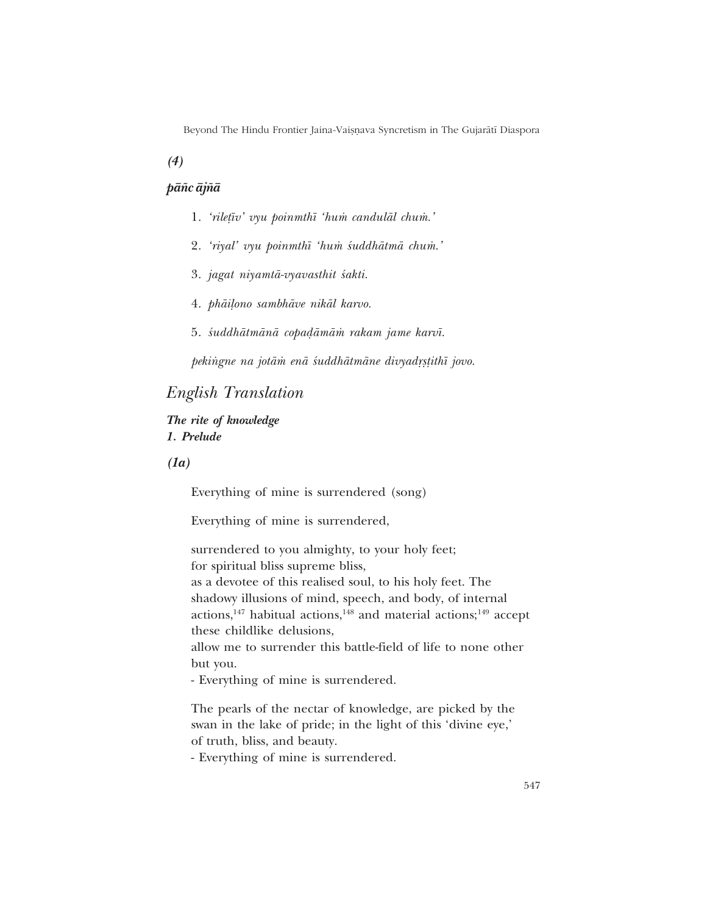Beyond The Hindu Frontier Jaina-Vaișņava Syncretism in The Gujarātī Diaspora

*(4)*

### *på¤c åj¤å*

- 1. *'riletīv' vyu poinmthī 'hum candulāl chum.'*
- 2. 'riyal' vyu poinmthī 'hum śuddhātmā chum.'
- 3. *jagat niyamtå-vyavasthit ‹akti.*
- 4. *phāiļono sambhāve nikāl karvo.*
- 5. *śuddhātmānā copadāmām rakam jame karvī*.

 $pekingne$  na jotām enā śuddhātmāne divyadrstithī jovo.

# *English Translation*

*The rite of knowledge 1. Prelude*

*(1a)*

Everything of mine is surrendered (song)

Everything of mine is surrendered,

surrendered to you almighty, to your holy feet; for spiritual bliss supreme bliss, as a devotee of this realised soul, to his holy feet. The shadowy illusions of mind, speech, and body, of internal actions,<sup>147</sup> habitual actions,<sup>148</sup> and material actions;<sup>149</sup> accept these childlike delusions,

allow me to surrender this battle-field of life to none other but you.

- Everything of mine is surrendered.

The pearls of the nectar of knowledge, are picked by the swan in the lake of pride; in the light of this 'divine eye,' of truth, bliss, and beauty.

- Everything of mine is surrendered.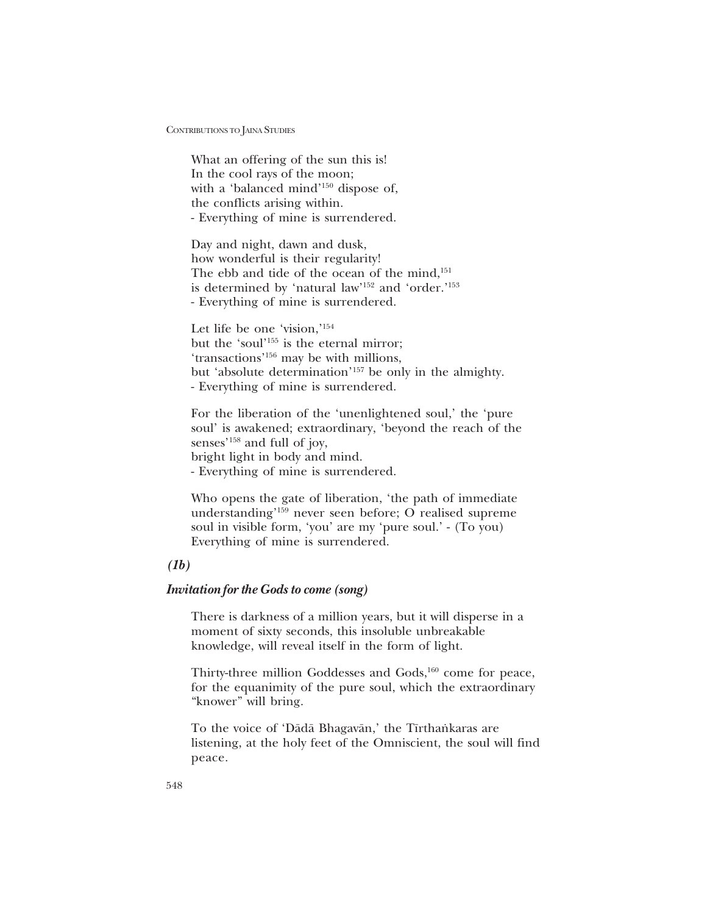What an offering of the sun this is! In the cool rays of the moon; with a 'balanced mind'<sup>150</sup> dispose of, the conflicts arising within. - Everything of mine is surrendered.

Day and night, dawn and dusk, how wonderful is their regularity! The ebb and tide of the ocean of the mind,<sup>151</sup> is determined by 'natural law'<sup>152</sup> and 'order.'<sup>153</sup> - Everything of mine is surrendered.

Let life be one 'vision,' $154$ but the 'soul'<sup>155</sup> is the eternal mirror; 'transactions'<sup>156</sup> may be with millions, but 'absolute determination'<sup>157</sup> be only in the almighty. - Everything of mine is surrendered.

For the liberation of the 'unenlightened soul,' the 'pure soul' is awakened; extraordinary, 'beyond the reach of the senses'<sup>158</sup> and full of joy, bright light in body and mind. - Everything of mine is surrendered.

Who opens the gate of liberation, 'the path of immediate understanding<sup>159</sup> never seen before; O realised supreme soul in visible form, 'you' are my 'pure soul.' - (To you) Everything of mine is surrendered.

## *(1b)*

### *Invitation for the Gods to come (song)*

There is darkness of a million years, but it will disperse in a moment of sixty seconds, this insoluble unbreakable knowledge, will reveal itself in the form of light.

Thirty-three million Goddesses and Gods,<sup>160</sup> come for peace, for the equanimity of the pure soul, which the extraordinary "knower" will bring.

To the voice of 'Dādā Bhagavān,' the Tīrthankaras are listening, at the holy feet of the Omniscient, the soul will find peace.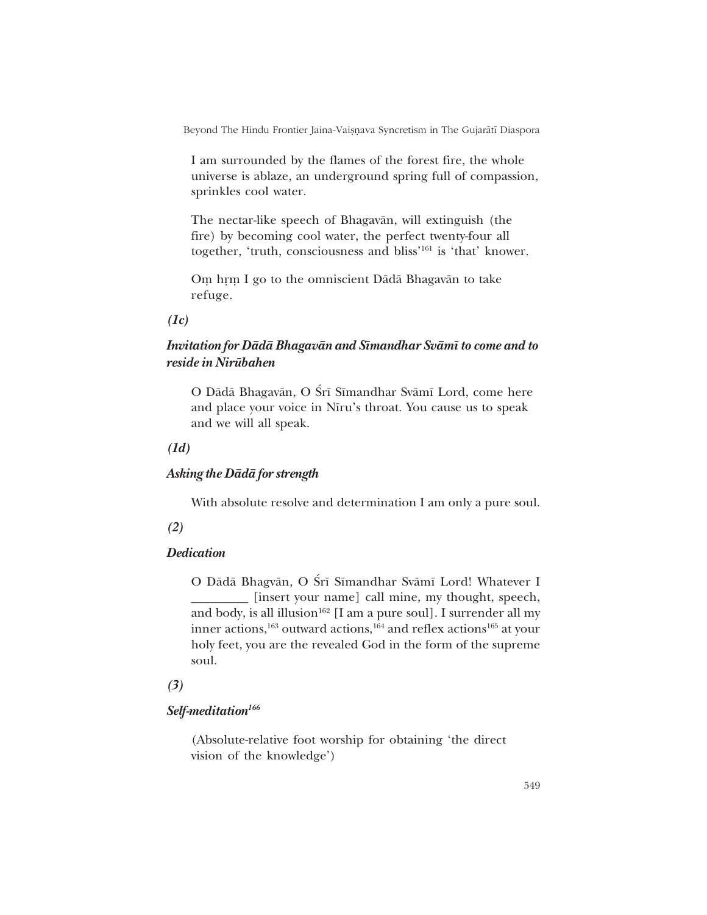Beyond The Hindu Frontier Jaina-Vaișnava Syncretism in The Gujarātī Diaspora

I am surrounded by the flames of the forest fire, the whole universe is ablaze, an underground spring full of compassion, sprinkles cool water.

The nectar-like speech of Bhagavån, will extinguish (the fire) by becoming cool water, the perfect twenty-four all together, 'truth, consciousness and bliss'<sup>161</sup> is 'that' knower.

Om hrm I go to the omniscient Dādā Bhagavān to take refuge.

*(1c)*

# *Invitation for Dådå Bhagavån and S∂mandhar Svåm∂ to come and to reside in Nirμubahen*

O Dādā Bhagavān, O Śrī Sīmandhar Svāmī Lord, come here and place your voice in Nīru's throat. You cause us to speak and we will all speak.

*(1d)*

### *Asking the Dådå for strength*

With absolute resolve and determination I am only a pure soul.

*(2)*

## *Dedication*

O Dādā Bhagvān, O Śrī Sīmandhar Svāmī Lord! Whatever I \_\_\_\_\_\_\_\_\_ [insert your name] call mine, my thought, speech, and body, is all illusion<sup>162</sup> [I am a pure soul]. I surrender all my inner actions,<sup>163</sup> outward actions,<sup>164</sup> and reflex actions<sup>165</sup> at your holy feet, you are the revealed God in the form of the supreme soul.

## *(3)*

## *Self-meditation166*

(Absolute-relative foot worship for obtaining 'the direct vision of the knowledge')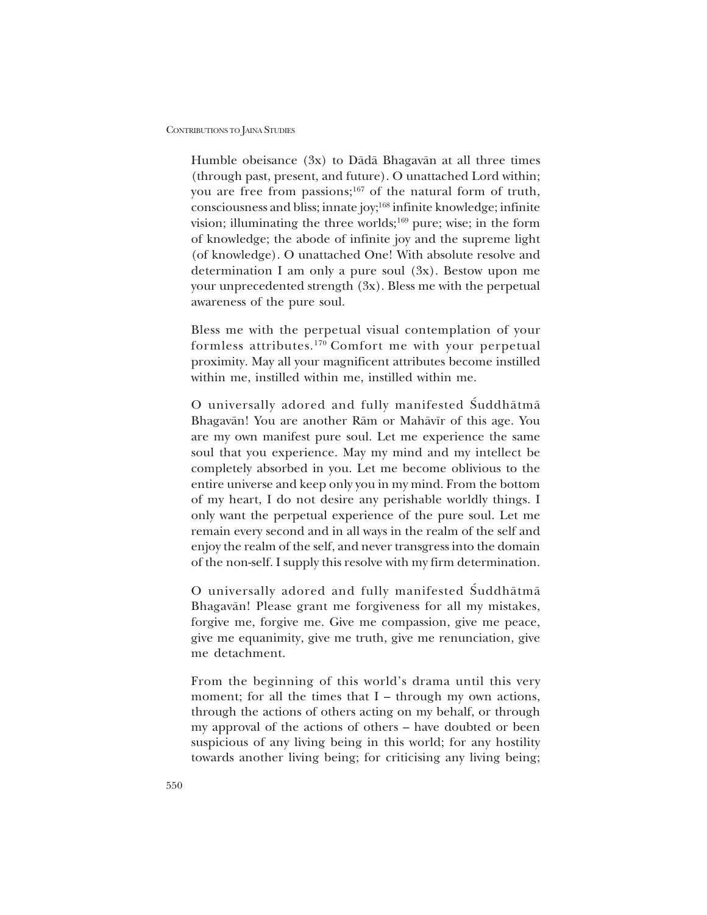Humble obeisance (3x) to Dådå Bhagavån at all three times (through past, present, and future). O unattached Lord within; you are free from passions;<sup>167</sup> of the natural form of truth, consciousness and bliss; innate joy;168 infinite knowledge; infinite vision; illuminating the three worlds; $^{169}$  pure; wise; in the form of knowledge; the abode of infinite joy and the supreme light (of knowledge). O unattached One! With absolute resolve and determination I am only a pure soul (3x). Bestow upon me your unprecedented strength (3x). Bless me with the perpetual awareness of the pure soul.

Bless me with the perpetual visual contemplation of your formless attributes.170 Comfort me with your perpetual proximity. May all your magnificent attributes become instilled within me, instilled within me, instilled within me.

O universally adored and fully manifested Suddhātmā Bhagavān! You are another Rām or Mahāvīr of this age. You are my own manifest pure soul. Let me experience the same soul that you experience. May my mind and my intellect be completely absorbed in you. Let me become oblivious to the entire universe and keep only you in my mind. From the bottom of my heart, I do not desire any perishable worldly things. I only want the perpetual experience of the pure soul. Let me remain every second and in all ways in the realm of the self and enjoy the realm of the self, and never transgress into the domain of the non-self. I supply this resolve with my firm determination.

O universally adored and fully manifested Suddhātmā Bhagavån! Please grant me forgiveness for all my mistakes, forgive me, forgive me. Give me compassion, give me peace, give me equanimity, give me truth, give me renunciation, give me detachment.

From the beginning of this world's drama until this very moment; for all the times that  $I$  – through my own actions, through the actions of others acting on my behalf, or through my approval of the actions of others – have doubted or been suspicious of any living being in this world; for any hostility towards another living being; for criticising any living being;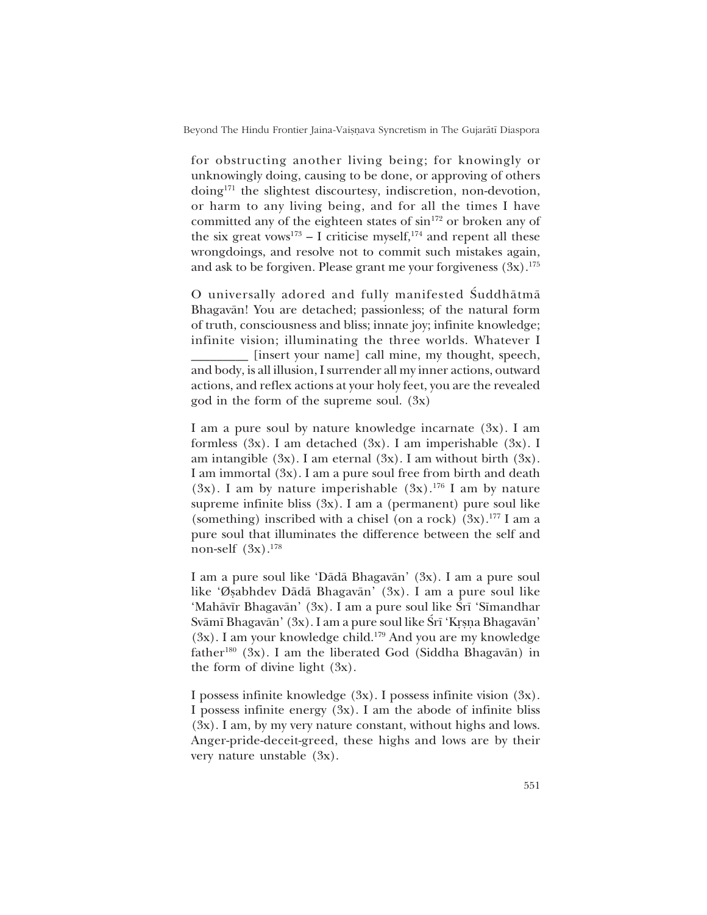Beyond The Hindu Frontier Jaina-Vaiṣṇava Syncretism in The Gujarātī Diaspora

for obstructing another living being; for knowingly or unknowingly doing, causing to be done, or approving of others doing171 the slightest discourtesy, indiscretion, non-devotion, or harm to any living being, and for all the times I have committed any of the eighteen states of  $\sin^{172}$  or broken any of the six great vows<sup>173</sup> – I criticise myself,<sup>174</sup> and repent all these wrongdoings, and resolve not to commit such mistakes again, and ask to be forgiven. Please grant me your forgiveness  $(3x)$ .<sup>175</sup>

O universally adored and fully manifested Suddhātmā Bhagavån! You are detached; passionless; of the natural form of truth, consciousness and bliss; innate joy; infinite knowledge; infinite vision; illuminating the three worlds. Whatever I [insert your name] call mine, my thought, speech, and body, is all illusion, I surrender all my inner actions, outward actions, and reflex actions at your holy feet, you are the revealed god in the form of the supreme soul. (3x)

I am a pure soul by nature knowledge incarnate (3x). I am formless (3x). I am detached (3x). I am imperishable (3x). I am intangible  $(3x)$ . I am eternal  $(3x)$ . I am without birth  $(3x)$ . I am immortal (3x). I am a pure soul free from birth and death (3x). I am by nature imperishable  $(3x)$ .<sup>176</sup> I am by nature supreme infinite bliss (3x). I am a (permanent) pure soul like (something) inscribed with a chisel (on a rock)  $(3x)$ .<sup>177</sup> I am a pure soul that illuminates the difference between the self and non-self  $(3x)$ .<sup>178</sup>

I am a pure soul like 'Dādā Bhagavān' (3x). I am a pure soul like 'Øsabhdev Dādā Bhagavān' (3x). I am a pure soul like 'Mahāvīr Bhagavān' (3x). I am a pure soul like Śrī 'Sīmandhar Svāmī Bhagavān' (3x). I am a pure soul like Śrī 'Krsna Bhagavān' (3x). I am your knowledge child.179 And you are my knowledge father<sup>180</sup> (3x). I am the liberated God (Siddha Bhagavān) in the form of divine light  $(3x)$ .

I possess infinite knowledge (3x). I possess infinite vision (3x). I possess infinite energy  $(3x)$ . I am the abode of infinite bliss (3x). I am, by my very nature constant, without highs and lows. Anger-pride-deceit-greed, these highs and lows are by their very nature unstable (3x).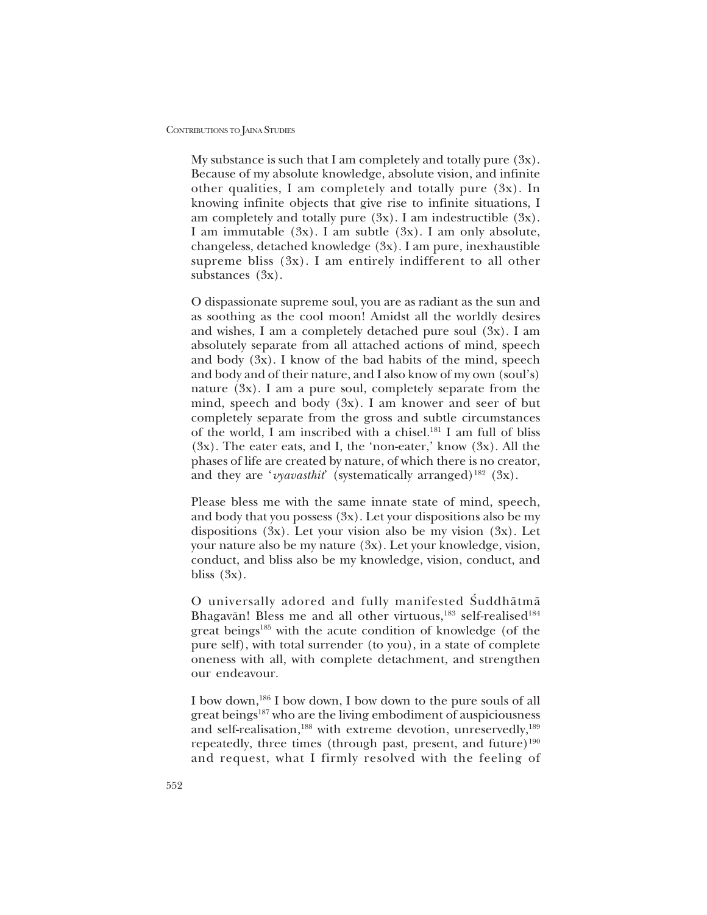My substance is such that I am completely and totally pure  $(3x)$ . Because of my absolute knowledge, absolute vision, and infinite other qualities, I am completely and totally pure (3x). In knowing infinite objects that give rise to infinite situations, I am completely and totally pure  $(3x)$ . I am indestructible  $(3x)$ . I am immutable  $(3x)$ . I am subtle  $(3x)$ . I am only absolute, changeless, detached knowledge (3x). I am pure, inexhaustible supreme bliss (3x). I am entirely indifferent to all other substances (3x).

O dispassionate supreme soul, you are as radiant as the sun and as soothing as the cool moon! Amidst all the worldly desires and wishes, I am a completely detached pure soul (3x). I am absolutely separate from all attached actions of mind, speech and body (3x). I know of the bad habits of the mind, speech and body and of their nature, and I also know of my own (soul's) nature (3x). I am a pure soul, completely separate from the mind, speech and body (3x). I am knower and seer of but completely separate from the gross and subtle circumstances of the world, I am inscribed with a chisel.181 I am full of bliss  $(3x)$ . The eater eats, and I, the 'non-eater,' know  $(3x)$ . All the phases of life are created by nature, of which there is no creator, and they are ' $v\gamma$ *avasthit'* (systematically arranged)<sup>182</sup> (3x).

Please bless me with the same innate state of mind, speech, and body that you possess  $(3x)$ . Let your dispositions also be my dispositions  $(3x)$ . Let your vision also be my vision  $(3x)$ . Let your nature also be my nature (3x). Let your knowledge, vision, conduct, and bliss also be my knowledge, vision, conduct, and bliss  $(3x)$ .

O universally adored and fully manifested Suddhātmā Bhagavān! Bless me and all other virtuous,<sup>183</sup> self-realised<sup>184</sup> great beings<sup>185</sup> with the acute condition of knowledge (of the pure self), with total surrender (to you), in a state of complete oneness with all, with complete detachment, and strengthen our endeavour.

I bow down,186 I bow down, I bow down to the pure souls of all great beings<sup>187</sup> who are the living embodiment of auspiciousness and self-realisation,<sup>188</sup> with extreme devotion, unreservedly,<sup>189</sup> repeatedly, three times (through past, present, and future) $190$ and request, what I firmly resolved with the feeling of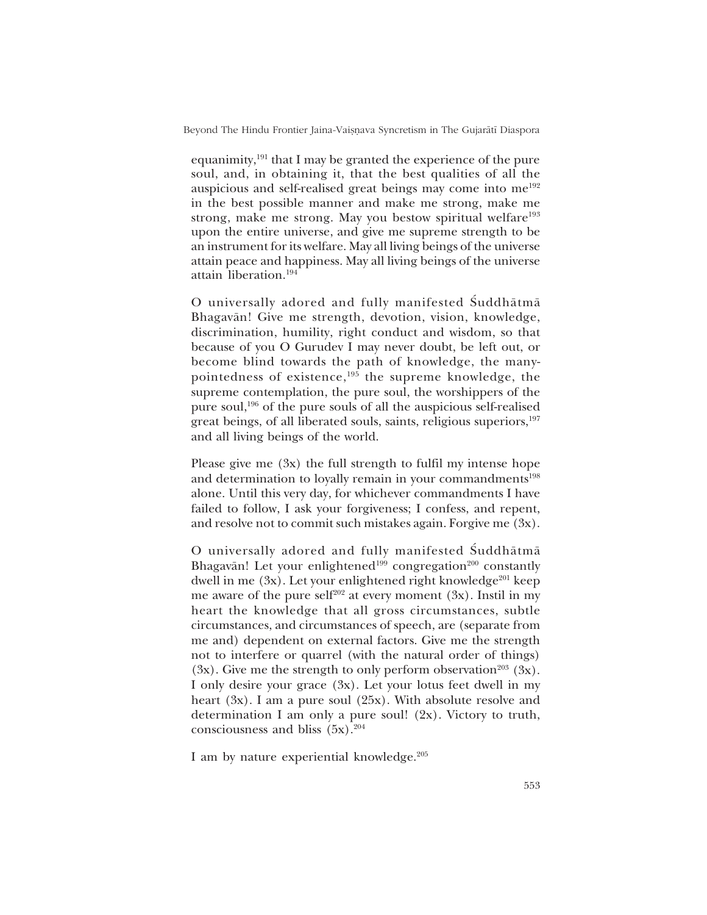Beyond The Hindu Frontier Jaina-Vaișnava Syncretism in The Gujarātī Diaspora

equanimity,191 that I may be granted the experience of the pure soul, and, in obtaining it, that the best qualities of all the auspicious and self-realised great beings may come into me192 in the best possible manner and make me strong, make me strong, make me strong. May you bestow spiritual welfare<sup>193</sup> upon the entire universe, and give me supreme strength to be an instrument for its welfare. May all living beings of the universe attain peace and happiness. May all living beings of the universe attain liberation.194

O universally adored and fully manifested Suddhātmā Bhagavån! Give me strength, devotion, vision, knowledge, discrimination, humility, right conduct and wisdom, so that because of you O Gurudev I may never doubt, be left out, or become blind towards the path of knowledge, the manypointedness of existence,195 the supreme knowledge, the supreme contemplation, the pure soul, the worshippers of the pure soul,196 of the pure souls of all the auspicious self-realised great beings, of all liberated souls, saints, religious superiors,<sup>197</sup> and all living beings of the world.

Please give me (3x) the full strength to fulfil my intense hope and determination to loyally remain in your commandments<sup>198</sup> alone. Until this very day, for whichever commandments I have failed to follow, I ask your forgiveness; I confess, and repent, and resolve not to commit such mistakes again. Forgive me (3x).

O universally adored and fully manifested Suddhātmā Bhagavān! Let your enlightened<sup>199</sup> congregation<sup>200</sup> constantly dwell in me  $(3x)$ . Let your enlightened right knowledge<sup>201</sup> keep me aware of the pure self<sup>202</sup> at every moment  $(3x)$ . Instil in my heart the knowledge that all gross circumstances, subtle circumstances, and circumstances of speech, are (separate from me and) dependent on external factors. Give me the strength not to interfere or quarrel (with the natural order of things)  $(3x)$ . Give me the strength to only perform observation<sup>203</sup>  $(3x)$ . I only desire your grace (3x). Let your lotus feet dwell in my heart (3x). I am a pure soul (25x). With absolute resolve and determination I am only a pure soul! (2x). Victory to truth, consciousness and bliss  $(5x).^{204}$ 

I am by nature experiential knowledge.<sup>205</sup>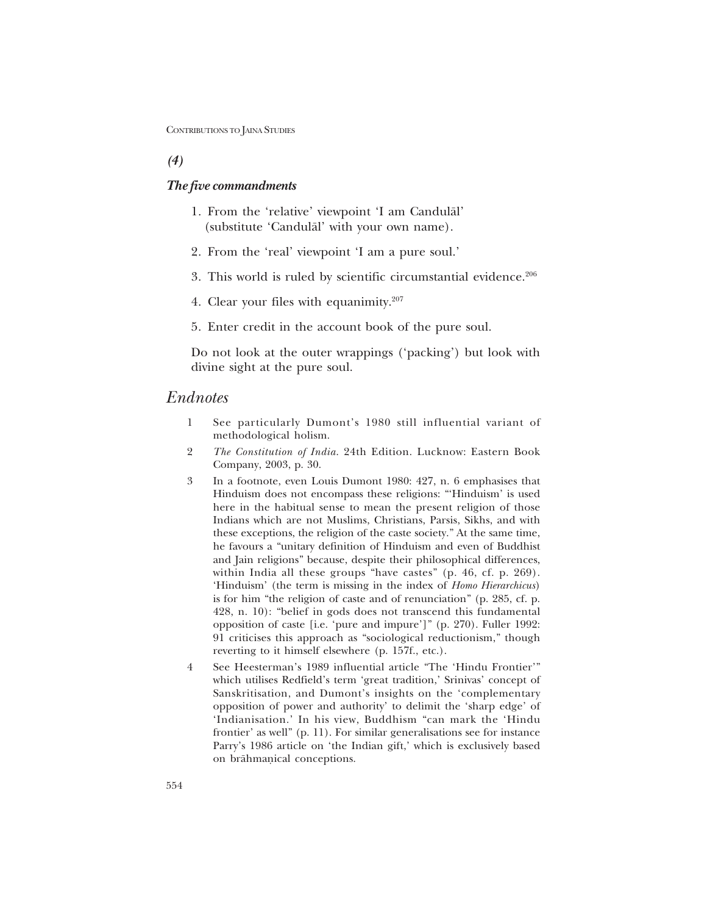## *(4)*

### *The five commandments*

- 1. From the 'relative' viewpoint 'I am Candulal' (substitute 'Candulal' with your own name).
- 2. From the 'real' viewpoint 'I am a pure soul.'
- 3. This world is ruled by scientific circumstantial evidence.206
- 4. Clear your files with equanimity.<sup>207</sup>
- 5. Enter credit in the account book of the pure soul.

Do not look at the outer wrappings ('packing') but look with divine sight at the pure soul.

## *Endnotes*

- 1 See particularly Dumont's 1980 still influential variant of methodological holism.
- 2 *The Constitution of India*. 24th Edition. Lucknow: Eastern Book Company, 2003, p. 30.
- 3 In a footnote, even Louis Dumont 1980: 427, n. 6 emphasises that Hinduism does not encompass these religions: "Hinduism' is used here in the habitual sense to mean the present religion of those Indians which are not Muslims, Christians, Parsis, Sikhs, and with these exceptions, the religion of the caste society." At the same time, he favours a "unitary definition of Hinduism and even of Buddhist and Jain religions" because, despite their philosophical differences, within India all these groups "have castes"  $(p. 46, cf. p. 269)$ . ëHinduismí (the term is missing in the index of *Homo Hierarchicus*) is for him "the religion of caste and of renunciation" (p. 285, cf. p.  $428$ , n. 10): "belief in gods does not transcend this fundamental opposition of caste [i.e. ëpure and impureí]î (p. 270). Fuller 1992: 91 criticises this approach as "sociological reductionism," though reverting to it himself elsewhere (p. 157f., etc.).
- 4 See Heesterman's 1989 influential article "The 'Hindu Frontier'" which utilises Redfield's term 'great tradition,' Srinivas' concept of Sanskritisation, and Dumont's insights on the 'complementary opposition of power and authority' to delimit the 'sharp edge' of 'Indianisation.' In his view, Buddhism "can mark the 'Hindu frontier' as well" (p. 11). For similar generalisations see for instance Parry's 1986 article on 'the Indian gift,' which is exclusively based on brähmanical conceptions.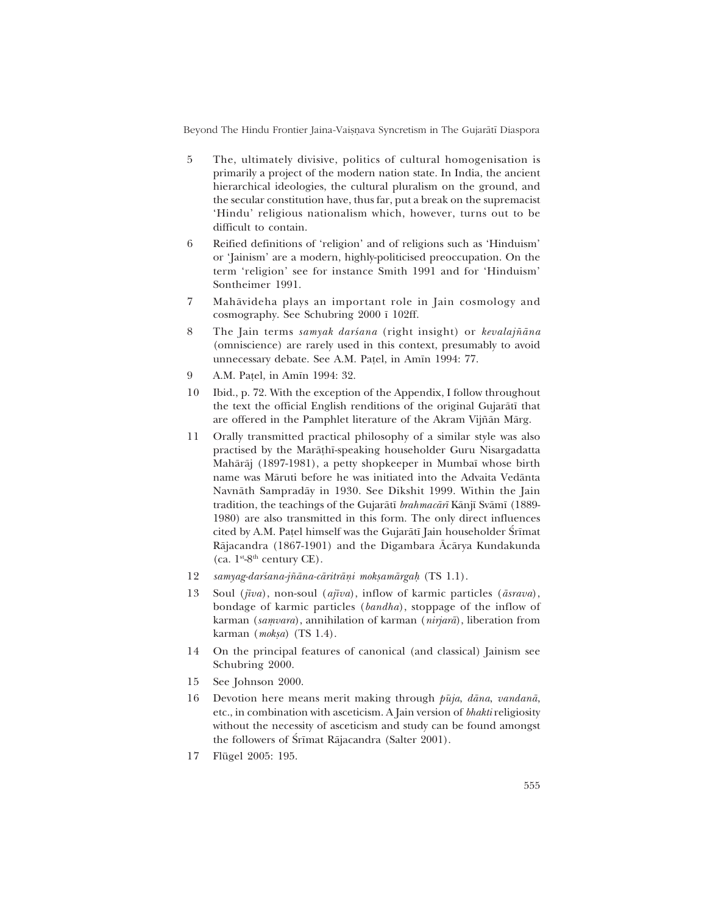Beyond The Hindu Frontier Jaina-Vaișnava Syncretism in The Gujarātī Diaspora

- 5 The, ultimately divisive, politics of cultural homogenisation is primarily a project of the modern nation state. In India, the ancient hierarchical ideologies, the cultural pluralism on the ground, and the secular constitution have, thus far, put a break on the supremacist 'Hindu' religious nationalism which, however, turns out to be difficult to contain.
- 6 Reified definitions of 'religion' and of religions such as 'Hinduism' or 'Jainism' are a modern, highly-politicised preoccupation. On the term 'religion' see for instance Smith 1991 and for 'Hinduism' Sontheimer 1991.
- 7 Mahåvideha plays an important role in Jain cosmology and cosmography. See Schubring 2000 ∂ 102ff.
- 8 The Jain terms *samyak darsana* (right insight) or *kevalajñāna* (omniscience) are rarely used in this context, presumably to avoid unnecessary debate. See A.M. Pa¢el, in Am∂n 1994: 77.
- 9 A.M. Patel, in Amīn 1994: 32.
- 10 Ibid., p. 72. With the exception of the Appendix, I follow throughout the text the official English renditions of the original Gujaråt∂ that are offered in the Pamphlet literature of the Akram Vijñān Mārg.
- 11 Orally transmitted practical philosophy of a similar style was also practised by the Marå¢h∂-speaking householder Guru Nisargadatta Mahåråj (1897-1981), a petty shopkeeper in Mumba∂ whose birth name was Måruti before he was initiated into the Advaita Vedånta Navnåth Sampradåy in 1930. See Dikshit 1999. Within the Jain tradition, the teachings of the Gujaråt∂ *brahmacår∂* Kånj∂ Svåm∂ (1889- 1980) are also transmitted in this form. The only direct influences cited by A.M. Patel himself was the Gujarātī Jain householder Śrīmat Råjacandra (1867-1901) and the Digambara Åcårya Kundakunda (ca.  $1^{st}$ -8<sup>th</sup> century CE).
- 12 *samyag-darśana-jñāna-cāritrāņi mokṣamārgaḥ* (TS 1.1).
- 13 Soul (*j∂va*), non-soul (*aj∂va*), inflow of karmic particles (*åsrava*), bondage of karmic particles (*bandha*), stoppage of the inflow of karman (samvara), annihilation of karman (nirjarā), liberation from karman (*mok¶a*) (TS 1.4).
- 14 On the principal features of canonical (and classical) Jainism see Schubring 2000.
- 15 See Johnson 2000.
- 16 Devotion here means merit making through  $p\bar{u}j a$ , *dāna*, *vandanā*, etc., in combination with asceticism. A Jain version of *bhakti* religiosity without the necessity of asceticism and study can be found amongst the followers of Śrīmat Rājacandra (Salter 2001).
- 17 Flügel 2005: 195.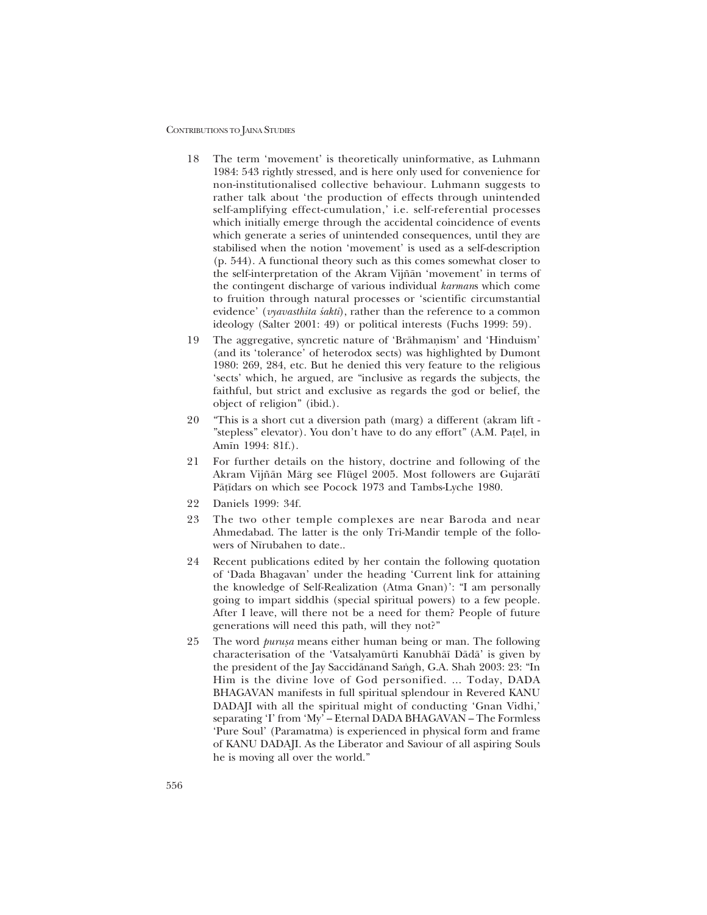- 18 The term 'movement' is theoretically uninformative, as Luhmann 1984: 543 rightly stressed, and is here only used for convenience for non-institutionalised collective behaviour. Luhmann suggests to rather talk about 'the production of effects through unintended self-amplifying effect-cumulation,' i.e. self-referential processes which initially emerge through the accidental coincidence of events which generate a series of unintended consequences, until they are stabilised when the notion 'movement' is used as a self-description (p. 544). A functional theory such as this comes somewhat closer to the self-interpretation of the Akram Vijñān 'movement' in terms of the contingent discharge of various individual *karman*s which come to fruition through natural processes or ëscientific circumstantial evidence' (*vyavasthita śakti*), rather than the reference to a common ideology (Salter 2001: 49) or political interests (Fuchs 1999: 59).
- 19 The aggregative, syncretic nature of 'Brāhmaṇism' and 'Hinduism' (and its 'tolerance' of heterodox sects) was highlighted by Dumont 1980: 269, 284, etc. But he denied this very feature to the religious sects' which, he argued, are "inclusive as regards the subjects, the faithful, but strict and exclusive as regards the god or belief, the object of religion" (ibid.).
- 20 "This is a short cut a diversion path (marg) a different (akram lift -"stepless" elevator). You don't have to do any effort" (A.M. Patel, in Amīn 1994: 81f.).
- 21 For further details on the history, doctrine and following of the Akram Vijñān Mārg see Flügel 2005. Most followers are Gujarātī På¢∂dars on which see Pocock 1973 and Tambs-Lyche 1980.
- 22 Daniels 1999: 34f.
- 23 The two other temple complexes are near Baroda and near Ahmedabad. The latter is the only Tri-Mandir temple of the followers of Nīrubahen to date..
- 24 Recent publications edited by her contain the following quotation of 'Dada Bhagavan' under the heading 'Current link for attaining the knowledge of Self-Realization (Atma Gnan)': "I am personally going to impart siddhis (special spiritual powers) to a few people. After I leave, will there not be a need for them? People of future generations will need this path, will they not?"
- 25 The word *purusa* means either human being or man. The following characterisation of the 'Vatsalyamūrti Kanubhāī Dādā' is given by the president of the Jay Saccidānand Sangh, G.A. Shah 2003: 23: "In Him is the divine love of God personified. ... Today, DADA BHAGAVAN manifests in full spiritual splendour in Revered KANU DADAJI with all the spiritual might of conducting 'Gnan Vidhi,' separating 'I' from 'My' - Eternal DADA BHAGAVAN - The Formless 'Pure Soul' (Paramatma) is experienced in physical form and frame of KANU DADAJI. As the Liberator and Saviour of all aspiring Souls he is moving all over the world."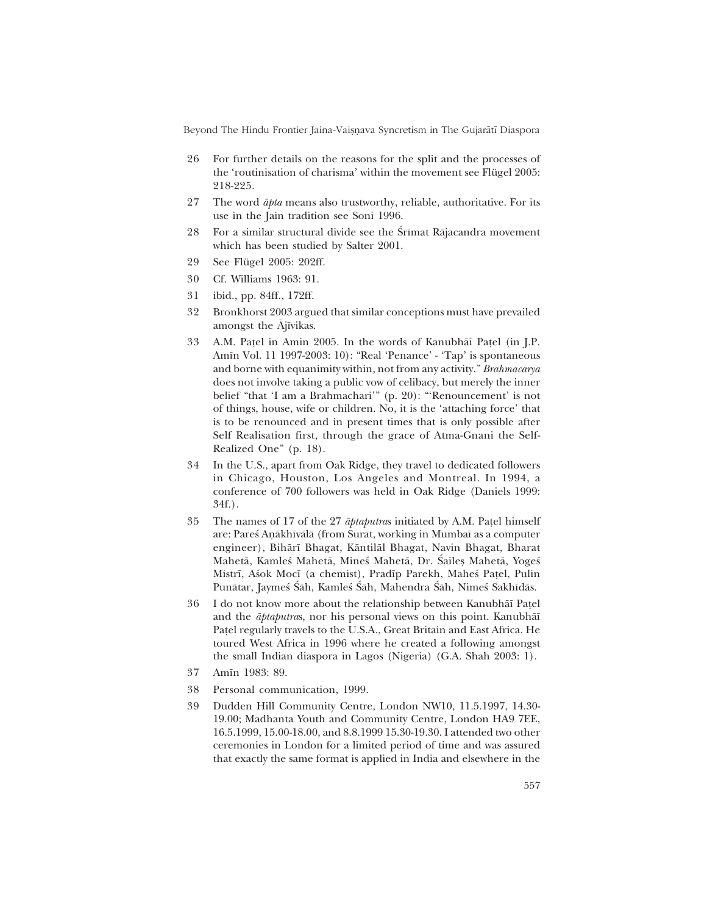Beyond The Hindu Frontier Jaina-Vaisnava Syncretism in The Gujarātī Diaspora

- 26 For further details on the reasons for the split and the processes of the 'routinisation of charisma' within the movement see Flügel 2005: 218-225.
- 27 The word *åpta* means also trustworthy, reliable, authoritative. For its use in the Jain tradition see Soni 1996.
- 28 For a similar structural divide see the Śrīmat Rājacandra movement which has been studied by Salter 2001.
- 29 See Flügel 2005: 202ff.
- 30 Cf. Williams 1963: 91.
- 31 ibid., pp. 84ff., 172ff.
- 32 Bronkhorst 2003 argued that similar conceptions must have prevailed amongst the Ajīvikas.
- 33 A.M. Pa¢el in Amin 2005. In the words of Kanubhå∂ Pa¢el (in J.P. Amīn Vol. 11 1997-2003: 10): "Real 'Penance' - 'Tap' is spontaneous and borne with equanimity within, not from any activity." *Brahmacarya* does not involve taking a public vow of celibacy, but merely the inner belief "that 'I am a Brahmachari'" (p. 20): "'Renouncement' is not of things, house, wife or children. No, it is the 'attaching force' that is to be renounced and in present times that is only possible after Self Realisation first, through the grace of Atma-Gnani the Self-Realized One" (p. 18).
- 34 In the U.S., apart from Oak Ridge, they travel to dedicated followers in Chicago, Houston, Los Angeles and Montreal. In 1994, a conference of 700 followers was held in Oak Ridge (Daniels 1999: 34f.).
- 35 The names of 17 of the 27 *åptaputra*s initiated by A.M. Pa¢el himself are: Pareś Aņākhīvālā (from Surat, working in Mumbaī as a computer engineer), Bihår∂ Bhagat, Kåntilål Bhagat, Navin Bhagat, Bharat Mahetā, Kamleś Mahetā, Mineś Mahetā, Dr. Śailes Mahetā, Yoges Mistrī, Aśok Mocī (a chemist), Pradīp Parekh, Maheś Patel, Pulin Punātar, Jaymeś Sah, Kamleś Sah, Mahendra Sah, Nimeś Sakhīdās.
- 36 I do not know more about the relationship between Kanubhå∂ Pa¢el and the *åptaputra*s, nor his personal views on this point. Kanubhå∂ Pa¢el regularly travels to the U.S.A., Great Britain and East Africa. He toured West Africa in 1996 where he created a following amongst the small Indian diaspora in Lagos (Nigeria) (G.A. Shah 2003: 1).
- 37 Am∂n 1983: 89.
- 38 Personal communication, 1999.
- 39 Dudden Hill Community Centre, London NW10, 11.5.1997, 14.30- 19.00; Madhanta Youth and Community Centre, London HA9 7EE, 16.5.1999, 15.00-18.00, and 8.8.1999 15.30-19.30. I attended two other ceremonies in London for a limited period of time and was assured that exactly the same format is applied in India and elsewhere in the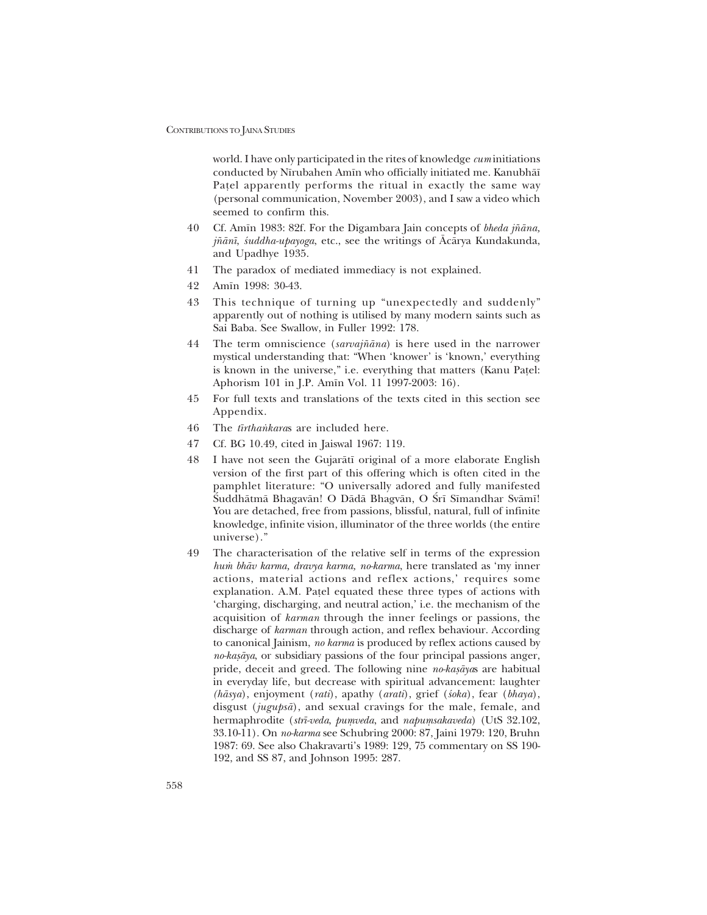world. I have only participated in the rites of knowledge *cum* initiations conducted by N∂rubahen Am∂n who officially initiated me. Kanubhå∂ Pa¢el apparently performs the ritual in exactly the same way (personal communication, November 2003), and I saw a video which seemed to confirm this.

- 40 Cf. Am∂n 1983: 82f. For the Digambara Jain concepts of *bheda j¤åna, j¤ån∂*, *‹uddha-upayoga*, etc., see the writings of Åcårya Kundakunda, and Upadhye 1935.
- 41 The paradox of mediated immediacy is not explained.
- 42 Am∂n 1998: 30-43.
- 43 This technique of turning up "unexpectedly and suddenly" apparently out of nothing is utilised by many modern saints such as Sai Baba. See Swallow, in Fuller 1992: 178.
- 44 The term omniscience (*sarvaj¤åna*) is here used in the narrower mystical understanding that: "When 'knower' is 'known,' everything is known in the universe," i.e. everything that matters (Kanu Patel: Aphorism 101 in J.P. Am∂n Vol. 11 1997-2003: 16).
- 45 For full texts and translations of the texts cited in this section see Appendix.
- 46 The *t* $\overline{t}$ rthankaras are included here.
- 47 Cf. BG 10.49, cited in Jaiswal 1967: 119.
- 48 I have not seen the Gujaråt∂ original of a more elaborate English version of the first part of this offering which is often cited in the pamphlet literature: "O universally adored and fully manifested Śuddhātmā Bhagavān! O Dādā Bhagvān, O Śrī Sīmandhar Svāmī! You are detached, free from passions, blissful, natural, full of infinite knowledge, infinite vision, illuminator of the three worlds (the entire universe)."
- 49 The characterisation of the relative self in terms of the expression *hu≈ bhåv karma, dravya karma, no-karma*, here translated as ëmy inner actions, material actions and reflex actions,' requires some explanation. A.M. Pa¢el equated these three types of actions with 'charging, discharging, and neutral action,' i.e. the mechanism of the acquisition of *karman* through the inner feelings or passions, the discharge of *karman* through action, and reflex behaviour. According to canonical Jainism, *no karma* is produced by reflex actions caused by *no-kasāya*, or subsidiary passions of the four principal passions anger, pride, deceit and greed. The following nine *no-kasayas* are habitual in everyday life, but decrease with spiritual advancement: laughter *(håsya*), enjoyment (*rati*), apathy (*arati*), grief (*‹oka*), fear (*bhaya*), disgust (*jugupså*), and sexual cravings for the male, female, and hermaphrodite (*strī-veda, pumveda*, and *napumsakaveda*) (UtS 32.102, 33.10-11). On *no-karma* see Schubring 2000: 87, Jaini 1979: 120, Bruhn 1987: 69. See also Chakravarti's 1989: 129, 75 commentary on SS 190-192, and SS 87, and Johnson 1995: 287.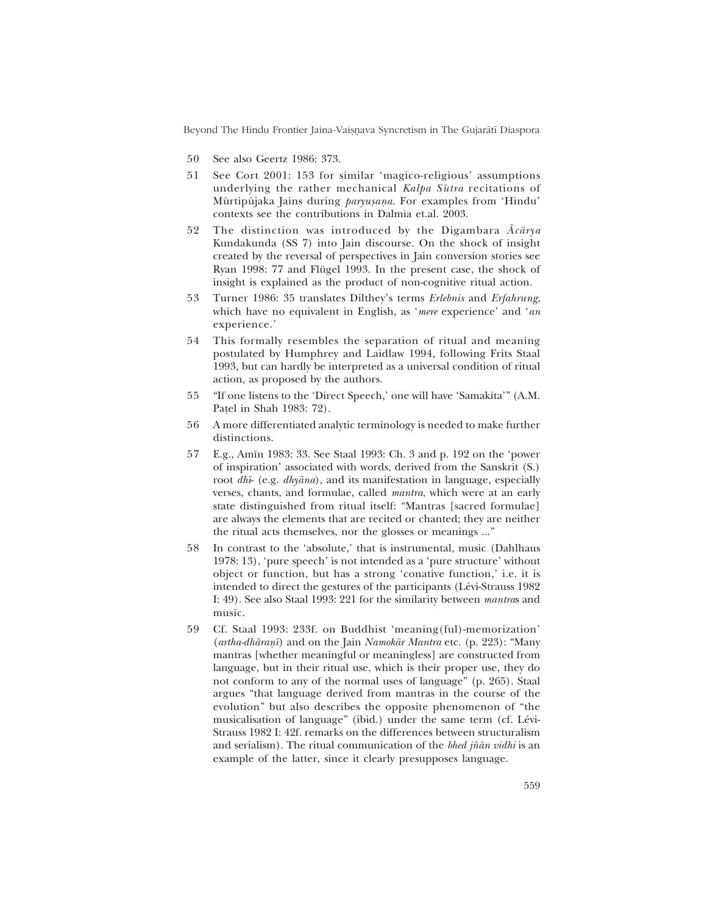Beyond The Hindu Frontier Jaina-Vaișnava Syncretism in The Gujarātī Diaspora

- 50 See also Geertz 1986: 373.
- 51 See Cort 2001: 153 for similar 'magico-religious' assumptions underlying the rather mechanical *Kalpa Sμutra* recitations of Mūrtipūjaka Jains during *paryusana*. For examples from 'Hindu' contexts see the contributions in Dalmia et.al. 2003.
- 52 The distinction was introduced by the Digambara *Åcårya* Kundakunda (SS 7) into Jain discourse. On the shock of insight created by the reversal of perspectives in Jain conversion stories see Ryan 1998: 77 and Flügel 1993. In the present case, the shock of insight is explained as the product of non-cognitive ritual action.
- 53 Turner 1986: 35 translates Diltheyís terms *Erlebnis* and *Erfahrung*, which have no equivalent in English, as 'mere experience' and 'an experience.'
- 54 This formally resembles the separation of ritual and meaning postulated by Humphrey and Laidlaw 1994, following Frits Staal 1993, but can hardly be interpreted as a universal condition of ritual action, as proposed by the authors.
- 55 "If one listens to the 'Direct Speech,' one will have 'Samakita'" (A.M. Pa¢el in Shah 1983: 72).
- 56 A more differentiated analytic terminology is needed to make further distinctions.
- 57 E.g., Amīn 1983: 33. See Staal 1993: Ch. 3 and p. 192 on the 'power of inspiration' associated with words, derived from the Sanskrit (S.) root *dh∂*- (e.g. *dhyåna*), and its manifestation in language, especially verses, chants, and formulae, called *mantra*, which were at an early state distinguished from ritual itself: "Mantras [sacred formulae] are always the elements that are recited or chanted; they are neither the ritual acts themselves, nor the glosses or meanings ..."
- 58 In contrast to the 'absolute,' that is instrumental, music (Dahlhaus 1978: 13), 'pure speech' is not intended as a 'pure structure' without object or function, but has a strong 'conative function,' i.e. it is intended to direct the gestures of the participants (Lévi-Strauss 1982 I: 49). See also Staal 1993: 221 for the similarity between *mantra*s and music.
- 59 Cf. Staal 1993: 233f. on Buddhist 'meaning(ful)-memorization' (*artha-dhāraṇī*) and on the Jain *Namokār Mantra* etc. (p. 223): "Many mantras [whether meaningful or meaningless] are constructed from language, but in their ritual use, which is their proper use, they do not conform to any of the normal uses of language" (p. 265). Staal argues "that language derived from mantras in the course of the evolution" but also describes the opposite phenomenon of "the musicalisation of language" (ibid.) under the same term (cf. Lévi-Strauss 1982 I: 42f. remarks on the differences between structuralism and serialism). The ritual communication of the *bhed jñān vidhi* is an example of the latter, since it clearly presupposes language.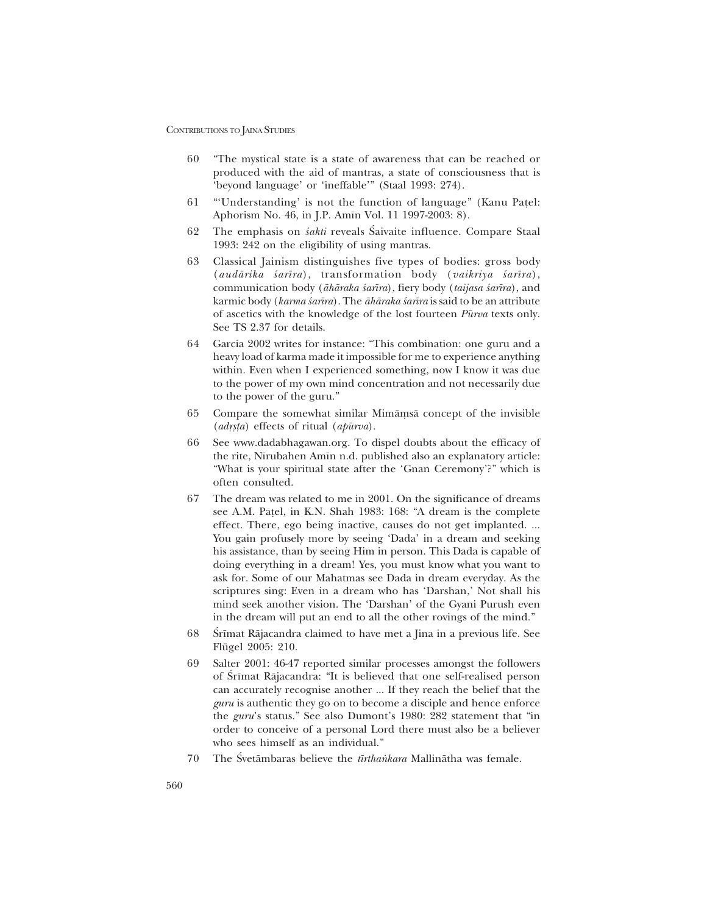- 60 The mystical state is a state of awareness that can be reached or produced with the aid of mantras, a state of consciousness that is 'beyond language' or 'ineffable'" (Staal 1993: 274).
- 61 "Understanding' is not the function of language" (Kanu Patel: Aphorism No. 46, in J.P. Amīn Vol. 11 1997-2003: 8).
- 62 The emphasis on *sakti* reveals Saivaite influence. Compare Staal 1993: 242 on the eligibility of using mantras.
- 63 Classical Jainism distinguishes five types of bodies: gross body (*audårika ‹ar∂ra*), transformation body (*vaikriya ‹ar∂ra*), communication body (*åhåraka ‹ar∂ra*), fiery body (*taijasa ‹ar∂ra*), and karmic body (*karma ‹ar∂ra*). The *åhåraka ‹ar∂ra* is said to be an attribute of ascetics with the knowledge of the lost fourteen *Pμurva* texts only. See TS 2.37 for details.
- 64 Garcia 2002 writes for instance: "This combination: one guru and a heavy load of karma made it impossible for me to experience anything within. Even when I experienced something, now I know it was due to the power of my own mind concentration and not necessarily due to the power of the guru."
- 65 Compare the somewhat similar Mimāṃsā concept of the invisible (*adrsta*) effects of ritual (*apūrva*).
- 66 See www.dadabhagawan.org. To dispel doubts about the efficacy of the rite, N∂rubahen Am∂n n.d. published also an explanatory article: "What is your spiritual state after the 'Gnan Ceremony'?" which is often consulted.
- 67 The dream was related to me in 2001. On the significance of dreams see A.M. Patel, in K.N. Shah 1983: 168: "A dream is the complete effect. There, ego being inactive, causes do not get implanted. ... You gain profusely more by seeing 'Dada' in a dream and seeking his assistance, than by seeing Him in person. This Dada is capable of doing everything in a dream! Yes, you must know what you want to ask for. Some of our Mahatmas see Dada in dream everyday. As the scriptures sing: Even in a dream who has 'Darshan,' Not shall his mind seek another vision. The 'Darshan' of the Gyani Purush even in the dream will put an end to all the other rovings of the mind."
- 68 Srīmat Rājacandra claimed to have met a Jina in a previous life. See Flügel 2005: 210.
- 69 Salter 2001: 46-47 reported similar processes amongst the followers of Śrīmat Rājacandra: "It is believed that one self-realised person can accurately recognise another ... If they reach the belief that the *guru* is authentic they go on to become a disciple and hence enforce the *guru*'s status." See also Dumont's 1980: 282 statement that "in order to conceive of a personal Lord there must also be a believer who sees himself as an individual."
- 70 The Śvetāmbaras believe the *tīrthaṅkara* Mallinātha was female.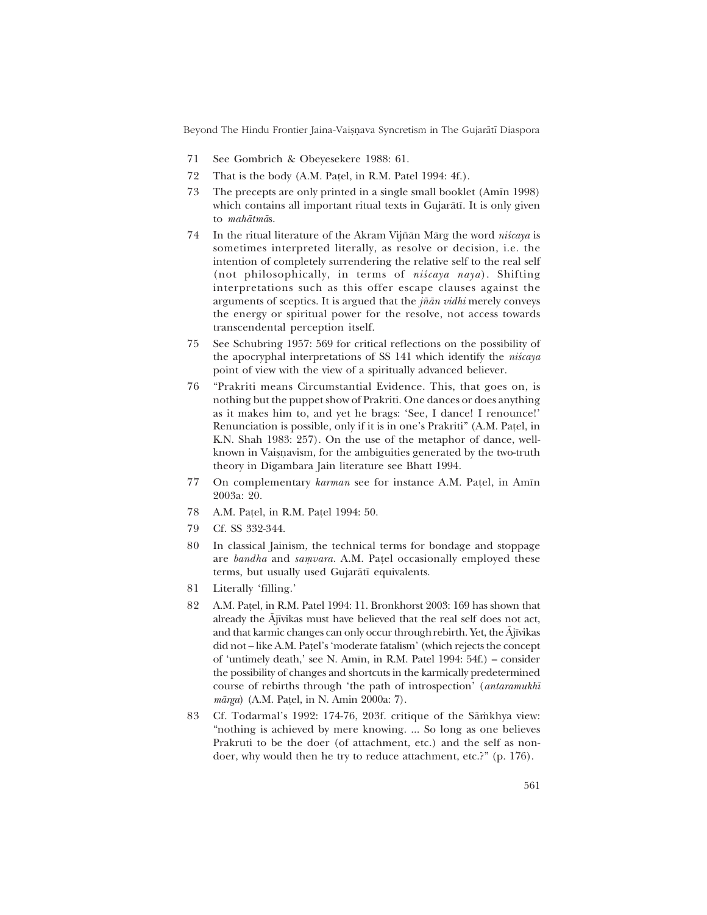Beyond The Hindu Frontier Jaina-Vaisnava Syncretism in The Gujarātī Diaspora

- 71 See Gombrich & Obeyesekere 1988: 61.
- 72 That is the body (A.M. Pa¢el, in R.M. Patel 1994: 4f.).
- 73 The precepts are only printed in a single small booklet (Am∂n 1998) which contains all important ritual texts in Gujarātī. It is only given to *mahåtmå*s.
- 74 In the ritual literature of the Akram Vijñān Mārg the word *niścaya* is sometimes interpreted literally, as resolve or decision, i.e. the intention of completely surrendering the relative self to the real self (not philosophically, in terms of *niścaya naya*). Shifting interpretations such as this offer escape clauses against the arguments of sceptics. It is argued that the *j¤ån vidhi* merely conveys the energy or spiritual power for the resolve, not access towards transcendental perception itself.
- 75 See Schubring 1957: 569 for critical reflections on the possibility of the apocryphal interpretations of SS 141 which identify the *niscaya* point of view with the view of a spiritually advanced believer.
- 76 "Prakriti means Circumstantial Evidence. This, that goes on, is nothing but the puppet show of Prakriti. One dances or does anything as it makes him to, and yet he brags: 'See, I dance! I renounce!' Renunciation is possible, only if it is in one's Prakriti" (A.M. Patel, in K.N. Shah 1983: 257). On the use of the metaphor of dance, wellknown in Vaisnavism, for the ambiguities generated by the two-truth theory in Digambara Jain literature see Bhatt 1994.
- 77 On complementary *karman* see for instance A.M. Pațel, in Amīn 2003a: 20.
- 78 A.M. Pa¢el, in R.M. Pa¢el 1994: 50.
- 79 Cf. SS 332-344.
- 80 In classical Jainism, the technical terms for bondage and stoppage are *bandha* and *samvara*. A.M. Patel occasionally employed these terms, but usually used Gujaråt∂ equivalents.
- 81 Literally 'filling.'
- 82 A.M. Pa¢el, in R.M. Patel 1994: 11. Bronkhorst 2003: 169 has shown that already the Ājīvikas must have believed that the real self does not act, and that karmic changes can only occur through rebirth. Yet, the Ājīvikas did not – like A.M. Patel's 'moderate fatalism' (which rejects the concept of 'untimely death,' see N. Amīn, in R.M. Patel 1994: 54f.) – consider the possibility of changes and shortcuts in the karmically predetermined course of rebirths through 'the path of introspection' (*antaramukhī mårga*) (A.M. Pa¢el, in N. Amin 2000a: 7).
- 83 Cf. Todarmal's 1992: 174-76, 203f. critique of the Sāmkhya view: "nothing is achieved by mere knowing. ... So long as one believes Prakruti to be the doer (of attachment, etc.) and the self as nondoer, why would then he try to reduce attachment, etc.?" (p. 176).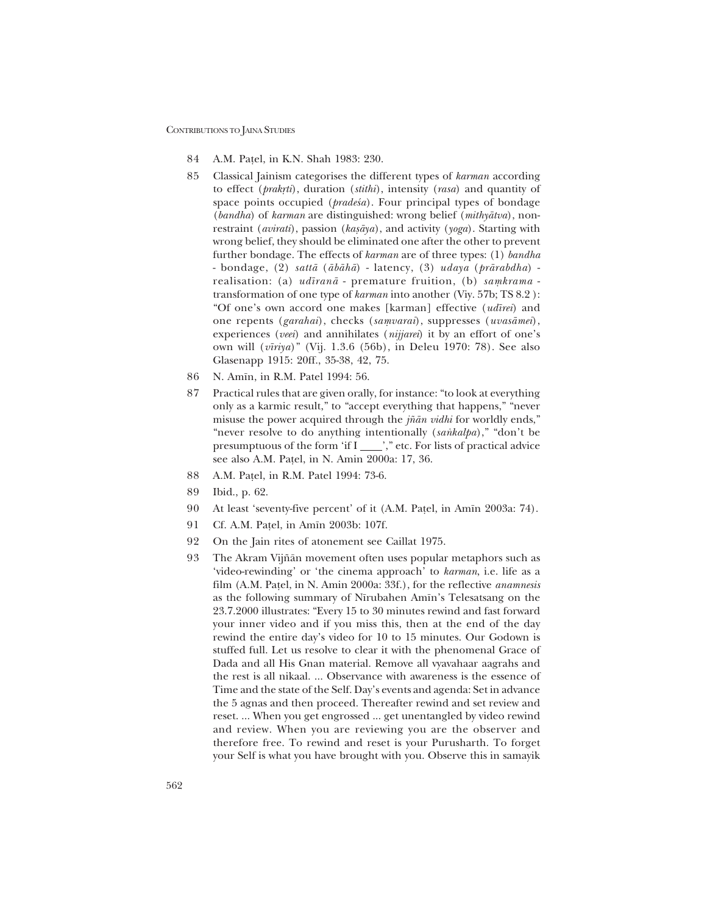- 84 A.M. Pa¢el, in K.N. Shah 1983: 230.
- 85 Classical Jainism categorises the different types of *karman* according to effect (*prakæti*), duration (*stithi*), intensity (*rasa*) and quantity of space points occupied (*pradesa*). Four principal types of bondage (*bandha*) of *karman* are distinguished: wrong belief (*mithyåtva*), nonrestraint (*avirati*), passion (*kasāya*), and activity (*yoga*). Starting with wrong belief, they should be eliminated one after the other to prevent further bondage. The effects of *karman* are of three types: (1) *bandha* - bondage, (2) *sattå* (*åbåhå*) - latency, (3) *udaya* (*prårabdha*) realisation: (a) *udīranā* - premature fruition, (b) *samkrama* transformation of one type of *karman* into another (Viy. 57b; TS 8.2 ): ìOf oneís own accord one makes [karman] effective (*ud∂rei*) and one repents (*garahai*), checks (*samvarai*), suppresses (*uvasāmei*), experiences (*veei*) and annihilates (*nijjarei*) it by an effort of one's own will (*v∂riya*)î (Vij. 1.3.6 (56b), in Deleu 1970: 78). See also Glasenapp 1915: 20ff., 35-38, 42, 75.
- 86 N. Amīn, in R.M. Patel 1994: 56.
- 87 Practical rules that are given orally, for instance: "to look at everything" only as a karmic result," to "accept everything that happens," "never misuse the power acquired through the *jñān vidhi* for worldly ends," "never resolve to do anything intentionally (*sankalpa*)," "don't be presumptuous of the form 'if I \_\_\_\_\_'," etc. For lists of practical advice see also A.M. Pa¢el, in N. Amin 2000a: 17, 36.
- 88 A.M. Pa¢el, in R.M. Patel 1994: 73-6.
- 89 Ibid., p. 62.
- 90 At least 'seventy-five percent' of it (A.M. Patel, in Amīn 2003a: 74).
- 91 Cf. A.M. Patel, in Amīn 2003b: 107f.
- 92 On the Jain rites of atonement see Caillat 1975.
- 93 The Akram Vijñān movement often uses popular metaphors such as 'video-rewinding' or 'the cinema approach' to *karman*, i.e. life as a film (A.M. Pa¢el, in N. Amin 2000a: 33f.), for the reflective *anamnesis* as the following summary of Nīrubahen Amīn's Telesatsang on the 23.7.2000 illustrates: "Every 15 to 30 minutes rewind and fast forward your inner video and if you miss this, then at the end of the day rewind the entire dayís video for 10 to 15 minutes. Our Godown is stuffed full. Let us resolve to clear it with the phenomenal Grace of Dada and all His Gnan material. Remove all vyavahaar aagrahs and the rest is all nikaal. ... Observance with awareness is the essence of Time and the state of the Self. Day's events and agenda: Set in advance the 5 agnas and then proceed. Thereafter rewind and set review and reset. ... When you get engrossed ... get unentangled by video rewind and review. When you are reviewing you are the observer and therefore free. To rewind and reset is your Purusharth. To forget your Self is what you have brought with you. Observe this in samayik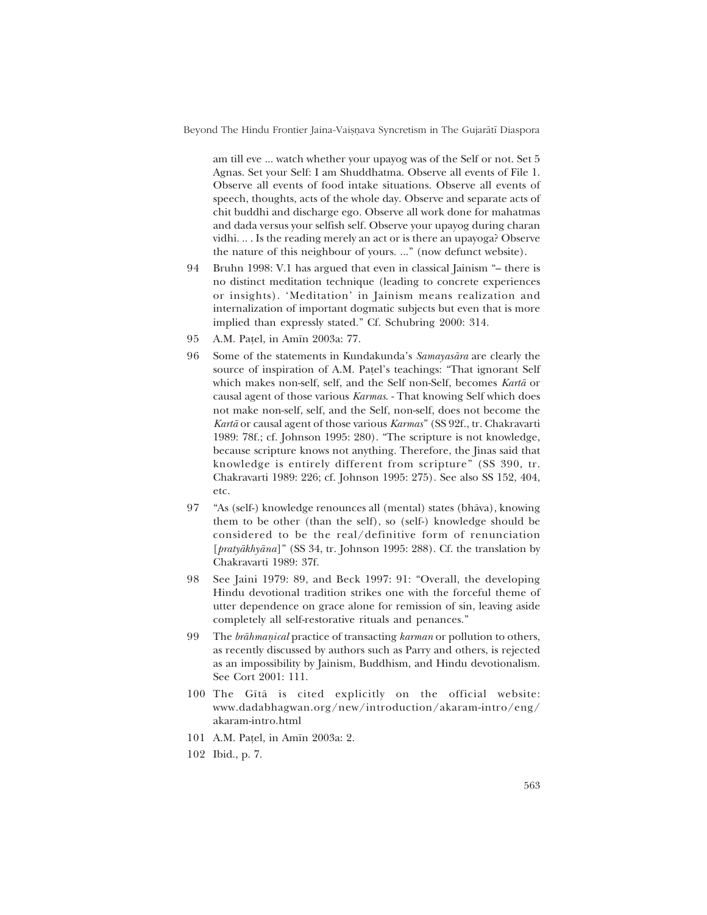Beyond The Hindu Frontier Jaina-Vaișnava Syncretism in The Gujarātī Diaspora

am till eve ... watch whether your upayog was of the Self or not. Set 5 Agnas. Set your Self: I am Shuddhatma. Observe all events of File 1. Observe all events of food intake situations. Observe all events of speech, thoughts, acts of the whole day. Observe and separate acts of chit buddhi and discharge ego. Observe all work done for mahatmas and dada versus your selfish self. Observe your upayog during charan vidhi. .. . Is the reading merely an act or is there an upayoga? Observe the nature of this neighbour of yours. ..." (now defunct website).

- 94 Bruhn 1998: V.1 has argued that even in classical Jainism "- there is no distinct meditation technique (leading to concrete experiences or insights). 'Meditation' in Jainism means realization and internalization of important dogmatic subjects but even that is more implied than expressly stated." Cf. Schubring 2000: 314.
- 95 A.M. Patel, in Amīn 2003a: 77.
- 96 Some of the statements in Kundakundaís *Samayasåra* are clearly the source of inspiration of A.M. Patel's teachings: "That ignorant Self which makes non-self, self, and the Self non-Self, becomes *Kartå* or causal agent of those various *Karmas*. - That knowing Self which does not make non-self, self, and the Self, non-self, does not become the *Kartå* or causal agent of those various *Karmas*î (SS 92f., tr. Chakravarti 1989: 78f.; cf. Johnson 1995: 280). "The scripture is not knowledge, because scripture knows not anything. Therefore, the Jinas said that knowledge is entirely different from scripture" (SS 390, tr. Chakravarti 1989: 226; cf. Johnson 1995: 275). See also SS 152, 404, etc.
- 97 "As (self-) knowledge renounces all (mental) states (bhāva), knowing them to be other (than the self), so (self-) knowledge should be considered to be the real/definitive form of renunciation [*pratyākhyāna*]" (SS 34, tr. Johnson 1995: 288). Cf. the translation by Chakravarti 1989: 37f.
- 98 See Jaini 1979: 89, and Beck 1997: 91: "Overall, the developing Hindu devotional tradition strikes one with the forceful theme of utter dependence on grace alone for remission of sin, leaving aside completely all self-restorative rituals and penances.<sup>"</sup>
- 99 The *brāhmanical* practice of transacting *karman* or pollution to others, as recently discussed by authors such as Parry and others, is rejected as an impossibility by Jainism, Buddhism, and Hindu devotionalism. See Cort 2001: 111.
- 100 The G∂tå is cited explicitly on the official website: www.dadabhagwan.org/new/introduction/akaram-intro/eng/ akaram-intro.html
- 101 A.M. Pa¢el, in Am∂n 2003a: 2.
- 102 Ibid., p. 7.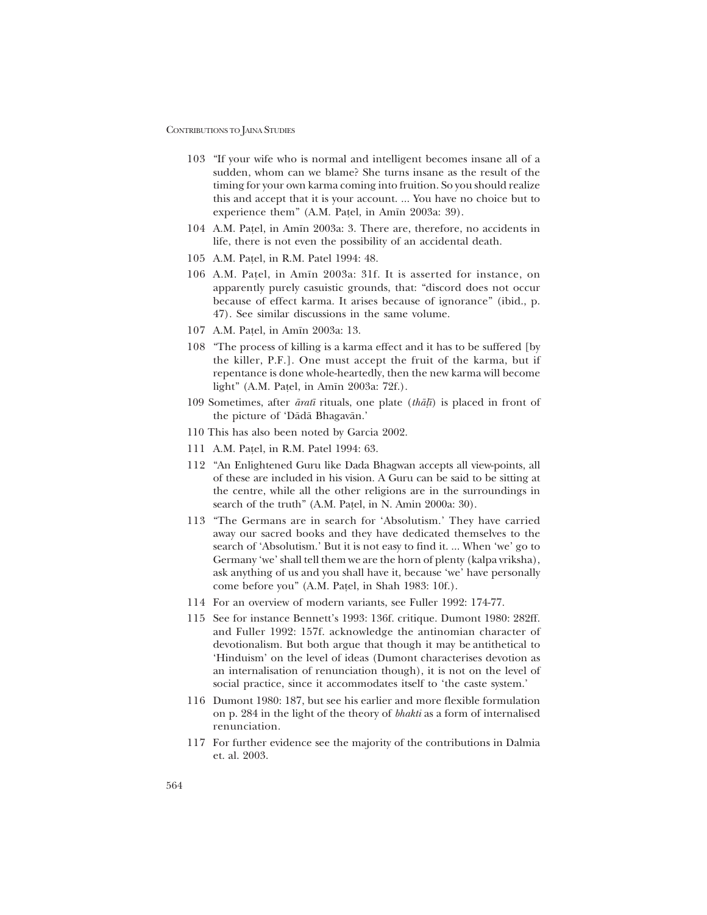- 103 "If your wife who is normal and intelligent becomes insane all of a sudden, whom can we blame? She turns insane as the result of the timing for your own karma coming into fruition. So you should realize this and accept that it is your account. ... You have no choice but to experience them" (A.M. Pațel, in Amīn 2003a: 39).
- 104 A.M. Pa¢el, in Am∂n 2003a: 3. There are, therefore, no accidents in life, there is not even the possibility of an accidental death.
- 105 A.M. Pa¢el, in R.M. Patel 1994: 48.
- 106 A.M. Pa¢el, in Am∂n 2003a: 31f. It is asserted for instance, on apparently purely casuistic grounds, that: "discord does not occur because of effect karma. It arises because of ignorance" (ibid., p. 47). See similar discussions in the same volume.
- 107 A.M. Pațel, in Amīn 2003a: 13.
- 108 "The process of killing is a karma effect and it has to be suffered [by the killer, P.F.]. One must accept the fruit of the karma, but if repentance is done whole-heartedly, then the new karma will become light" (A.M. Pațel, in Amīn 2003a: 72f.).
- 109 Sometimes, after *årat∂* rituals, one plate (*thå¸∂*) is placed in front of the picture of 'Dādā Bhagavān.'
- 110 This has also been noted by Garcia 2002.
- 111 A.M. Pa¢el, in R.M. Patel 1994: 63.
- 112 "An Enlightened Guru like Dada Bhagwan accepts all view-points, all of these are included in his vision. A Guru can be said to be sitting at the centre, while all the other religions are in the surroundings in search of the truth" (A.M. Patel, in N. Amin 2000a: 30).
- 113 "The Germans are in search for 'Absolutism.' They have carried away our sacred books and they have dedicated themselves to the search of 'Absolutism.' But it is not easy to find it. ... When 'we' go to Germany 'we' shall tell them we are the horn of plenty (kalpa vriksha), ask anything of us and you shall have it, because 'we' have personally come before you" (A.M. Patel, in Shah 1983: 10f.).
- 114 For an overview of modern variants, see Fuller 1992: 174-77.
- 115 See for instance Bennettís 1993: 136f. critique. Dumont 1980: 282ff. and Fuller 1992: 157f. acknowledge the antinomian character of devotionalism. But both argue that though it may be antithetical to 'Hinduism' on the level of ideas (Dumont characterises devotion as an internalisation of renunciation though), it is not on the level of social practice, since it accommodates itself to 'the caste system.'
- 116 Dumont 1980: 187, but see his earlier and more flexible formulation on p. 284 in the light of the theory of *bhakti* as a form of internalised renunciation.
- 117 For further evidence see the majority of the contributions in Dalmia et. al. 2003.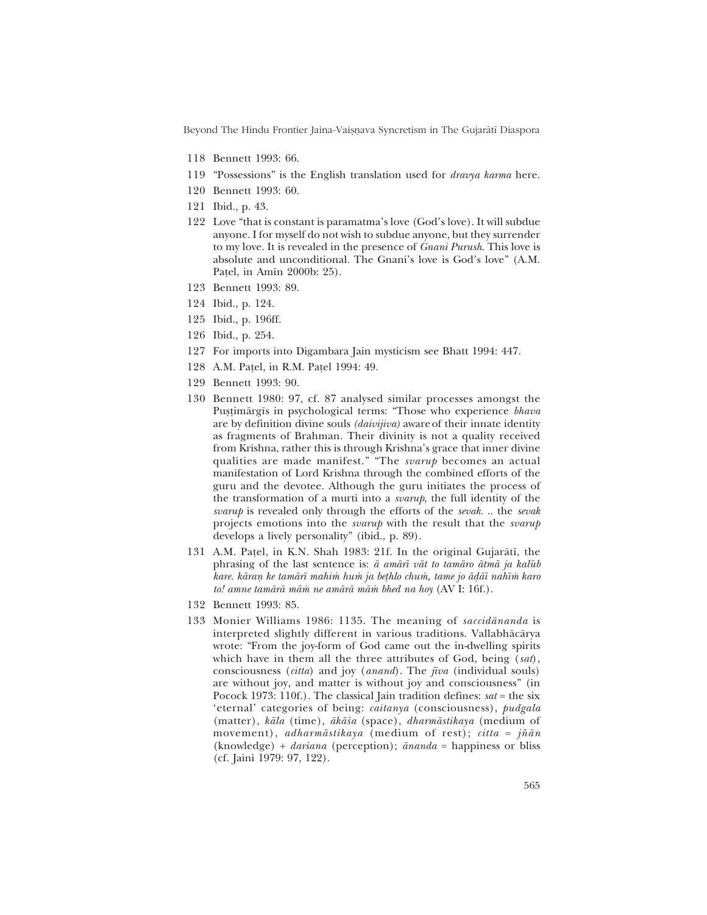Beyond The Hindu Frontier Jaina-Vaisnava Syncretism in The Gujarātī Diaspora

- 118 Bennett 1993: 66.
- 119 "Possessions" is the English translation used for *dravya karma* here.
- 120 Bennett 1993: 60.
- 121 Ibid., p. 43.
- 122 Love "that is constant is paramatma's love (God's love). It will subdue anyone. I for myself do not wish to subdue anyone, but they surrender to my love. It is revealed in the presence of *Gnani Purush*. This love is absolute and unconditional. The Gnani's love is God's love" (A.M. Patel, in Amin 2000b: 25).
- 123 Bennett 1993: 89.
- 124 Ibid., p. 124.
- 125 Ibid., p. 196ff.
- 126 Ibid., p. 254.
- 127 For imports into Digambara Jain mysticism see Bhatt 1994: 447.
- 128 A.M. Pațel, in R.M. Pațel 1994: 49.
- 129 Bennett 1993: 90.
- 130 Bennett 1980: 97, cf. 87 analysed similar processes amongst the Pustimārgīs in psychological terms: "Those who experience bhava are by definition divine souls *(daivijiva)* aware of their innate identity as fragments of Brahman. Their divinity is not a quality received from Krishna, rather this is through Krishna's grace that inner divine qualities are made manifest." "The *svarup* becomes an actual manifestation of Lord Krishna through the combined efforts of the guru and the devotee. Although the guru initiates the process of the transformation of a murti into a *svarup*, the full identity of the svarup is revealed only through the efforts of the sevak... the sevak projects emotions into the *svarup* with the result that the *svarup* develops a lively personality" (ibid., p. 89).
- 131 A.M. Patel, in K.N. Shah 1983: 21f. In the original Gujarātī, the phrasing of the last sentence is:  $\bar{a}$  aman  $\bar{a}$  vat to taman atma ja kalūb kare. kāraņ ke tamārī mahim hum ja bethlo chum, tame jo ādāī nahīm karo to! amne tamārā mām ne amārā mām bhed na hoy (AV I: 16f.).
- 132 Bennett 1993: 85.
- 133 Monier Williams 1986: 1135. The meaning of saccidananda is interpreted slightly different in various traditions. Vallabhācārya wrote: "From the joy-form of God came out the in-dwelling spirits which have in them all the three attributes of God, being (sat), consciousness *(citta)* and joy *(anand)*. The  $\bar{n}va$  *(individual souls)* are without joy, and matter is without joy and consciousness" (in Pocock 1973: 110f.). The classical Jain tradition defines:  $sat =$  the six 'eternal' categories of being: caitanya (consciousness), pudgala (matter), kāla (time), ākāśa (space), dharmāstikaya (medium of movement), *adharmāstikaya* (medium of rest); *citta =*  $i\tilde{n}$ *ān* (knowledge) +  $darsana$  (perception);  $\bar{a}nanda$  = happiness or bliss (cf. Jaini 1979: 97, 122).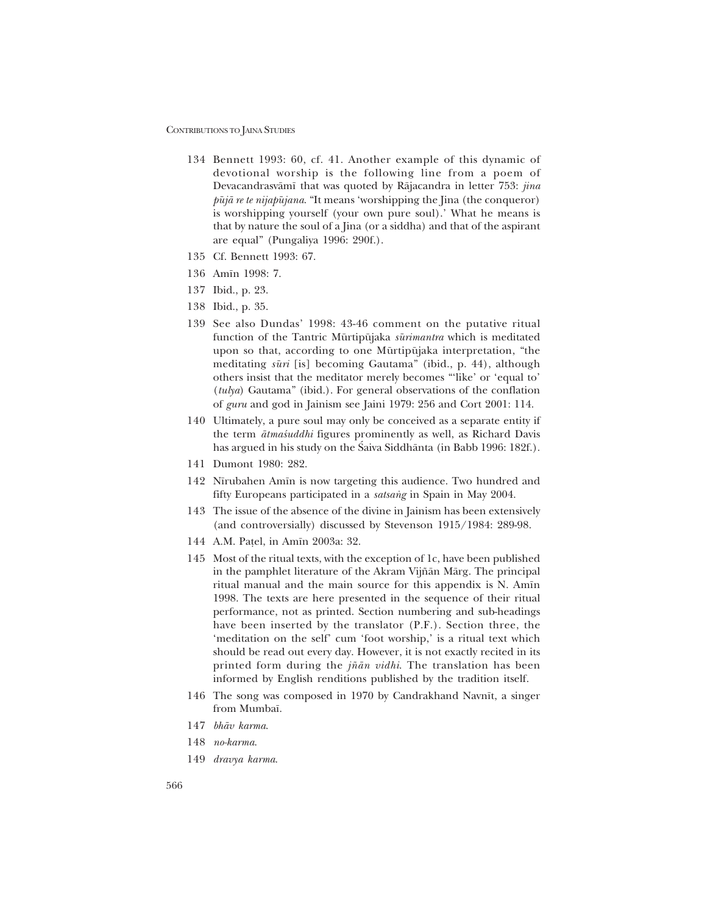- 134 Bennett 1993: 60, cf. 41. Another example of this dynamic of devotional worship is the following line from a poem of Devacandrasvåm∂ that was quoted by Råjacandra in letter 753: *jina*  $p\bar{u}j\bar{a}$  *re te nijap* $\bar{u}jana$ . "It means 'worshipping the Jina (the conqueror) is worshipping yourself (your own pure soul). What he means is that by nature the soul of a Jina (or a siddha) and that of the aspirant are equal" (Pungaliya 1996: 290f.).
- 135 Cf. Bennett 1993: 67.
- 136 Am∂n 1998: 7.
- 137 Ibid., p. 23.
- 138 Ibid., p. 35.
- 139 See also Dundasí 1998: 43-46 comment on the putative ritual function of the Tantric Mūrtipūjaka sūrimantra which is meditated upon so that, according to one Mūrtipūjaka interpretation, "the meditating *sūri* [is] becoming Gautama" (ibid., p. 44), although others insist that the meditator merely becomes "'like' or 'equal to' (*tulya*) Gautamaî (ibid.). For general observations of the conflation of *guru* and god in Jainism see Jaini 1979: 256 and Cort 2001: 114.
- 140 Ultimately, a pure soul may only be conceived as a separate entity if the term  $\bar{a}$ tmas'uddhi figures prominently as well, as Richard Davis has argued in his study on the Saiva Siddhānta (in Babb 1996: 182f.).
- 141 Dumont 1980: 282.
- 142 Nīrubahen Amīn is now targeting this audience. Two hundred and fifty Europeans participated in a *satsang* in Spain in May 2004.
- 143 The issue of the absence of the divine in Jainism has been extensively (and controversially) discussed by Stevenson 1915/1984: 289-98.
- 144 A.M. Patel, in Amīn 2003a: 32.
- 145 Most of the ritual texts, with the exception of 1c, have been published in the pamphlet literature of the Akram Vijñān Mārg. The principal ritual manual and the main source for this appendix is N. Amīn 1998. The texts are here presented in the sequence of their ritual performance, not as printed. Section numbering and sub-headings have been inserted by the translator (P.F.). Section three, the 'meditation on the self' cum 'foot worship,' is a ritual text which should be read out every day. However, it is not exactly recited in its printed form during the *j¤ån vidhi*. The translation has been informed by English renditions published by the tradition itself.
- 146 The song was composed in 1970 by Candrakhand Navn∂t, a singer from Mumbaī.
- 147 *bhåv karma*.
- 148 *no-karma*.
- 149 *dravya karma*.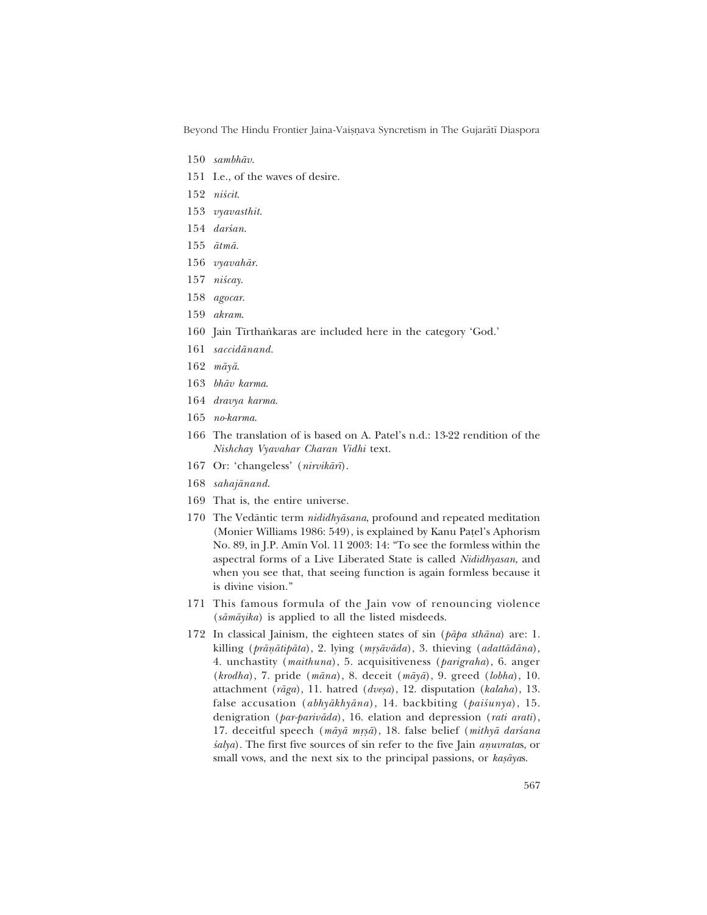Beyond The Hindu Frontier Jaina-Vaișņava Syncretism in The Gujarātī Diaspora

- 150 *sambhåv*.
- 151 I.e., of the waves of desire.
- 152 *niścit*.
- 153 *vyavasthit*.
- 154 *darśan.*
- 155 *åtmå*.
- 156 *vyavahår*.
- 157 *niścay*.
- 158 *agocar*.
- 159 *akram*.
- 160 Jain Tīrthaṅkaras are included here in the category 'God.'
- 161 *saccidånand*.
- 162 *måyå*.
- 163 *bhåv karma*.
- 164 *dravya karma*.
- 165 *no-karma*.
- 166 The translation of is based on A. Patel's n.d.: 13-22 rendition of the *Nishchay Vyavahar Charan Vidhi* text.
- 167 Or: ëchangelessí (*nirvikår∂*).
- 168 *sahajånand*.
- 169 That is, the entire universe.
- 170 The Vedåntic term *nididhyåsana*, profound and repeated meditation (Monier Williams 1986: 549), is explained by Kanu Pațel's Aphorism No. 89, in J.P. Amīn Vol. 11 2003: 14: "To see the formless within the aspectral forms of a Live Liberated State is called *Nididhyasan*, and when you see that, that seeing function is again formless because it is divine vision."
- 171 This famous formula of the Jain vow of renouncing violence (*såmåyika*) is applied to all the listed misdeeds.
- 172 In classical Jainism, the eighteen states of sin (*påpa sthåna*) are: 1. killing (*prāņātipāta*), 2. lying (*mṛṣāvāda*), 3. thieving (*adattādāna*), 4. unchastity (*maithuna*), 5. acquisitiveness (*parigraha*), 6. anger (*krodha*), 7. pride (*måna*), 8. deceit (*måyå*), 9. greed (*lobha*), 10. attachment (rāga), 11. hatred (dveșa), 12. disputation (kalaha), 13. false accusation (abhyākhyāna), 14. backbiting (paiśunya), 15. denigration (*par-parivåda*), 16. elation and depression (*rati arati*), 17. deceitful speech (māyā mṛṣā), 18. false belief (mithyā darśana *salya*). The first five sources of sin refer to the five Jain *anuvratas*, or small vows, and the next six to the principal passions, or *kasayas*.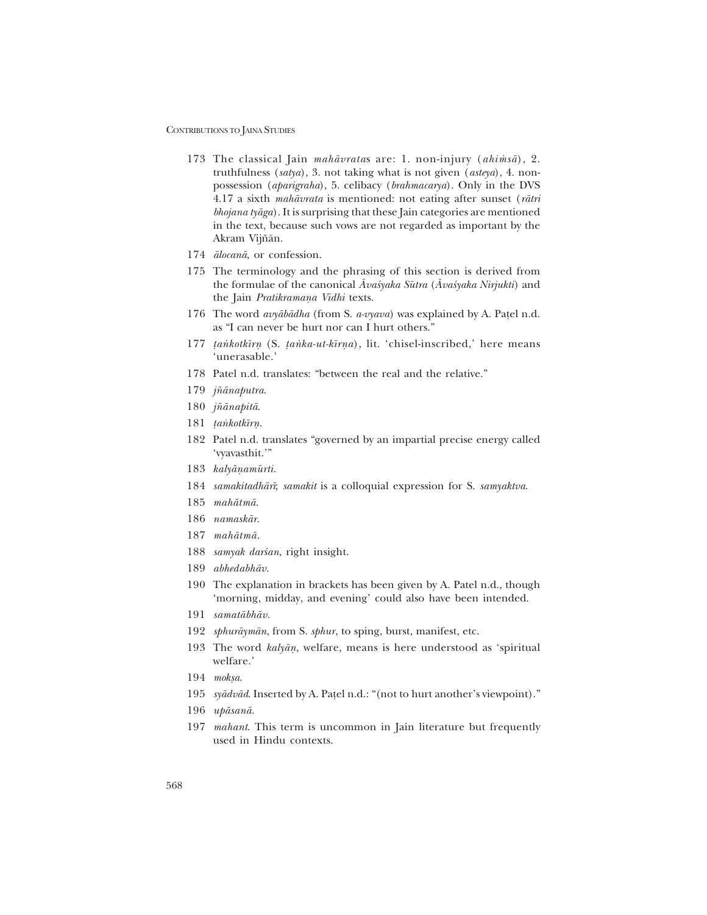- 173 The classical Jain *mahāvratas* are: 1. non-injury (*ahimsā*), 2. truthfulness (*satya*), 3. not taking what is not given (*asteya*), 4. nonpossession (*aparigraha*), 5. celibacy (*brahmacarya*). Only in the DVS 4.17 a sixth *mahåvrata* is mentioned: not eating after sunset (*råtri bhojana tyåga*). It is surprising that these Jain categories are mentioned in the text, because such vows are not regarded as important by the Akram Vijñān.
- 174 *ålocanå*, or confession.
- 175 The terminology and the phrasing of this section is derived from the formulae of the canonical *Āvaśyaka Sūtra* (*Āvaśyaka Nirjukti*) and the Jain *Pratikramana Vidhi* texts.
- 176 The word *avyābādha* (from S. *a-vyava*) was explained by A. Patel n.d. as "I can never be hurt nor can I hurt others."
- 177 *tankotkīrn* (S. *tanka-ut-kīrna*), lit. 'chisel-inscribed,' here means 'unerasable.'
- 178 Patel n.d. translates: "between the real and the relative."
- 179 *j¤ånaputra*.
- 180 *j¤ånapitå*.
- 181 *tankotkīrn*.
- 182 Patel n.d. translates "governed by an impartial precise energy called 'vyavasthit.'"
- 183 *kalyāņamūrti*.
- 184 *samakitadhår∂*; *samakit* is a colloquial expression for S. *samyaktva*.
- 185 *mahåtmå*.
- 186 *namaskår*.
- 187 *mahåtmå.*
- 188 *samyak darśan*, right insight.
- 189 *abhedabhåv*.
- 190 The explanation in brackets has been given by A. Patel n.d., though 'morning, midday, and evening' could also have been intended.
- 191 *samatåbhåv*.
- 192 *sphuråymån*, from S. *sphur*, to sping, burst, manifest, etc.
- 193 The word *kalyān*, welfare, means is here understood as 'spiritual welfare.'
- 194 *moksa*.
- 195 *syādvād*. Inserted by A. Paṭel n.d.: "(not to hurt another's viewpoint)."
- 196 *upåsanå*.
- 197 *mahant*. This term is uncommon in Jain literature but frequently used in Hindu contexts.